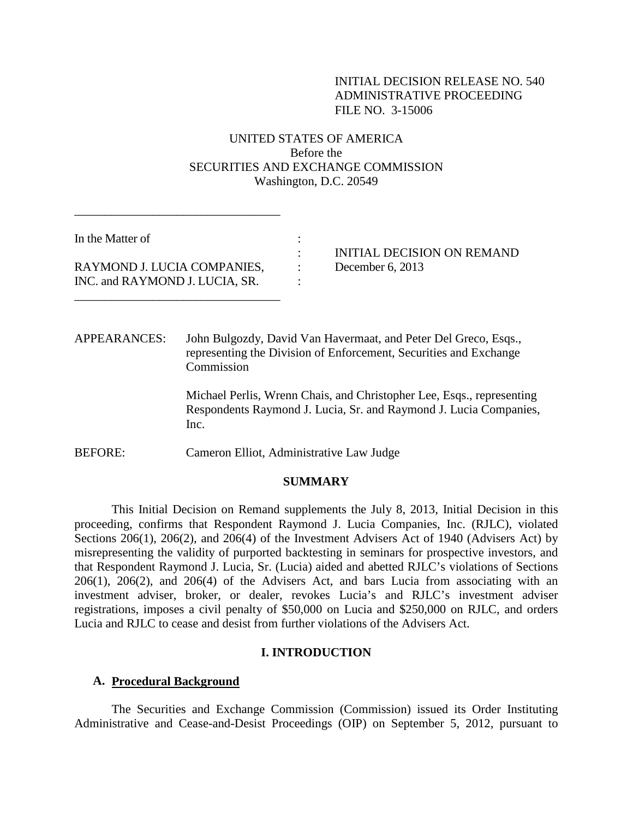# INITIAL DECISION RELEASE NO. 540 ADMINISTRATIVE PROCEEDING FILE NO. 3-15006

# UNITED STATES OF AMERICA Before the SECURITIES AND EXCHANGE COMMISSION Washington, D.C. 20549

In the Matter of : RAYMOND J. LUCIA COMPANIES, : December 6, 2013 INC. and RAYMOND J. LUCIA, SR. :

\_\_\_\_\_\_\_\_\_\_\_\_\_\_\_\_\_\_\_\_\_\_\_\_\_\_\_\_\_\_\_\_\_\_

\_\_\_\_\_\_\_\_\_\_\_\_\_\_\_\_\_\_\_\_\_\_\_\_\_\_\_\_\_\_\_\_\_\_

: INITIAL DECISION ON REMAND

APPEARANCES: John Bulgozdy, David Van Havermaat, and Peter Del Greco, Esqs., representing the Division of Enforcement, Securities and Exchange Commission

> Michael Perlis, Wrenn Chais, and Christopher Lee, Esqs., representing Respondents Raymond J. Lucia, Sr. and Raymond J. Lucia Companies, Inc.

BEFORE: Cameron Elliot, Administrative Law Judge

### **SUMMARY**

This Initial Decision on Remand supplements the July 8, 2013, Initial Decision in this proceeding, confirms that Respondent Raymond J. Lucia Companies, Inc. (RJLC), violated Sections 206(1), 206(2), and 206(4) of the Investment Advisers Act of 1940 (Advisers Act) by misrepresenting the validity of purported backtesting in seminars for prospective investors, and that Respondent Raymond J. Lucia, Sr. (Lucia) aided and abetted RJLC's violations of Sections 206(1), 206(2), and 206(4) of the Advisers Act, and bars Lucia from associating with an investment adviser, broker, or dealer, revokes Lucia's and RJLC's investment adviser registrations, imposes a civil penalty of \$50,000 on Lucia and \$250,000 on RJLC, and orders Lucia and RJLC to cease and desist from further violations of the Advisers Act.

#### **I. INTRODUCTION**

### **A. Procedural Background**

The Securities and Exchange Commission (Commission) issued its Order Instituting Administrative and Cease-and-Desist Proceedings (OIP) on September 5, 2012, pursuant to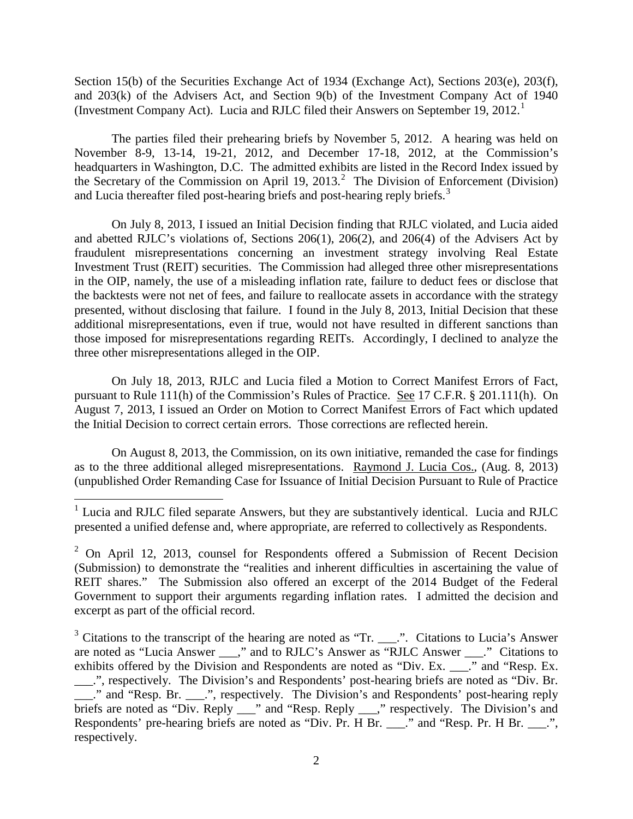Section 15(b) of the Securities Exchange Act of 1934 (Exchange Act), Sections 203(e), 203(f), and 203(k) of the Advisers Act, and Section 9(b) of the Investment Company Act of 1940 (Investment Company Act). Lucia and RJLC filed their Answers on September 19, 2012.<sup>1</sup>

The parties filed their prehearing briefs by November 5, 2012. A hearing was held on November 8-9, 13-14, 19-21, 2012, and December 17-18, 2012, at the Commission's headquarters in Washington, D.C. The admitted exhibits are listed in the Record Index issued by the Secretary of the Commission on April 19, 2013. <sup>2</sup> The Division of Enforcement (Division) and Lucia thereafter filed post-hearing briefs and post-hearing reply briefs.<sup>3</sup>

On July 8, 2013, I issued an Initial Decision finding that RJLC violated, and Lucia aided and abetted RJLC's violations of, Sections 206(1), 206(2), and 206(4) of the Advisers Act by fraudulent misrepresentations concerning an investment strategy involving Real Estate Investment Trust (REIT) securities. The Commission had alleged three other misrepresentations in the OIP, namely, the use of a misleading inflation rate, failure to deduct fees or disclose that the backtests were not net of fees, and failure to reallocate assets in accordance with the strategy presented, without disclosing that failure. I found in the July 8, 2013, Initial Decision that these additional misrepresentations, even if true, would not have resulted in different sanctions than those imposed for misrepresentations regarding REITs. Accordingly, I declined to analyze the three other misrepresentations alleged in the OIP.

On July 18, 2013, RJLC and Lucia filed a Motion to Correct Manifest Errors of Fact, pursuant to Rule 111(h) of the Commission's Rules of Practice. See 17 C.F.R. § 201.111(h). On August 7, 2013, I issued an Order on Motion to Correct Manifest Errors of Fact which updated the Initial Decision to correct certain errors. Those corrections are reflected herein.

On August 8, 2013, the Commission, on its own initiative, remanded the case for findings as to the three additional alleged misrepresentations. Raymond J. Lucia Cos., (Aug. 8, 2013) (unpublished Order Remanding Case for Issuance of Initial Decision Pursuant to Rule of Practice

 $3$  Citations to the transcript of the hearing are noted as "Tr. \_\_\_.". Citations to Lucia's Answer are noted as "Lucia Answer \_\_\_," and to RJLC's Answer as "RJLC Answer \_\_\_." Citations to exhibits offered by the Division and Respondents are noted as "Div. Ex. \_\_\_." and "Resp. Ex. \_\_\_.", respectively. The Division's and Respondents' post-hearing briefs are noted as "Div. Br. ." and "Resp. Br. ...", respectively. The Division's and Respondents' post-hearing reply briefs are noted as "Div. Reply \_\_\_" and "Resp. Reply \_\_\_," respectively. The Division's and Respondents' pre-hearing briefs are noted as "Div. Pr. H Br. \_\_\_." and "Resp. Pr. H Br. \_\_\_.", respectively.

 $1$  Lucia and RJLC filed separate Answers, but they are substantively identical. Lucia and RJLC presented a unified defense and, where appropriate, are referred to collectively as Respondents.

 $2$  On April 12, 2013, counsel for Respondents offered a Submission of Recent Decision (Submission) to demonstrate the "realities and inherent difficulties in ascertaining the value of REIT shares." The Submission also offered an excerpt of the 2014 Budget of the Federal Government to support their arguments regarding inflation rates. I admitted the decision and excerpt as part of the official record.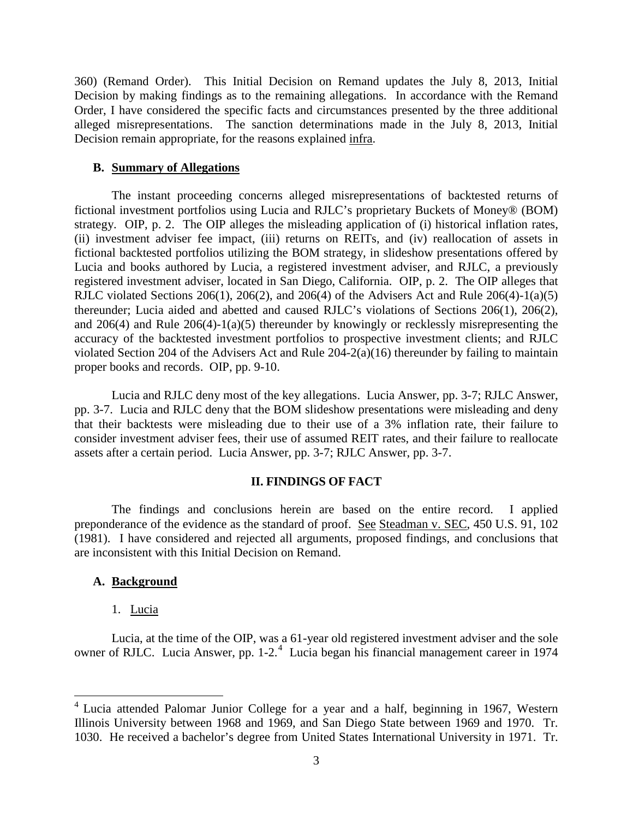360) (Remand Order). This Initial Decision on Remand updates the July 8, 2013, Initial Decision by making findings as to the remaining allegations. In accordance with the Remand Order, I have considered the specific facts and circumstances presented by the three additional alleged misrepresentations. The sanction determinations made in the July 8, 2013, Initial Decision remain appropriate, for the reasons explained infra.

### **B. Summary of Allegations**

The instant proceeding concerns alleged misrepresentations of backtested returns of fictional investment portfolios using Lucia and RJLC's proprietary Buckets of Money® (BOM) strategy. OIP, p. 2. The OIP alleges the misleading application of (i) historical inflation rates, (ii) investment adviser fee impact, (iii) returns on REITs, and (iv) reallocation of assets in fictional backtested portfolios utilizing the BOM strategy, in slideshow presentations offered by Lucia and books authored by Lucia, a registered investment adviser, and RJLC, a previously registered investment adviser, located in San Diego, California. OIP, p. 2. The OIP alleges that RJLC violated Sections 206(1), 206(2), and 206(4) of the Advisers Act and Rule  $206(4)$ -1(a)(5) thereunder; Lucia aided and abetted and caused RJLC's violations of Sections 206(1), 206(2), and 206(4) and Rule 206(4)-1(a)(5) thereunder by knowingly or recklessly misrepresenting the accuracy of the backtested investment portfolios to prospective investment clients; and RJLC violated Section 204 of the Advisers Act and Rule 204-2(a)(16) thereunder by failing to maintain proper books and records. OIP, pp. 9-10.

Lucia and RJLC deny most of the key allegations. Lucia Answer, pp. 3-7; RJLC Answer, pp. 3-7. Lucia and RJLC deny that the BOM slideshow presentations were misleading and deny that their backtests were misleading due to their use of a 3% inflation rate, their failure to consider investment adviser fees, their use of assumed REIT rates, and their failure to reallocate assets after a certain period. Lucia Answer, pp. 3-7; RJLC Answer, pp. 3-7.

# **II. FINDINGS OF FACT**

The findings and conclusions herein are based on the entire record. I applied preponderance of the evidence as the standard of proof. See Steadman v. SEC, 450 U.S. 91, 102 (1981). I have considered and rejected all arguments, proposed findings, and conclusions that are inconsistent with this Initial Decision on Remand.

# **A. Background**

1. Lucia

Lucia, at the time of the OIP, was a 61-year old registered investment adviser and the sole owner of RJLC. Lucia Answer, pp. 1-2.<sup>4</sup> Lucia began his financial management career in 1974

 <sup>4</sup> Lucia attended Palomar Junior College for a year and a half, beginning in 1967, Western Illinois University between 1968 and 1969, and San Diego State between 1969 and 1970. Tr. 1030. He received a bachelor's degree from United States International University in 1971. Tr.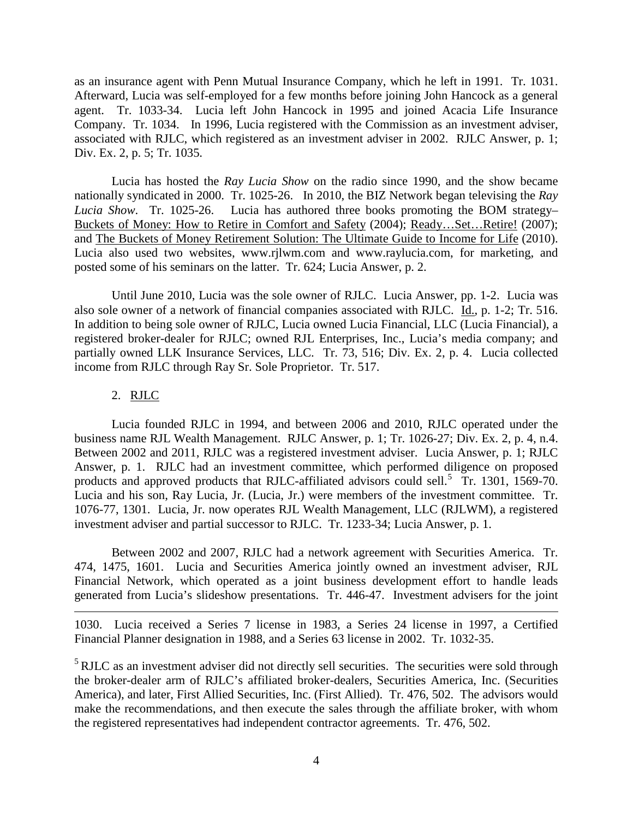as an insurance agent with Penn Mutual Insurance Company, which he left in 1991. Tr. 1031. Afterward, Lucia was self-employed for a few months before joining John Hancock as a general agent. Tr. 1033-34. Lucia left John Hancock in 1995 and joined Acacia Life Insurance Company. Tr. 1034. In 1996, Lucia registered with the Commission as an investment adviser, associated with RJLC, which registered as an investment adviser in 2002. RJLC Answer, p. 1; Div. Ex. 2, p. 5; Tr. 1035.

Lucia has hosted the *Ray Lucia Show* on the radio since 1990, and the show became nationally syndicated in 2000. Tr. 1025-26. In 2010, the BIZ Network began televising the *Ray Lucia Show*. Tr. 1025-26. Lucia has authored three books promoting the BOM strategy– Buckets of Money: How to Retire in Comfort and Safety (2004); Ready…Set…Retire! (2007); and The Buckets of Money Retirement Solution: The Ultimate Guide to Income for Life (2010). Lucia also used two websites, www.rjlwm.com and www.raylucia.com, for marketing, and posted some of his seminars on the latter. Tr. 624; Lucia Answer, p. 2.

Until June 2010, Lucia was the sole owner of RJLC. Lucia Answer, pp. 1-2. Lucia was also sole owner of a network of financial companies associated with RJLC. Id., p. 1-2; Tr. 516. In addition to being sole owner of RJLC, Lucia owned Lucia Financial, LLC (Lucia Financial), a registered broker-dealer for RJLC; owned RJL Enterprises, Inc., Lucia's media company; and partially owned LLK Insurance Services, LLC. Tr. 73, 516; Div. Ex. 2, p. 4. Lucia collected income from RJLC through Ray Sr. Sole Proprietor. Tr. 517.

## 2. RJLC

 $\overline{a}$ 

Lucia founded RJLC in 1994, and between 2006 and 2010, RJLC operated under the business name RJL Wealth Management. RJLC Answer, p. 1; Tr. 1026-27; Div. Ex. 2, p. 4, n.4. Between 2002 and 2011, RJLC was a registered investment adviser. Lucia Answer, p. 1; RJLC Answer, p. 1. RJLC had an investment committee, which performed diligence on proposed products and approved products that RJLC-affiliated advisors could sell.<sup>5</sup> Tr. 1301, 1569-70. Lucia and his son, Ray Lucia, Jr. (Lucia, Jr.) were members of the investment committee. Tr. 1076-77, 1301. Lucia, Jr. now operates RJL Wealth Management, LLC (RJLWM), a registered investment adviser and partial successor to RJLC. Tr. 1233-34; Lucia Answer, p. 1.

Between 2002 and 2007, RJLC had a network agreement with Securities America. Tr. 474, 1475, 1601. Lucia and Securities America jointly owned an investment adviser, RJL Financial Network, which operated as a joint business development effort to handle leads generated from Lucia's slideshow presentations. Tr. 446-47. Investment advisers for the joint

1030. Lucia received a Series 7 license in 1983, a Series 24 license in 1997, a Certified Financial Planner designation in 1988, and a Series 63 license in 2002. Tr. 1032-35.

<sup>5</sup> RJLC as an investment adviser did not directly sell securities. The securities were sold through the broker-dealer arm of RJLC's affiliated broker-dealers, Securities America, Inc. (Securities America), and later, First Allied Securities, Inc. (First Allied). Tr. 476, 502. The advisors would make the recommendations, and then execute the sales through the affiliate broker, with whom the registered representatives had independent contractor agreements. Tr. 476, 502.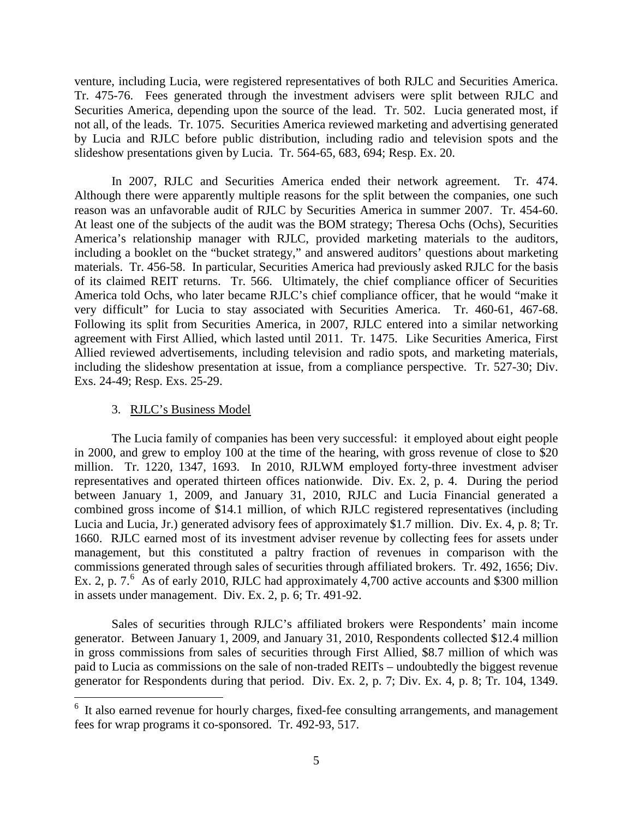venture, including Lucia, were registered representatives of both RJLC and Securities America. Tr. 475-76. Fees generated through the investment advisers were split between RJLC and Securities America, depending upon the source of the lead. Tr. 502. Lucia generated most, if not all, of the leads. Tr. 1075. Securities America reviewed marketing and advertising generated by Lucia and RJLC before public distribution, including radio and television spots and the slideshow presentations given by Lucia. Tr. 564-65, 683, 694; Resp. Ex. 20.

In 2007, RJLC and Securities America ended their network agreement. Tr. 474. Although there were apparently multiple reasons for the split between the companies, one such reason was an unfavorable audit of RJLC by Securities America in summer 2007. Tr. 454-60. At least one of the subjects of the audit was the BOM strategy; Theresa Ochs (Ochs), Securities America's relationship manager with RJLC, provided marketing materials to the auditors, including a booklet on the "bucket strategy," and answered auditors' questions about marketing materials. Tr. 456-58. In particular, Securities America had previously asked RJLC for the basis of its claimed REIT returns. Tr. 566. Ultimately, the chief compliance officer of Securities America told Ochs, who later became RJLC's chief compliance officer, that he would "make it very difficult" for Lucia to stay associated with Securities America. Tr. 460-61, 467-68. Following its split from Securities America, in 2007, RJLC entered into a similar networking agreement with First Allied, which lasted until 2011. Tr. 1475. Like Securities America, First Allied reviewed advertisements, including television and radio spots, and marketing materials, including the slideshow presentation at issue, from a compliance perspective. Tr. 527-30; Div. Exs. 24-49; Resp. Exs. 25-29.

### 3. RJLC's Business Model

The Lucia family of companies has been very successful: it employed about eight people in 2000, and grew to employ 100 at the time of the hearing, with gross revenue of close to \$20 million. Tr. 1220, 1347, 1693. In 2010, RJLWM employed forty-three investment adviser representatives and operated thirteen offices nationwide. Div. Ex. 2, p. 4. During the period between January 1, 2009, and January 31, 2010, RJLC and Lucia Financial generated a combined gross income of \$14.1 million, of which RJLC registered representatives (including Lucia and Lucia, Jr.) generated advisory fees of approximately \$1.7 million. Div. Ex. 4, p. 8; Tr. 1660. RJLC earned most of its investment adviser revenue by collecting fees for assets under management, but this constituted a paltry fraction of revenues in comparison with the commissions generated through sales of securities through affiliated brokers. Tr. 492, 1656; Div. Ex. 2, p. 7.<sup>6</sup> As of early 2010, RJLC had approximately 4,700 active accounts and \$300 million in assets under management. Div. Ex. 2, p. 6; Tr. 491-92.

Sales of securities through RJLC's affiliated brokers were Respondents' main income generator. Between January 1, 2009, and January 31, 2010, Respondents collected \$12.4 million in gross commissions from sales of securities through First Allied, \$8.7 million of which was paid to Lucia as commissions on the sale of non-traded REITs – undoubtedly the biggest revenue generator for Respondents during that period. Div. Ex. 2, p. 7; Div. Ex. 4, p. 8; Tr. 104, 1349.

<sup>&</sup>lt;sup>6</sup> It also earned revenue for hourly charges, fixed-fee consulting arrangements, and management fees for wrap programs it co-sponsored. Tr. 492-93, 517.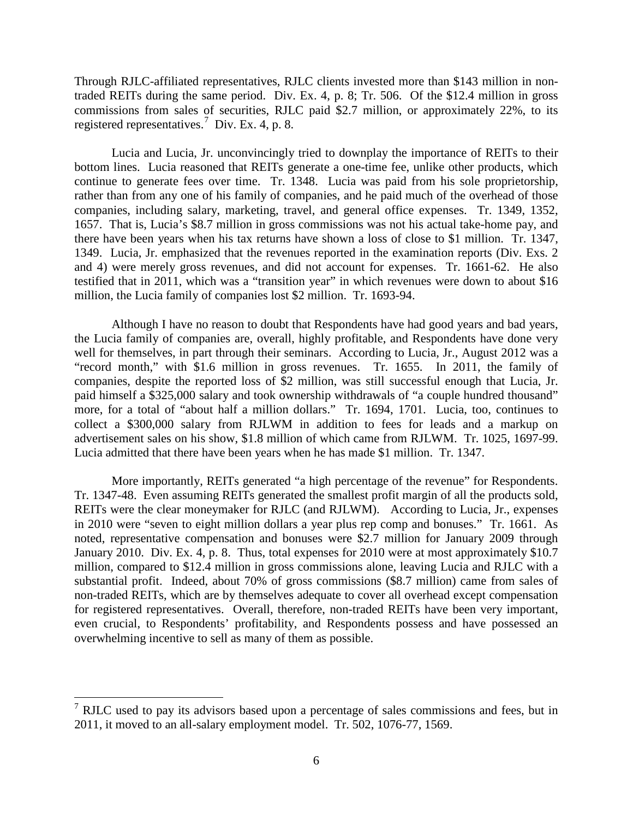Through RJLC-affiliated representatives, RJLC clients invested more than \$143 million in nontraded REITs during the same period. Div. Ex. 4, p. 8; Tr. 506. Of the \$12.4 million in gross commissions from sales of securities, RJLC paid \$2.7 million, or approximately 22%, to its registered representatives.<sup>7</sup> Div. Ex. 4, p. 8.

Lucia and Lucia, Jr. unconvincingly tried to downplay the importance of REITs to their bottom lines. Lucia reasoned that REITs generate a one-time fee, unlike other products, which continue to generate fees over time. Tr. 1348. Lucia was paid from his sole proprietorship, rather than from any one of his family of companies, and he paid much of the overhead of those companies, including salary, marketing, travel, and general office expenses. Tr. 1349, 1352, 1657. That is, Lucia's \$8.7 million in gross commissions was not his actual take-home pay, and there have been years when his tax returns have shown a loss of close to \$1 million. Tr. 1347, 1349. Lucia, Jr. emphasized that the revenues reported in the examination reports (Div. Exs. 2 and 4) were merely gross revenues, and did not account for expenses. Tr. 1661-62. He also testified that in 2011, which was a "transition year" in which revenues were down to about \$16 million, the Lucia family of companies lost \$2 million. Tr. 1693-94.

Although I have no reason to doubt that Respondents have had good years and bad years, the Lucia family of companies are, overall, highly profitable, and Respondents have done very well for themselves, in part through their seminars. According to Lucia, Jr., August 2012 was a "record month," with \$1.6 million in gross revenues. Tr. 1655. In 2011, the family of companies, despite the reported loss of \$2 million, was still successful enough that Lucia, Jr. paid himself a \$325,000 salary and took ownership withdrawals of "a couple hundred thousand" more, for a total of "about half a million dollars." Tr. 1694, 1701. Lucia, too, continues to collect a \$300,000 salary from RJLWM in addition to fees for leads and a markup on advertisement sales on his show, \$1.8 million of which came from RJLWM. Tr. 1025, 1697-99. Lucia admitted that there have been years when he has made \$1 million. Tr. 1347.

More importantly, REITs generated "a high percentage of the revenue" for Respondents. Tr. 1347-48. Even assuming REITs generated the smallest profit margin of all the products sold, REITs were the clear moneymaker for RJLC (and RJLWM). According to Lucia, Jr., expenses in 2010 were "seven to eight million dollars a year plus rep comp and bonuses." Tr. 1661. As noted, representative compensation and bonuses were \$2.7 million for January 2009 through January 2010. Div. Ex. 4, p. 8. Thus, total expenses for 2010 were at most approximately \$10.7 million, compared to \$12.4 million in gross commissions alone, leaving Lucia and RJLC with a substantial profit. Indeed, about 70% of gross commissions (\$8.7 million) came from sales of non-traded REITs, which are by themselves adequate to cover all overhead except compensation for registered representatives. Overall, therefore, non-traded REITs have been very important, even crucial, to Respondents' profitability, and Respondents possess and have possessed an overwhelming incentive to sell as many of them as possible.

 $<sup>7</sup>$  RJLC used to pay its advisors based upon a percentage of sales commissions and fees, but in</sup> 2011, it moved to an all-salary employment model. Tr. 502, 1076-77, 1569.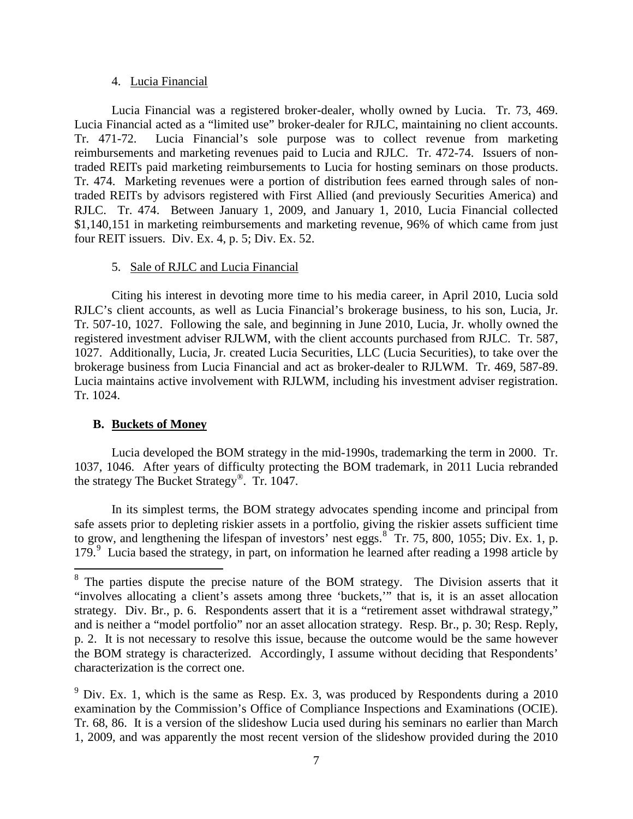### 4. Lucia Financial

Lucia Financial was a registered broker-dealer, wholly owned by Lucia. Tr. 73, 469. Lucia Financial acted as a "limited use" broker-dealer for RJLC, maintaining no client accounts. Tr. 471-72. Lucia Financial's sole purpose was to collect revenue from marketing reimbursements and marketing revenues paid to Lucia and RJLC. Tr. 472-74. Issuers of nontraded REITs paid marketing reimbursements to Lucia for hosting seminars on those products. Tr. 474. Marketing revenues were a portion of distribution fees earned through sales of nontraded REITs by advisors registered with First Allied (and previously Securities America) and RJLC. Tr. 474. Between January 1, 2009, and January 1, 2010, Lucia Financial collected \$1,140,151 in marketing reimbursements and marketing revenue, 96% of which came from just four REIT issuers. Div. Ex. 4, p. 5; Div. Ex. 52.

# 5. Sale of RJLC and Lucia Financial

Citing his interest in devoting more time to his media career, in April 2010, Lucia sold RJLC's client accounts, as well as Lucia Financial's brokerage business, to his son, Lucia, Jr. Tr. 507-10, 1027. Following the sale, and beginning in June 2010, Lucia, Jr. wholly owned the registered investment adviser RJLWM, with the client accounts purchased from RJLC. Tr. 587, 1027. Additionally, Lucia, Jr. created Lucia Securities, LLC (Lucia Securities), to take over the brokerage business from Lucia Financial and act as broker-dealer to RJLWM. Tr. 469, 587-89. Lucia maintains active involvement with RJLWM, including his investment adviser registration. Tr. 1024.

# **B. Buckets of Money**

Lucia developed the BOM strategy in the mid-1990s, trademarking the term in 2000. Tr. 1037, 1046. After years of difficulty protecting the BOM trademark, in 2011 Lucia rebranded the strategy The Bucket Strategy®. Tr. 1047.

In its simplest terms, the BOM strategy advocates spending income and principal from safe assets prior to depleting riskier assets in a portfolio, giving the riskier assets sufficient time to grow, and lengthening the lifespan of investors' nest eggs.<sup>8</sup> Tr. 75, 800, 1055; Div. Ex. 1, p. 179.<sup>9</sup> Lucia based the strategy, in part, on information he learned after reading a 1998 article by

<sup>&</sup>lt;sup>8</sup> The parties dispute the precise nature of the BOM strategy. The Division asserts that it "involves allocating a client's assets among three 'buckets,'" that is, it is an asset allocation strategy. Div. Br., p. 6. Respondents assert that it is a "retirement asset withdrawal strategy," and is neither a "model portfolio" nor an asset allocation strategy. Resp. Br., p. 30; Resp. Reply, p. 2. It is not necessary to resolve this issue, because the outcome would be the same however the BOM strategy is characterized. Accordingly, I assume without deciding that Respondents' characterization is the correct one.

 $9$  Div. Ex. 1, which is the same as Resp. Ex. 3, was produced by Respondents during a 2010 examination by the Commission's Office of Compliance Inspections and Examinations (OCIE). Tr. 68, 86. It is a version of the slideshow Lucia used during his seminars no earlier than March 1, 2009, and was apparently the most recent version of the slideshow provided during the 2010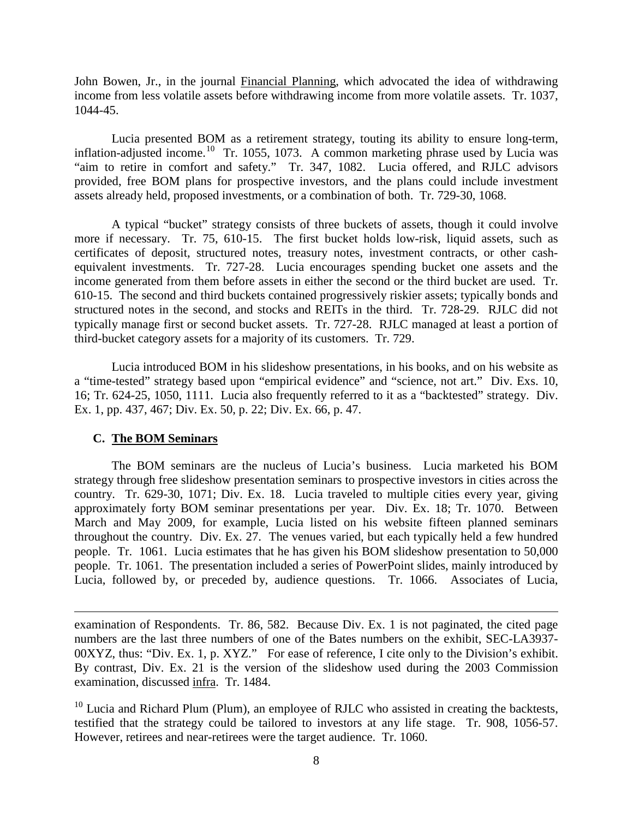John Bowen, Jr., in the journal Financial Planning, which advocated the idea of withdrawing income from less volatile assets before withdrawing income from more volatile assets. Tr. 1037, 1044-45.

Lucia presented BOM as a retirement strategy, touting its ability to ensure long-term, inflation-adjusted income.<sup>10</sup> Tr. 1055, 1073. A common marketing phrase used by Lucia was "aim to retire in comfort and safety." Tr. 347, 1082. Lucia offered, and RJLC advisors provided, free BOM plans for prospective investors, and the plans could include investment assets already held, proposed investments, or a combination of both. Tr. 729-30, 1068.

A typical "bucket" strategy consists of three buckets of assets, though it could involve more if necessary. Tr. 75, 610-15. The first bucket holds low-risk, liquid assets, such as certificates of deposit, structured notes, treasury notes, investment contracts, or other cashequivalent investments. Tr. 727-28. Lucia encourages spending bucket one assets and the income generated from them before assets in either the second or the third bucket are used. Tr. 610-15. The second and third buckets contained progressively riskier assets; typically bonds and structured notes in the second, and stocks and REITs in the third. Tr. 728-29. RJLC did not typically manage first or second bucket assets. Tr. 727-28. RJLC managed at least a portion of third-bucket category assets for a majority of its customers. Tr. 729.

Lucia introduced BOM in his slideshow presentations, in his books, and on his website as a "time-tested" strategy based upon "empirical evidence" and "science, not art." Div. Exs. 10, 16; Tr. 624-25, 1050, 1111. Lucia also frequently referred to it as a "backtested" strategy. Div. Ex. 1, pp. 437, 467; Div. Ex. 50, p. 22; Div. Ex. 66, p. 47.

### **C. The BOM Seminars**

 $\overline{a}$ 

The BOM seminars are the nucleus of Lucia's business. Lucia marketed his BOM strategy through free slideshow presentation seminars to prospective investors in cities across the country. Tr. 629-30, 1071; Div. Ex. 18. Lucia traveled to multiple cities every year, giving approximately forty BOM seminar presentations per year. Div. Ex. 18; Tr. 1070. Between March and May 2009, for example, Lucia listed on his website fifteen planned seminars throughout the country. Div. Ex. 27. The venues varied, but each typically held a few hundred people. Tr. 1061. Lucia estimates that he has given his BOM slideshow presentation to 50,000 people. Tr. 1061. The presentation included a series of PowerPoint slides, mainly introduced by Lucia, followed by, or preceded by, audience questions. Tr. 1066. Associates of Lucia,

examination of Respondents. Tr. 86, 582. Because Div. Ex. 1 is not paginated, the cited page numbers are the last three numbers of one of the Bates numbers on the exhibit, SEC-LA3937- 00XYZ, thus: "Div. Ex. 1, p. XYZ." For ease of reference, I cite only to the Division's exhibit. By contrast, Div. Ex. 21 is the version of the slideshow used during the 2003 Commission examination, discussed infra. Tr. 1484.

 $10$  Lucia and Richard Plum (Plum), an employee of RJLC who assisted in creating the backtests, testified that the strategy could be tailored to investors at any life stage. Tr. 908, 1056-57. However, retirees and near-retirees were the target audience. Tr. 1060.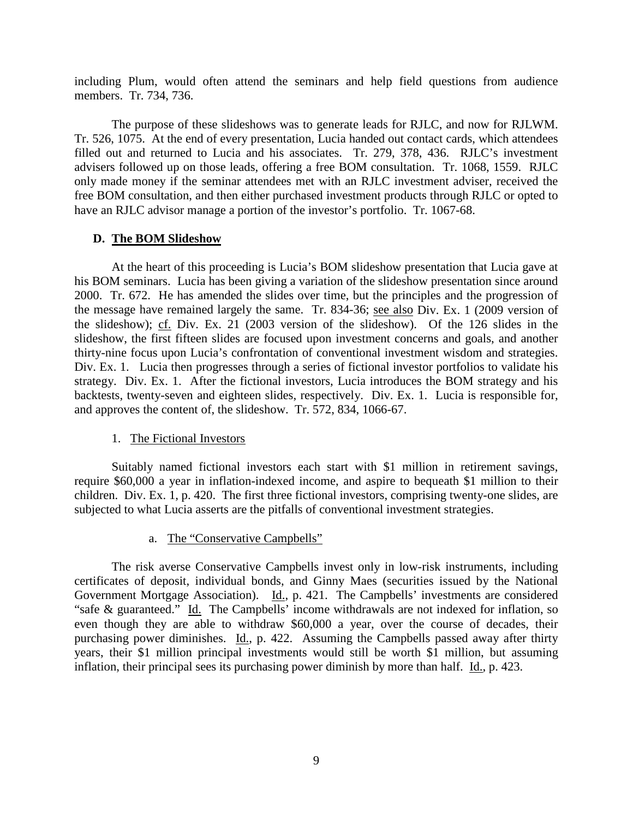including Plum, would often attend the seminars and help field questions from audience members. Tr. 734, 736.

The purpose of these slideshows was to generate leads for RJLC, and now for RJLWM. Tr. 526, 1075. At the end of every presentation, Lucia handed out contact cards, which attendees filled out and returned to Lucia and his associates. Tr. 279, 378, 436. RJLC's investment advisers followed up on those leads, offering a free BOM consultation. Tr. 1068, 1559. RJLC only made money if the seminar attendees met with an RJLC investment adviser, received the free BOM consultation, and then either purchased investment products through RJLC or opted to have an RJLC advisor manage a portion of the investor's portfolio. Tr. 1067-68.

## **D. The BOM Slideshow**

At the heart of this proceeding is Lucia's BOM slideshow presentation that Lucia gave at his BOM seminars. Lucia has been giving a variation of the slideshow presentation since around 2000. Tr. 672. He has amended the slides over time, but the principles and the progression of the message have remained largely the same. Tr. 834-36; see also Div. Ex. 1 (2009 version of the slideshow); cf. Div. Ex. 21 (2003 version of the slideshow). Of the 126 slides in the slideshow, the first fifteen slides are focused upon investment concerns and goals, and another thirty-nine focus upon Lucia's confrontation of conventional investment wisdom and strategies. Div. Ex. 1. Lucia then progresses through a series of fictional investor portfolios to validate his strategy. Div. Ex. 1. After the fictional investors, Lucia introduces the BOM strategy and his backtests, twenty-seven and eighteen slides, respectively. Div. Ex. 1. Lucia is responsible for, and approves the content of, the slideshow. Tr. 572, 834, 1066-67.

### 1. The Fictional Investors

Suitably named fictional investors each start with \$1 million in retirement savings, require \$60,000 a year in inflation-indexed income, and aspire to bequeath \$1 million to their children. Div. Ex. 1, p. 420. The first three fictional investors, comprising twenty-one slides, are subjected to what Lucia asserts are the pitfalls of conventional investment strategies.

### a. The "Conservative Campbells"

The risk averse Conservative Campbells invest only in low-risk instruments, including certificates of deposit, individual bonds, and Ginny Maes (securities issued by the National Government Mortgage Association). Id., p. 421. The Campbells' investments are considered "safe & guaranteed." Id. The Campbells' income withdrawals are not indexed for inflation, so even though they are able to withdraw \$60,000 a year, over the course of decades, their purchasing power diminishes. Id., p. 422. Assuming the Campbells passed away after thirty years, their \$1 million principal investments would still be worth \$1 million, but assuming inflation, their principal sees its purchasing power diminish by more than half. Id., p. 423.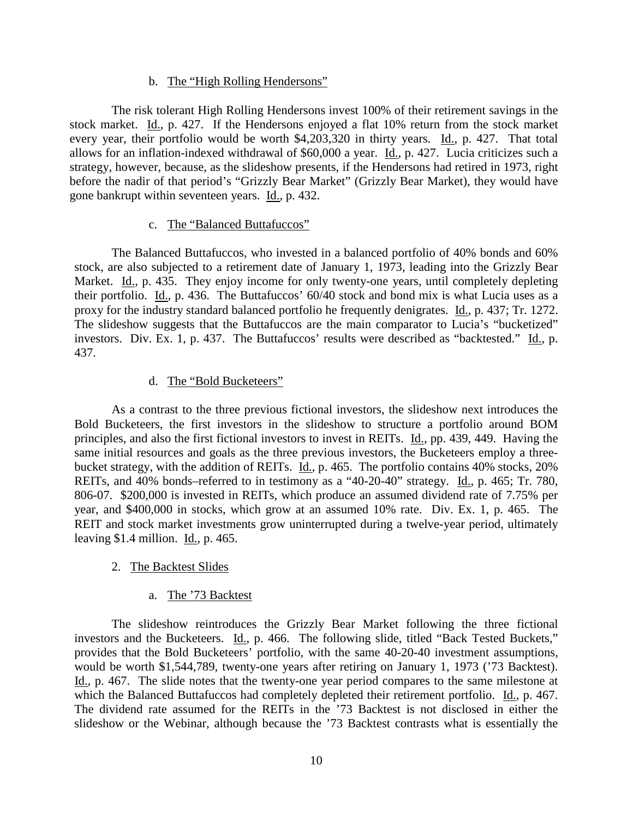### b. The "High Rolling Hendersons"

The risk tolerant High Rolling Hendersons invest 100% of their retirement savings in the stock market. Id., p. 427. If the Hendersons enjoyed a flat 10% return from the stock market every year, their portfolio would be worth \$4,203,320 in thirty years. Id., p. 427. That total allows for an inflation-indexed withdrawal of \$60,000 a year. Id., p. 427. Lucia criticizes such a strategy, however, because, as the slideshow presents, if the Hendersons had retired in 1973, right before the nadir of that period's "Grizzly Bear Market" (Grizzly Bear Market), they would have gone bankrupt within seventeen years. Id., p. 432.

### c. The "Balanced Buttafuccos"

The Balanced Buttafuccos, who invested in a balanced portfolio of 40% bonds and 60% stock, are also subjected to a retirement date of January 1, 1973, leading into the Grizzly Bear Market. Id., p. 435. They enjoy income for only twenty-one years, until completely depleting their portfolio. Id., p. 436. The Buttafuccos' 60/40 stock and bond mix is what Lucia uses as a proxy for the industry standard balanced portfolio he frequently denigrates. Id., p. 437; Tr. 1272. The slideshow suggests that the Buttafuccos are the main comparator to Lucia's "bucketized" investors. Div. Ex. 1, p. 437. The Buttafuccos' results were described as "backtested." Id., p. 437.

### d. The "Bold Bucketeers"

As a contrast to the three previous fictional investors, the slideshow next introduces the Bold Bucketeers, the first investors in the slideshow to structure a portfolio around BOM principles, and also the first fictional investors to invest in REITs. Id., pp. 439, 449. Having the same initial resources and goals as the three previous investors, the Bucketeers employ a threebucket strategy, with the addition of REITs. Id., p. 465. The portfolio contains 40% stocks, 20% REITs, and 40% bonds–referred to in testimony as a "40-20-40" strategy. Id., p. 465; Tr. 780, 806-07. \$200,000 is invested in REITs, which produce an assumed dividend rate of 7.75% per year, and \$400,000 in stocks, which grow at an assumed 10% rate. Div. Ex. 1, p. 465. The REIT and stock market investments grow uninterrupted during a twelve-year period, ultimately leaving \$1.4 million. Id., p. 465.

### 2. The Backtest Slides

### a. The '73 Backtest

The slideshow reintroduces the Grizzly Bear Market following the three fictional investors and the Bucketeers. Id., p. 466. The following slide, titled "Back Tested Buckets," provides that the Bold Bucketeers' portfolio, with the same 40-20-40 investment assumptions, would be worth \$1,544,789, twenty-one years after retiring on January 1, 1973 ('73 Backtest). Id., p. 467. The slide notes that the twenty-one year period compares to the same milestone at which the Balanced Buttafuccos had completely depleted their retirement portfolio. Id., p. 467. The dividend rate assumed for the REITs in the '73 Backtest is not disclosed in either the slideshow or the Webinar, although because the '73 Backtest contrasts what is essentially the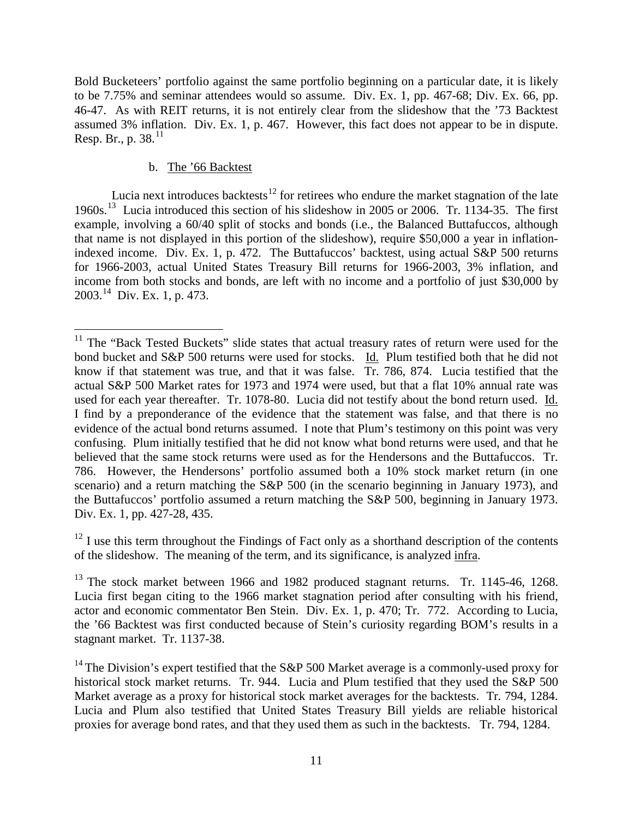Bold Bucketeers' portfolio against the same portfolio beginning on a particular date, it is likely to be 7.75% and seminar attendees would so assume. Div. Ex. 1, pp. 467-68; Div. Ex. 66, pp. 46-47. As with REIT returns, it is not entirely clear from the slideshow that the '73 Backtest assumed 3% inflation. Div. Ex. 1, p. 467. However, this fact does not appear to be in dispute. Resp. Br., p. 38. $^{11}$ 

# b. The '66 Backtest

Lucia next introduces backtests $^{12}$  for retirees who endure the market stagnation of the late 1960s.<sup>13</sup> Lucia introduced this section of his slideshow in 2005 or 2006. Tr. 1134-35. The first example, involving a 60/40 split of stocks and bonds (i.e., the Balanced Buttafuccos, although that name is not displayed in this portion of the slideshow), require \$50,000 a year in inflationindexed income. Div. Ex. 1, p. 472. The Buttafuccos' backtest, using actual S&P 500 returns for 1966-2003, actual United States Treasury Bill returns for 1966-2003, 3% inflation, and income from both stocks and bonds, are left with no income and a portfolio of just \$30,000 by 2003.14 Div. Ex. 1, p. 473.

 $12$  I use this term throughout the Findings of Fact only as a shorthand description of the contents of the slideshow. The meaning of the term, and its significance, is analyzed infra.

 $11$  The "Back Tested Buckets" slide states that actual treasury rates of return were used for the bond bucket and S&P 500 returns were used for stocks. Id. Plum testified both that he did not know if that statement was true, and that it was false.  $\overline{T}$ r. 786, 874. Lucia testified that the actual S&P 500 Market rates for 1973 and 1974 were used, but that a flat 10% annual rate was used for each year thereafter. Tr. 1078-80. Lucia did not testify about the bond return used. Id. I find by a preponderance of the evidence that the statement was false, and that there is no evidence of the actual bond returns assumed. I note that Plum's testimony on this point was very confusing. Plum initially testified that he did not know what bond returns were used, and that he believed that the same stock returns were used as for the Hendersons and the Buttafuccos. Tr. 786. However, the Hendersons' portfolio assumed both a 10% stock market return (in one scenario) and a return matching the S&P 500 (in the scenario beginning in January 1973), and the Buttafuccos' portfolio assumed a return matching the S&P 500, beginning in January 1973. Div. Ex. 1, pp. 427-28, 435.

<sup>&</sup>lt;sup>13</sup> The stock market between 1966 and 1982 produced stagnant returns. Tr. 1145-46, 1268. Lucia first began citing to the 1966 market stagnation period after consulting with his friend, actor and economic commentator Ben Stein. Div. Ex. 1, p. 470; Tr. 772. According to Lucia, the '66 Backtest was first conducted because of Stein's curiosity regarding BOM's results in a stagnant market. Tr. 1137-38.

<sup>&</sup>lt;sup>14</sup> The Division's expert testified that the S&P 500 Market average is a commonly-used proxy for historical stock market returns. Tr. 944. Lucia and Plum testified that they used the S&P 500 Market average as a proxy for historical stock market averages for the backtests. Tr. 794, 1284. Lucia and Plum also testified that United States Treasury Bill yields are reliable historical proxies for average bond rates, and that they used them as such in the backtests. Tr. 794, 1284.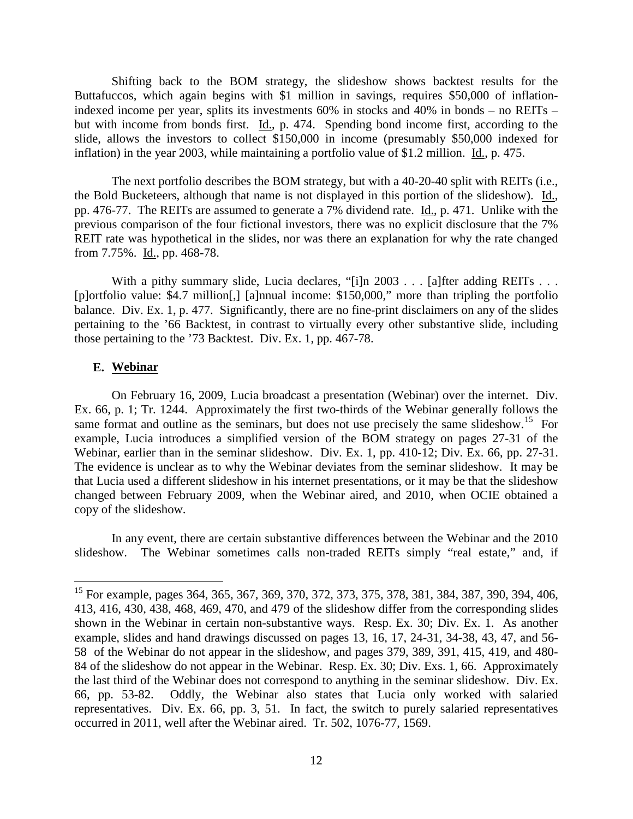Shifting back to the BOM strategy, the slideshow shows backtest results for the Buttafuccos, which again begins with \$1 million in savings, requires \$50,000 of inflationindexed income per year, splits its investments 60% in stocks and 40% in bonds – no REITs – but with income from bonds first. Id., p. 474. Spending bond income first, according to the slide, allows the investors to collect \$150,000 in income (presumably \$50,000 indexed for inflation) in the year 2003, while maintaining a portfolio value of \$1.2 million. Id., p. 475.

The next portfolio describes the BOM strategy, but with a 40-20-40 split with REITs (i.e., the Bold Bucketeers, although that name is not displayed in this portion of the slideshow). Id., pp. 476-77. The REITs are assumed to generate a 7% dividend rate. Id., p. 471. Unlike with the previous comparison of the four fictional investors, there was no explicit disclosure that the 7% REIT rate was hypothetical in the slides, nor was there an explanation for why the rate changed from 7.75%. Id., pp. 468-78.

With a pithy summary slide, Lucia declares, "[i]n 2003 . . . [a]fter adding REITs . . . [p]ortfolio value: \$4.7 million[,] [a]nnual income: \$150,000," more than tripling the portfolio balance. Div. Ex. 1, p. 477. Significantly, there are no fine-print disclaimers on any of the slides pertaining to the '66 Backtest, in contrast to virtually every other substantive slide, including those pertaining to the '73 Backtest. Div. Ex. 1, pp. 467-78.

#### **E. Webinar**

On February 16, 2009, Lucia broadcast a presentation (Webinar) over the internet. Div. Ex. 66, p. 1; Tr. 1244. Approximately the first two-thirds of the Webinar generally follows the same format and outline as the seminars, but does not use precisely the same slideshow.<sup>15</sup> For example, Lucia introduces a simplified version of the BOM strategy on pages 27-31 of the Webinar, earlier than in the seminar slideshow. Div. Ex. 1, pp. 410-12; Div. Ex. 66, pp. 27-31. The evidence is unclear as to why the Webinar deviates from the seminar slideshow. It may be that Lucia used a different slideshow in his internet presentations, or it may be that the slideshow changed between February 2009, when the Webinar aired, and 2010, when OCIE obtained a copy of the slideshow.

In any event, there are certain substantive differences between the Webinar and the 2010 slideshow. The Webinar sometimes calls non-traded REITs simply "real estate," and, if

<sup>&</sup>lt;sup>15</sup> For example, pages 364, 365, 367, 369, 370, 372, 373, 375, 378, 381, 384, 387, 390, 394, 406, 413, 416, 430, 438, 468, 469, 470, and 479 of the slideshow differ from the corresponding slides shown in the Webinar in certain non-substantive ways. Resp. Ex. 30; Div. Ex. 1. As another example, slides and hand drawings discussed on pages 13, 16, 17, 24-31, 34-38, 43, 47, and 56- 58 of the Webinar do not appear in the slideshow, and pages 379, 389, 391, 415, 419, and 480- 84 of the slideshow do not appear in the Webinar. Resp. Ex. 30; Div. Exs. 1, 66. Approximately the last third of the Webinar does not correspond to anything in the seminar slideshow. Div. Ex. 66, pp. 53-82. Oddly, the Webinar also states that Lucia only worked with salaried representatives. Div. Ex. 66, pp. 3, 51. In fact, the switch to purely salaried representatives occurred in 2011, well after the Webinar aired. Tr. 502, 1076-77, 1569.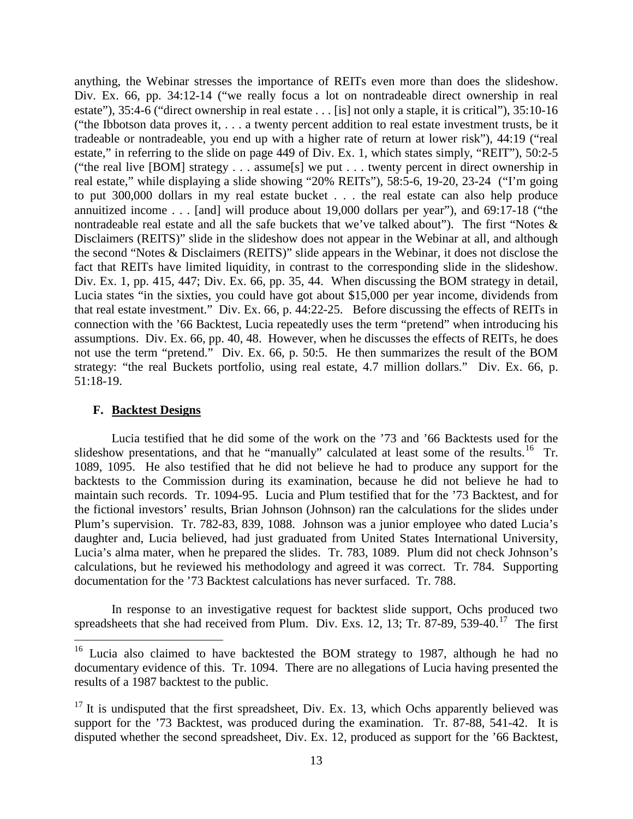anything, the Webinar stresses the importance of REITs even more than does the slideshow. Div. Ex. 66, pp. 34:12-14 ("we really focus a lot on nontradeable direct ownership in real estate"), 35:4-6 ("direct ownership in real estate . . . [is] not only a staple, it is critical"), 35:10-16 ("the Ibbotson data proves it, . . . a twenty percent addition to real estate investment trusts, be it tradeable or nontradeable, you end up with a higher rate of return at lower risk"), 44:19 ("real estate," in referring to the slide on page 449 of Div. Ex. 1, which states simply, "REIT"), 50:2-5 ("the real live [BOM] strategy . . . assume[s] we put . . . twenty percent in direct ownership in real estate," while displaying a slide showing "20% REITs"), 58:5-6, 19-20, 23-24 ("I'm going to put 300,000 dollars in my real estate bucket . . . the real estate can also help produce annuitized income . . . [and] will produce about 19,000 dollars per year"), and 69:17-18 ("the nontradeable real estate and all the safe buckets that we've talked about"). The first "Notes & Disclaimers (REITS)" slide in the slideshow does not appear in the Webinar at all, and although the second "Notes & Disclaimers (REITS)" slide appears in the Webinar, it does not disclose the fact that REITs have limited liquidity, in contrast to the corresponding slide in the slideshow. Div. Ex. 1, pp. 415, 447; Div. Ex. 66, pp. 35, 44. When discussing the BOM strategy in detail, Lucia states "in the sixties, you could have got about \$15,000 per year income, dividends from that real estate investment." Div. Ex. 66, p. 44:22-25. Before discussing the effects of REITs in connection with the '66 Backtest, Lucia repeatedly uses the term "pretend" when introducing his assumptions. Div. Ex. 66, pp. 40, 48. However, when he discusses the effects of REITs, he does not use the term "pretend." Div. Ex. 66, p. 50:5. He then summarizes the result of the BOM strategy: "the real Buckets portfolio, using real estate, 4.7 million dollars." Div. Ex. 66, p. 51:18-19.

### **F. Backtest Designs**

Lucia testified that he did some of the work on the '73 and '66 Backtests used for the slideshow presentations, and that he "manually" calculated at least some of the results.<sup>16</sup> Tr. 1089, 1095. He also testified that he did not believe he had to produce any support for the backtests to the Commission during its examination, because he did not believe he had to maintain such records. Tr. 1094-95. Lucia and Plum testified that for the '73 Backtest, and for the fictional investors' results, Brian Johnson (Johnson) ran the calculations for the slides under Plum's supervision. Tr. 782-83, 839, 1088. Johnson was a junior employee who dated Lucia's daughter and, Lucia believed, had just graduated from United States International University, Lucia's alma mater, when he prepared the slides. Tr. 783, 1089. Plum did not check Johnson's calculations, but he reviewed his methodology and agreed it was correct. Tr. 784. Supporting documentation for the '73 Backtest calculations has never surfaced. Tr. 788.

In response to an investigative request for backtest slide support, Ochs produced two spreadsheets that she had received from Plum. Div. Exs. 12, 13; Tr. 87-89, 539-40.<sup>17</sup> The first

<sup>&</sup>lt;sup>16</sup> Lucia also claimed to have backtested the BOM strategy to 1987, although he had no documentary evidence of this. Tr. 1094. There are no allegations of Lucia having presented the results of a 1987 backtest to the public.

 $17$  It is undisputed that the first spreadsheet, Div. Ex. 13, which Ochs apparently believed was support for the '73 Backtest, was produced during the examination. Tr. 87-88, 541-42. It is disputed whether the second spreadsheet, Div. Ex. 12, produced as support for the '66 Backtest,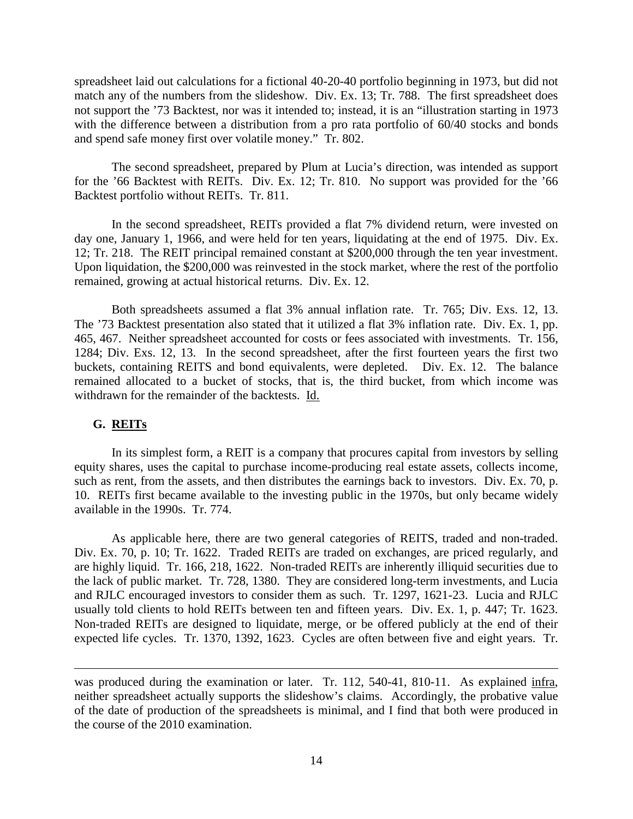spreadsheet laid out calculations for a fictional 40-20-40 portfolio beginning in 1973, but did not match any of the numbers from the slideshow. Div. Ex. 13; Tr. 788. The first spreadsheet does not support the '73 Backtest, nor was it intended to; instead, it is an "illustration starting in 1973 with the difference between a distribution from a pro rata portfolio of 60/40 stocks and bonds and spend safe money first over volatile money." Tr. 802.

The second spreadsheet, prepared by Plum at Lucia's direction, was intended as support for the '66 Backtest with REITs. Div. Ex. 12; Tr. 810. No support was provided for the '66 Backtest portfolio without REITs. Tr. 811.

In the second spreadsheet, REITs provided a flat 7% dividend return, were invested on day one, January 1, 1966, and were held for ten years, liquidating at the end of 1975. Div. Ex. 12; Tr. 218. The REIT principal remained constant at \$200,000 through the ten year investment. Upon liquidation, the \$200,000 was reinvested in the stock market, where the rest of the portfolio remained, growing at actual historical returns. Div. Ex. 12.

Both spreadsheets assumed a flat 3% annual inflation rate. Tr. 765; Div. Exs. 12, 13. The '73 Backtest presentation also stated that it utilized a flat 3% inflation rate. Div. Ex. 1, pp. 465, 467. Neither spreadsheet accounted for costs or fees associated with investments. Tr. 156, 1284; Div. Exs. 12, 13. In the second spreadsheet, after the first fourteen years the first two buckets, containing REITS and bond equivalents, were depleted. Div. Ex. 12. The balance remained allocated to a bucket of stocks, that is, the third bucket, from which income was withdrawn for the remainder of the backtests. Id.

### **G. REITs**

 $\overline{a}$ 

In its simplest form, a REIT is a company that procures capital from investors by selling equity shares, uses the capital to purchase income-producing real estate assets, collects income, such as rent, from the assets, and then distributes the earnings back to investors. Div. Ex. 70, p. 10. REITs first became available to the investing public in the 1970s, but only became widely available in the 1990s. Tr. 774.

As applicable here, there are two general categories of REITS, traded and non-traded. Div. Ex. 70, p. 10; Tr. 1622. Traded REITs are traded on exchanges, are priced regularly, and are highly liquid. Tr. 166, 218, 1622. Non-traded REITs are inherently illiquid securities due to the lack of public market. Tr. 728, 1380. They are considered long-term investments, and Lucia and RJLC encouraged investors to consider them as such. Tr. 1297, 1621-23. Lucia and RJLC usually told clients to hold REITs between ten and fifteen years. Div. Ex. 1, p. 447; Tr. 1623. Non-traded REITs are designed to liquidate, merge, or be offered publicly at the end of their expected life cycles. Tr. 1370, 1392, 1623. Cycles are often between five and eight years. Tr.

was produced during the examination or later. Tr. 112, 540-41, 810-11. As explained infra, neither spreadsheet actually supports the slideshow's claims. Accordingly, the probative value of the date of production of the spreadsheets is minimal, and I find that both were produced in the course of the 2010 examination.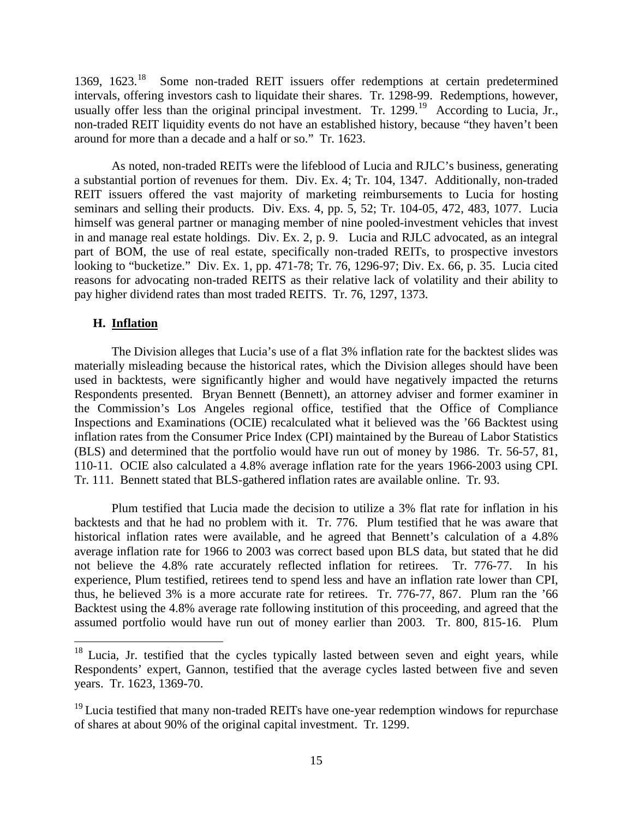1369, 1623.<sup>18</sup> Some non-traded REIT issuers offer redemptions at certain predetermined intervals, offering investors cash to liquidate their shares. Tr. 1298-99. Redemptions, however, usually offer less than the original principal investment. Tr. 1299.<sup>19</sup> According to Lucia, Jr., non-traded REIT liquidity events do not have an established history, because "they haven't been around for more than a decade and a half or so." Tr. 1623.

As noted, non-traded REITs were the lifeblood of Lucia and RJLC's business, generating a substantial portion of revenues for them. Div. Ex. 4; Tr. 104, 1347. Additionally, non-traded REIT issuers offered the vast majority of marketing reimbursements to Lucia for hosting seminars and selling their products. Div. Exs. 4, pp. 5, 52; Tr. 104-05, 472, 483, 1077. Lucia himself was general partner or managing member of nine pooled-investment vehicles that invest in and manage real estate holdings. Div. Ex. 2, p. 9. Lucia and RJLC advocated, as an integral part of BOM, the use of real estate, specifically non-traded REITs, to prospective investors looking to "bucketize." Div. Ex. 1, pp. 471-78; Tr. 76, 1296-97; Div. Ex. 66, p. 35. Lucia cited reasons for advocating non-traded REITS as their relative lack of volatility and their ability to pay higher dividend rates than most traded REITS. Tr. 76, 1297, 1373.

## **H. Inflation**

The Division alleges that Lucia's use of a flat 3% inflation rate for the backtest slides was materially misleading because the historical rates, which the Division alleges should have been used in backtests, were significantly higher and would have negatively impacted the returns Respondents presented. Bryan Bennett (Bennett), an attorney adviser and former examiner in the Commission's Los Angeles regional office, testified that the Office of Compliance Inspections and Examinations (OCIE) recalculated what it believed was the '66 Backtest using inflation rates from the Consumer Price Index (CPI) maintained by the Bureau of Labor Statistics (BLS) and determined that the portfolio would have run out of money by 1986. Tr. 56-57, 81, 110-11. OCIE also calculated a 4.8% average inflation rate for the years 1966-2003 using CPI. Tr. 111. Bennett stated that BLS-gathered inflation rates are available online. Tr. 93.

Plum testified that Lucia made the decision to utilize a 3% flat rate for inflation in his backtests and that he had no problem with it. Tr. 776. Plum testified that he was aware that historical inflation rates were available, and he agreed that Bennett's calculation of a 4.8% average inflation rate for 1966 to 2003 was correct based upon BLS data, but stated that he did not believe the 4.8% rate accurately reflected inflation for retirees. Tr. 776-77. In his experience, Plum testified, retirees tend to spend less and have an inflation rate lower than CPI, thus, he believed 3% is a more accurate rate for retirees. Tr. 776-77, 867. Plum ran the '66 Backtest using the 4.8% average rate following institution of this proceeding, and agreed that the assumed portfolio would have run out of money earlier than 2003. Tr. 800, 815-16. Plum

 $18$  Lucia, Jr. testified that the cycles typically lasted between seven and eight years, while Respondents' expert, Gannon, testified that the average cycles lasted between five and seven years. Tr. 1623, 1369-70.

 $19$  Lucia testified that many non-traded REITs have one-year redemption windows for repurchase of shares at about 90% of the original capital investment. Tr. 1299.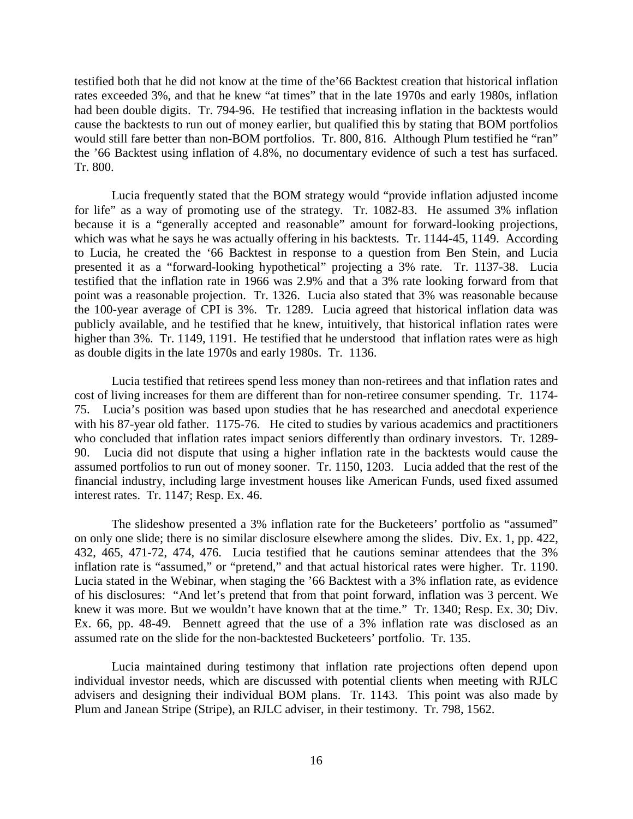testified both that he did not know at the time of the'66 Backtest creation that historical inflation rates exceeded 3%, and that he knew "at times" that in the late 1970s and early 1980s, inflation had been double digits. Tr. 794-96. He testified that increasing inflation in the backtests would cause the backtests to run out of money earlier, but qualified this by stating that BOM portfolios would still fare better than non-BOM portfolios. Tr. 800, 816. Although Plum testified he "ran" the '66 Backtest using inflation of 4.8%, no documentary evidence of such a test has surfaced. Tr. 800.

Lucia frequently stated that the BOM strategy would "provide inflation adjusted income for life" as a way of promoting use of the strategy. Tr. 1082-83. He assumed 3% inflation because it is a "generally accepted and reasonable" amount for forward-looking projections, which was what he says he was actually offering in his backtests. Tr. 1144-45, 1149. According to Lucia, he created the '66 Backtest in response to a question from Ben Stein, and Lucia presented it as a "forward-looking hypothetical" projecting a 3% rate. Tr. 1137-38. Lucia testified that the inflation rate in 1966 was 2.9% and that a 3% rate looking forward from that point was a reasonable projection. Tr. 1326. Lucia also stated that 3% was reasonable because the 100-year average of CPI is 3%. Tr. 1289. Lucia agreed that historical inflation data was publicly available, and he testified that he knew, intuitively, that historical inflation rates were higher than 3%. Tr. 1149, 1191. He testified that he understood that inflation rates were as high as double digits in the late 1970s and early 1980s. Tr. 1136.

Lucia testified that retirees spend less money than non-retirees and that inflation rates and cost of living increases for them are different than for non-retiree consumer spending. Tr. 1174- 75. Lucia's position was based upon studies that he has researched and anecdotal experience with his 87-year old father. 1175-76. He cited to studies by various academics and practitioners who concluded that inflation rates impact seniors differently than ordinary investors. Tr. 1289- 90. Lucia did not dispute that using a higher inflation rate in the backtests would cause the assumed portfolios to run out of money sooner. Tr. 1150, 1203. Lucia added that the rest of the financial industry, including large investment houses like American Funds, used fixed assumed interest rates. Tr. 1147; Resp. Ex. 46.

The slideshow presented a 3% inflation rate for the Bucketeers' portfolio as "assumed" on only one slide; there is no similar disclosure elsewhere among the slides. Div. Ex. 1, pp. 422, 432, 465, 471-72, 474, 476. Lucia testified that he cautions seminar attendees that the 3% inflation rate is "assumed," or "pretend," and that actual historical rates were higher. Tr. 1190. Lucia stated in the Webinar, when staging the '66 Backtest with a 3% inflation rate, as evidence of his disclosures: "And let's pretend that from that point forward, inflation was 3 percent. We knew it was more. But we wouldn't have known that at the time." Tr. 1340; Resp. Ex. 30; Div. Ex. 66, pp. 48-49. Bennett agreed that the use of a 3% inflation rate was disclosed as an assumed rate on the slide for the non-backtested Bucketeers' portfolio. Tr. 135.

Lucia maintained during testimony that inflation rate projections often depend upon individual investor needs, which are discussed with potential clients when meeting with RJLC advisers and designing their individual BOM plans. Tr. 1143. This point was also made by Plum and Janean Stripe (Stripe), an RJLC adviser, in their testimony. Tr. 798, 1562.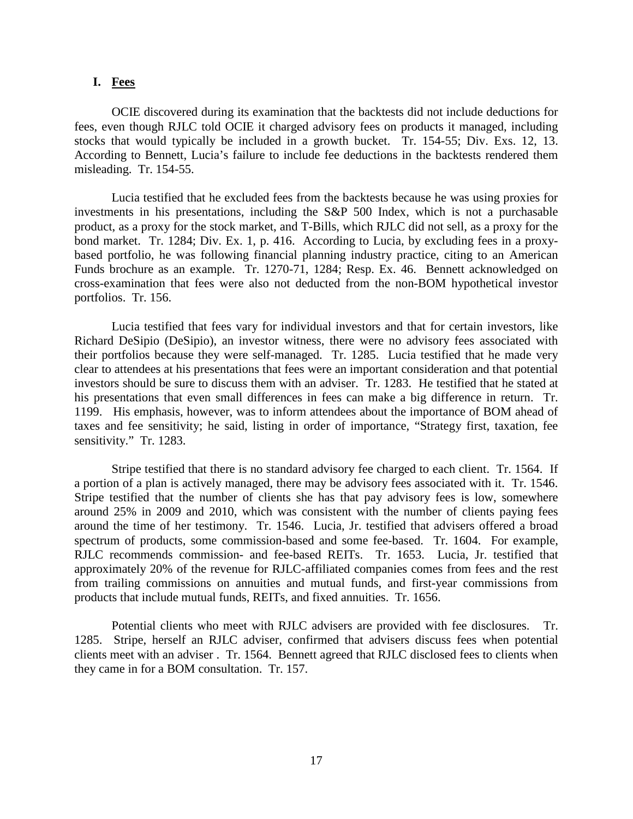### **I. Fees**

OCIE discovered during its examination that the backtests did not include deductions for fees, even though RJLC told OCIE it charged advisory fees on products it managed, including stocks that would typically be included in a growth bucket. Tr. 154-55; Div. Exs. 12, 13. According to Bennett, Lucia's failure to include fee deductions in the backtests rendered them misleading. Tr. 154-55.

Lucia testified that he excluded fees from the backtests because he was using proxies for investments in his presentations, including the S&P 500 Index, which is not a purchasable product, as a proxy for the stock market, and T-Bills, which RJLC did not sell, as a proxy for the bond market. Tr. 1284; Div. Ex. 1, p. 416. According to Lucia, by excluding fees in a proxybased portfolio, he was following financial planning industry practice, citing to an American Funds brochure as an example. Tr. 1270-71, 1284; Resp. Ex. 46. Bennett acknowledged on cross-examination that fees were also not deducted from the non-BOM hypothetical investor portfolios. Tr. 156.

Lucia testified that fees vary for individual investors and that for certain investors, like Richard DeSipio (DeSipio), an investor witness, there were no advisory fees associated with their portfolios because they were self-managed. Tr. 1285. Lucia testified that he made very clear to attendees at his presentations that fees were an important consideration and that potential investors should be sure to discuss them with an adviser. Tr. 1283. He testified that he stated at his presentations that even small differences in fees can make a big difference in return. Tr. 1199. His emphasis, however, was to inform attendees about the importance of BOM ahead of taxes and fee sensitivity; he said, listing in order of importance, "Strategy first, taxation, fee sensitivity." Tr. 1283.

Stripe testified that there is no standard advisory fee charged to each client. Tr. 1564. If a portion of a plan is actively managed, there may be advisory fees associated with it. Tr. 1546. Stripe testified that the number of clients she has that pay advisory fees is low, somewhere around 25% in 2009 and 2010, which was consistent with the number of clients paying fees around the time of her testimony. Tr. 1546. Lucia, Jr. testified that advisers offered a broad spectrum of products, some commission-based and some fee-based. Tr. 1604. For example, RJLC recommends commission- and fee-based REITs. Tr. 1653. Lucia, Jr. testified that approximately 20% of the revenue for RJLC-affiliated companies comes from fees and the rest from trailing commissions on annuities and mutual funds, and first-year commissions from products that include mutual funds, REITs, and fixed annuities. Tr. 1656.

Potential clients who meet with RJLC advisers are provided with fee disclosures. Tr. 1285. Stripe, herself an RJLC adviser, confirmed that advisers discuss fees when potential clients meet with an adviser . Tr. 1564. Bennett agreed that RJLC disclosed fees to clients when they came in for a BOM consultation. Tr. 157.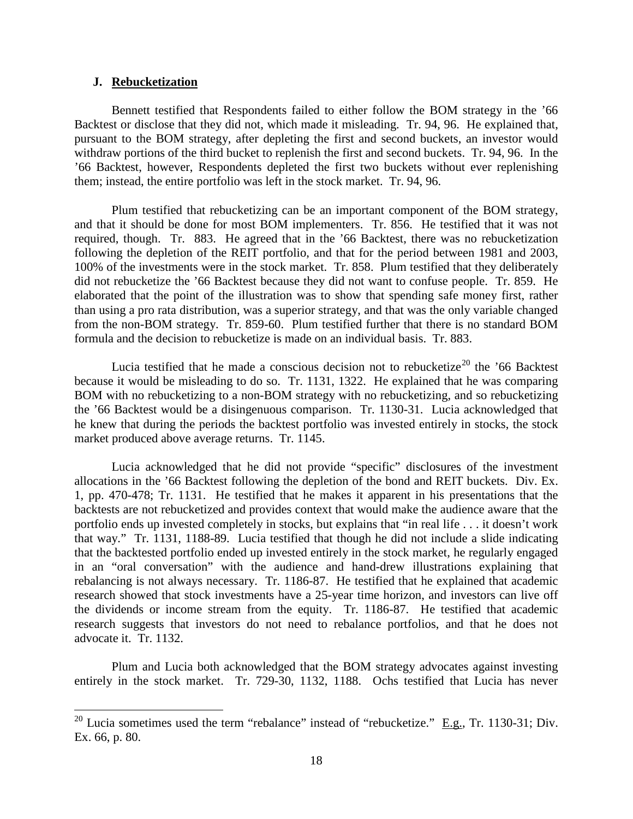#### **J. Rebucketization**

Bennett testified that Respondents failed to either follow the BOM strategy in the '66 Backtest or disclose that they did not, which made it misleading. Tr. 94, 96. He explained that, pursuant to the BOM strategy, after depleting the first and second buckets, an investor would withdraw portions of the third bucket to replenish the first and second buckets. Tr. 94, 96. In the '66 Backtest, however, Respondents depleted the first two buckets without ever replenishing them; instead, the entire portfolio was left in the stock market. Tr. 94, 96.

Plum testified that rebucketizing can be an important component of the BOM strategy, and that it should be done for most BOM implementers. Tr. 856. He testified that it was not required, though. Tr. 883. He agreed that in the '66 Backtest, there was no rebucketization following the depletion of the REIT portfolio, and that for the period between 1981 and 2003, 100% of the investments were in the stock market. Tr. 858. Plum testified that they deliberately did not rebucketize the '66 Backtest because they did not want to confuse people. Tr. 859. He elaborated that the point of the illustration was to show that spending safe money first, rather than using a pro rata distribution, was a superior strategy, and that was the only variable changed from the non-BOM strategy. Tr. 859-60. Plum testified further that there is no standard BOM formula and the decision to rebucketize is made on an individual basis. Tr. 883.

Lucia testified that he made a conscious decision not to rebucketize<sup>20</sup> the '66 Backtest' because it would be misleading to do so. Tr. 1131, 1322. He explained that he was comparing BOM with no rebucketizing to a non-BOM strategy with no rebucketizing, and so rebucketizing the '66 Backtest would be a disingenuous comparison. Tr. 1130-31. Lucia acknowledged that he knew that during the periods the backtest portfolio was invested entirely in stocks, the stock market produced above average returns. Tr. 1145.

Lucia acknowledged that he did not provide "specific" disclosures of the investment allocations in the '66 Backtest following the depletion of the bond and REIT buckets. Div. Ex. 1, pp. 470-478; Tr. 1131. He testified that he makes it apparent in his presentations that the backtests are not rebucketized and provides context that would make the audience aware that the portfolio ends up invested completely in stocks, but explains that "in real life . . . it doesn't work that way." Tr. 1131, 1188-89. Lucia testified that though he did not include a slide indicating that the backtested portfolio ended up invested entirely in the stock market, he regularly engaged in an "oral conversation" with the audience and hand-drew illustrations explaining that rebalancing is not always necessary. Tr. 1186-87. He testified that he explained that academic research showed that stock investments have a 25-year time horizon, and investors can live off the dividends or income stream from the equity. Tr. 1186-87. He testified that academic research suggests that investors do not need to rebalance portfolios, and that he does not advocate it. Tr. 1132.

Plum and Lucia both acknowledged that the BOM strategy advocates against investing entirely in the stock market. Tr. 729-30, 1132, 1188. Ochs testified that Lucia has never

<sup>&</sup>lt;sup>20</sup> Lucia sometimes used the term "rebalance" instead of "rebucketize."  $E.g., Tr. 1130-31; Div.$ Ex. 66, p. 80.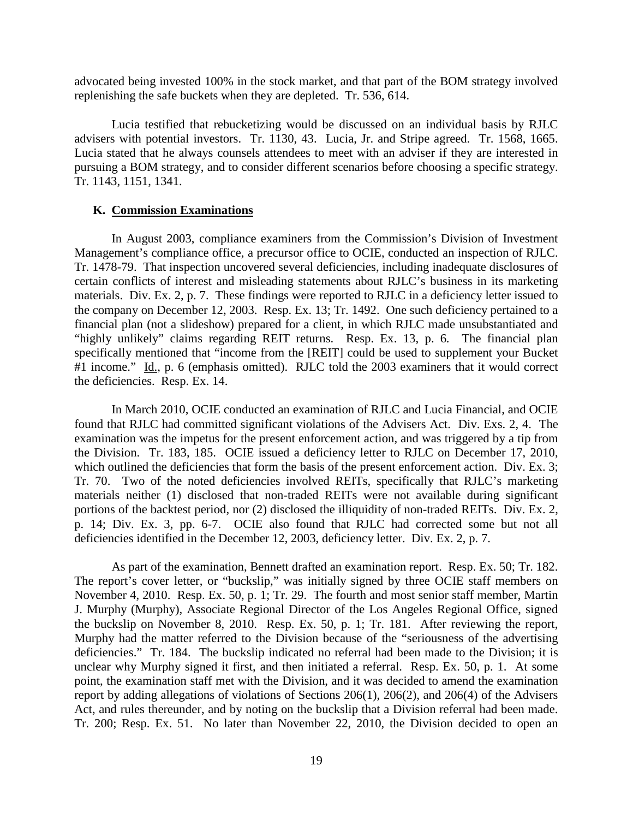advocated being invested 100% in the stock market, and that part of the BOM strategy involved replenishing the safe buckets when they are depleted. Tr. 536, 614.

Lucia testified that rebucketizing would be discussed on an individual basis by RJLC advisers with potential investors. Tr. 1130, 43. Lucia, Jr. and Stripe agreed. Tr. 1568, 1665. Lucia stated that he always counsels attendees to meet with an adviser if they are interested in pursuing a BOM strategy, and to consider different scenarios before choosing a specific strategy. Tr. 1143, 1151, 1341.

### **K. Commission Examinations**

In August 2003, compliance examiners from the Commission's Division of Investment Management's compliance office, a precursor office to OCIE, conducted an inspection of RJLC. Tr. 1478-79. That inspection uncovered several deficiencies, including inadequate disclosures of certain conflicts of interest and misleading statements about RJLC's business in its marketing materials. Div. Ex. 2, p. 7. These findings were reported to RJLC in a deficiency letter issued to the company on December 12, 2003. Resp. Ex. 13; Tr. 1492. One such deficiency pertained to a financial plan (not a slideshow) prepared for a client, in which RJLC made unsubstantiated and "highly unlikely" claims regarding REIT returns. Resp. Ex. 13, p. 6. The financial plan specifically mentioned that "income from the [REIT] could be used to supplement your Bucket #1 income." Id., p. 6 (emphasis omitted). RJLC told the 2003 examiners that it would correct the deficiencies. Resp. Ex. 14.

In March 2010, OCIE conducted an examination of RJLC and Lucia Financial, and OCIE found that RJLC had committed significant violations of the Advisers Act. Div. Exs. 2, 4. The examination was the impetus for the present enforcement action, and was triggered by a tip from the Division. Tr. 183, 185. OCIE issued a deficiency letter to RJLC on December 17, 2010, which outlined the deficiencies that form the basis of the present enforcement action. Div. Ex. 3; Tr. 70. Two of the noted deficiencies involved REITs, specifically that RJLC's marketing materials neither (1) disclosed that non-traded REITs were not available during significant portions of the backtest period, nor (2) disclosed the illiquidity of non-traded REITs. Div. Ex. 2, p. 14; Div. Ex. 3, pp. 6-7. OCIE also found that RJLC had corrected some but not all deficiencies identified in the December 12, 2003, deficiency letter. Div. Ex. 2, p. 7.

As part of the examination, Bennett drafted an examination report. Resp. Ex. 50; Tr. 182. The report's cover letter, or "buckslip," was initially signed by three OCIE staff members on November 4, 2010. Resp. Ex. 50, p. 1; Tr. 29. The fourth and most senior staff member, Martin J. Murphy (Murphy), Associate Regional Director of the Los Angeles Regional Office, signed the buckslip on November 8, 2010. Resp. Ex. 50, p. 1; Tr. 181. After reviewing the report, Murphy had the matter referred to the Division because of the "seriousness of the advertising deficiencies." Tr. 184. The buckslip indicated no referral had been made to the Division; it is unclear why Murphy signed it first, and then initiated a referral. Resp. Ex. 50, p. 1. At some point, the examination staff met with the Division, and it was decided to amend the examination report by adding allegations of violations of Sections 206(1), 206(2), and 206(4) of the Advisers Act, and rules thereunder, and by noting on the buckslip that a Division referral had been made. Tr. 200; Resp. Ex. 51. No later than November 22, 2010, the Division decided to open an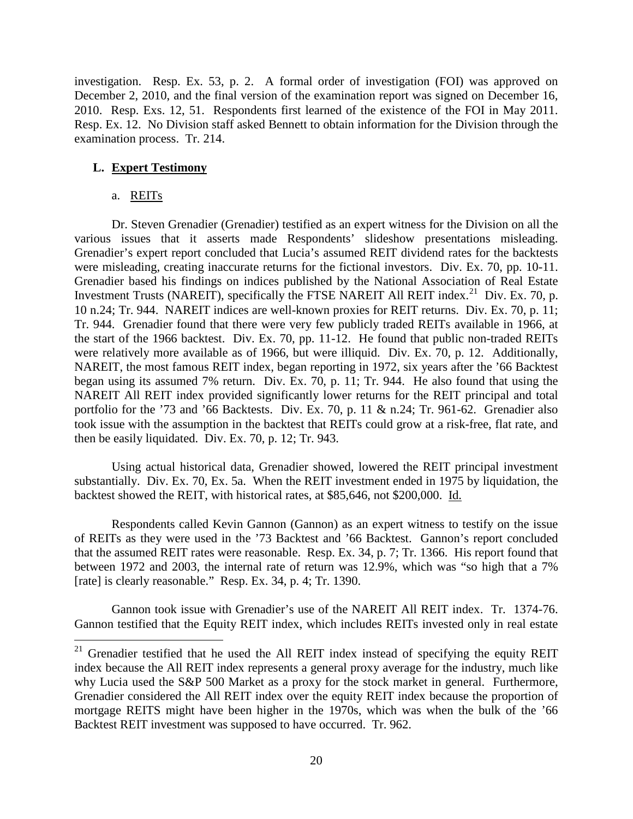investigation. Resp. Ex. 53, p. 2. A formal order of investigation (FOI) was approved on December 2, 2010, and the final version of the examination report was signed on December 16, 2010. Resp. Exs. 12, 51. Respondents first learned of the existence of the FOI in May 2011. Resp. Ex. 12. No Division staff asked Bennett to obtain information for the Division through the examination process. Tr. 214.

## **L. Expert Testimony**

a. REITs

Dr. Steven Grenadier (Grenadier) testified as an expert witness for the Division on all the various issues that it asserts made Respondents' slideshow presentations misleading. Grenadier's expert report concluded that Lucia's assumed REIT dividend rates for the backtests were misleading, creating inaccurate returns for the fictional investors. Div. Ex. 70, pp. 10-11. Grenadier based his findings on indices published by the National Association of Real Estate Investment Trusts (NAREIT), specifically the FTSE NAREIT All REIT index.<sup>21</sup> Div. Ex. 70, p. 10 n.24; Tr. 944. NAREIT indices are well-known proxies for REIT returns. Div. Ex. 70, p. 11; Tr. 944. Grenadier found that there were very few publicly traded REITs available in 1966, at the start of the 1966 backtest. Div. Ex. 70, pp. 11-12. He found that public non-traded REITs were relatively more available as of 1966, but were illiquid. Div. Ex. 70, p. 12. Additionally, NAREIT, the most famous REIT index, began reporting in 1972, six years after the '66 Backtest began using its assumed 7% return. Div. Ex. 70, p. 11; Tr. 944. He also found that using the NAREIT All REIT index provided significantly lower returns for the REIT principal and total portfolio for the '73 and '66 Backtests. Div. Ex. 70, p. 11 & n.24; Tr. 961-62. Grenadier also took issue with the assumption in the backtest that REITs could grow at a risk-free, flat rate, and then be easily liquidated. Div. Ex. 70, p. 12; Tr. 943.

Using actual historical data, Grenadier showed, lowered the REIT principal investment substantially. Div. Ex. 70, Ex. 5a. When the REIT investment ended in 1975 by liquidation, the backtest showed the REIT, with historical rates, at \$85,646, not \$200,000. Id.

Respondents called Kevin Gannon (Gannon) as an expert witness to testify on the issue of REITs as they were used in the '73 Backtest and '66 Backtest. Gannon's report concluded that the assumed REIT rates were reasonable. Resp. Ex. 34, p. 7; Tr. 1366. His report found that between 1972 and 2003, the internal rate of return was 12.9%, which was "so high that a 7% [rate] is clearly reasonable." Resp. Ex. 34, p. 4; Tr. 1390.

Gannon took issue with Grenadier's use of the NAREIT All REIT index. Tr. 1374-76. Gannon testified that the Equity REIT index, which includes REITs invested only in real estate

 $21$  Grenadier testified that he used the All REIT index instead of specifying the equity REIT index because the All REIT index represents a general proxy average for the industry, much like why Lucia used the S&P 500 Market as a proxy for the stock market in general. Furthermore, Grenadier considered the All REIT index over the equity REIT index because the proportion of mortgage REITS might have been higher in the 1970s, which was when the bulk of the '66 Backtest REIT investment was supposed to have occurred. Tr. 962.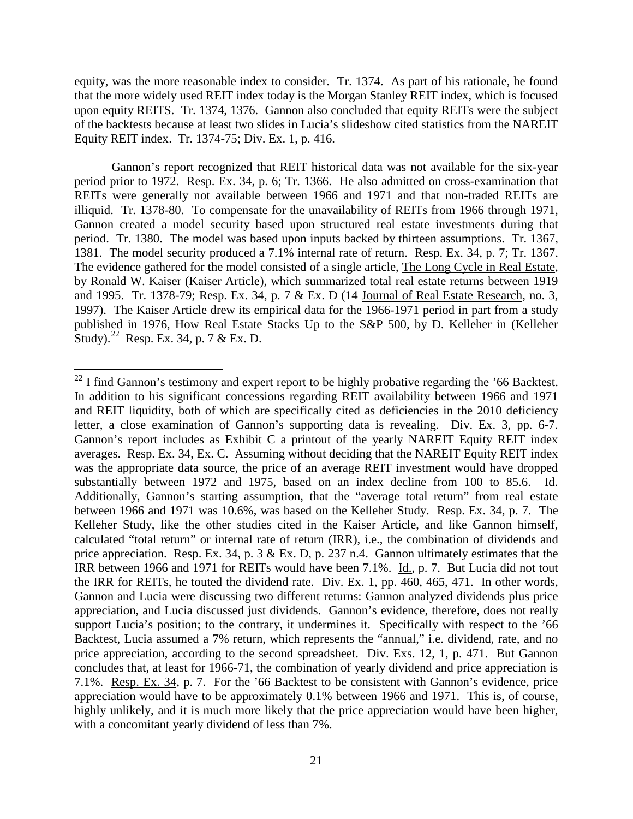equity, was the more reasonable index to consider. Tr. 1374. As part of his rationale, he found that the more widely used REIT index today is the Morgan Stanley REIT index, which is focused upon equity REITS. Tr. 1374, 1376. Gannon also concluded that equity REITs were the subject of the backtests because at least two slides in Lucia's slideshow cited statistics from the NAREIT Equity REIT index. Tr. 1374-75; Div. Ex. 1, p. 416.

Gannon's report recognized that REIT historical data was not available for the six-year period prior to 1972. Resp. Ex. 34, p. 6; Tr. 1366. He also admitted on cross-examination that REITs were generally not available between 1966 and 1971 and that non-traded REITs are illiquid. Tr. 1378-80. To compensate for the unavailability of REITs from 1966 through 1971, Gannon created a model security based upon structured real estate investments during that period. Tr. 1380. The model was based upon inputs backed by thirteen assumptions. Tr. 1367, 1381. The model security produced a 7.1% internal rate of return. Resp. Ex. 34, p. 7; Tr. 1367. The evidence gathered for the model consisted of a single article, The Long Cycle in Real Estate, by Ronald W. Kaiser (Kaiser Article), which summarized total real estate returns between 1919 and 1995. Tr. 1378-79; Resp. Ex. 34, p. 7 & Ex. D (14 Journal of Real Estate Research, no. 3, 1997). The Kaiser Article drew its empirical data for the 1966-1971 period in part from a study published in 1976, How Real Estate Stacks Up to the S&P 500, by D. Kelleher in (Kelleher Study).<sup>22</sup> Resp. Ex. 34, p. 7 & Ex. D.

 $22$  I find Gannon's testimony and expert report to be highly probative regarding the '66 Backtest. In addition to his significant concessions regarding REIT availability between 1966 and 1971 and REIT liquidity, both of which are specifically cited as deficiencies in the 2010 deficiency letter, a close examination of Gannon's supporting data is revealing. Div. Ex. 3, pp. 6-7. Gannon's report includes as Exhibit C a printout of the yearly NAREIT Equity REIT index averages. Resp. Ex. 34, Ex. C. Assuming without deciding that the NAREIT Equity REIT index was the appropriate data source, the price of an average REIT investment would have dropped substantially between 1972 and 1975, based on an index decline from 100 to 85.6. Id. Additionally, Gannon's starting assumption, that the "average total return" from real estate between 1966 and 1971 was 10.6%, was based on the Kelleher Study. Resp. Ex. 34, p. 7. The Kelleher Study, like the other studies cited in the Kaiser Article, and like Gannon himself, calculated "total return" or internal rate of return (IRR), i.e., the combination of dividends and price appreciation. Resp. Ex. 34, p. 3  $\&$  Ex. D, p. 237 n.4. Gannon ultimately estimates that the IRR between 1966 and 1971 for REITs would have been 7.1%. Id., p. 7. But Lucia did not tout the IRR for REITs, he touted the dividend rate. Div. Ex. 1, pp. 460, 465, 471. In other words, Gannon and Lucia were discussing two different returns: Gannon analyzed dividends plus price appreciation, and Lucia discussed just dividends. Gannon's evidence, therefore, does not really support Lucia's position; to the contrary, it undermines it. Specifically with respect to the '66 Backtest, Lucia assumed a 7% return, which represents the "annual," i.e. dividend, rate, and no price appreciation, according to the second spreadsheet. Div. Exs. 12, 1, p. 471. But Gannon concludes that, at least for 1966-71, the combination of yearly dividend and price appreciation is 7.1%. Resp. Ex. 34, p. 7. For the '66 Backtest to be consistent with Gannon's evidence, price appreciation would have to be approximately 0.1% between 1966 and 1971. This is, of course, highly unlikely, and it is much more likely that the price appreciation would have been higher, with a concomitant yearly dividend of less than 7%.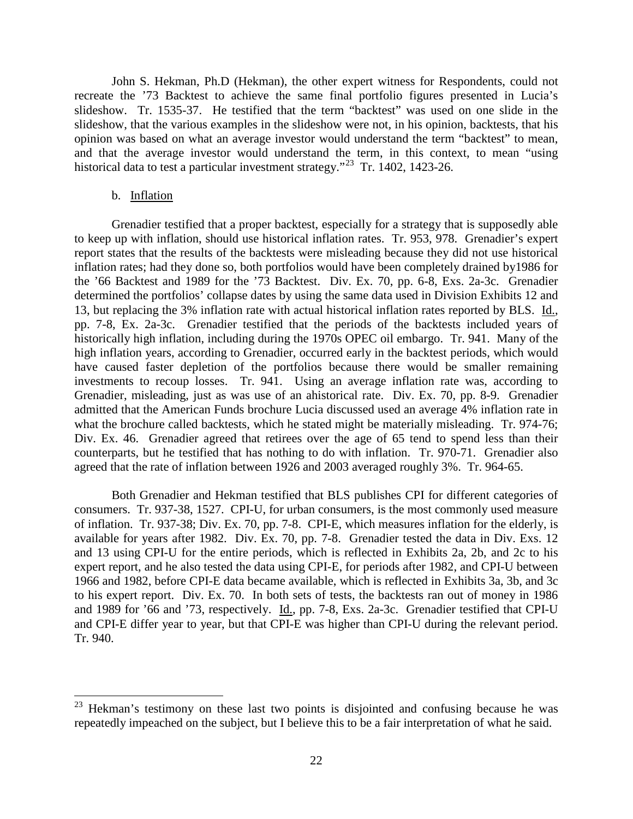John S. Hekman, Ph.D (Hekman), the other expert witness for Respondents, could not recreate the '73 Backtest to achieve the same final portfolio figures presented in Lucia's slideshow. Tr. 1535-37. He testified that the term "backtest" was used on one slide in the slideshow, that the various examples in the slideshow were not, in his opinion, backtests, that his opinion was based on what an average investor would understand the term "backtest" to mean, and that the average investor would understand the term, in this context, to mean "using historical data to test a particular investment strategy."<sup>23</sup> Tr. 1402, 1423-26.

### b. Inflation

Grenadier testified that a proper backtest, especially for a strategy that is supposedly able to keep up with inflation, should use historical inflation rates. Tr. 953, 978. Grenadier's expert report states that the results of the backtests were misleading because they did not use historical inflation rates; had they done so, both portfolios would have been completely drained by1986 for the '66 Backtest and 1989 for the '73 Backtest. Div. Ex. 70, pp. 6-8, Exs. 2a-3c. Grenadier determined the portfolios' collapse dates by using the same data used in Division Exhibits 12 and 13, but replacing the 3% inflation rate with actual historical inflation rates reported by BLS. Id., pp. 7-8, Ex. 2a-3c. Grenadier testified that the periods of the backtests included years of historically high inflation, including during the 1970s OPEC oil embargo. Tr. 941. Many of the high inflation years, according to Grenadier, occurred early in the backtest periods, which would have caused faster depletion of the portfolios because there would be smaller remaining investments to recoup losses. Tr. 941. Using an average inflation rate was, according to Grenadier, misleading, just as was use of an ahistorical rate. Div. Ex. 70, pp. 8-9. Grenadier admitted that the American Funds brochure Lucia discussed used an average 4% inflation rate in what the brochure called backtests, which he stated might be materially misleading. Tr. 974-76; Div. Ex. 46. Grenadier agreed that retirees over the age of 65 tend to spend less than their counterparts, but he testified that has nothing to do with inflation. Tr. 970-71. Grenadier also agreed that the rate of inflation between 1926 and 2003 averaged roughly 3%. Tr. 964-65.

Both Grenadier and Hekman testified that BLS publishes CPI for different categories of consumers. Tr. 937-38, 1527. CPI-U, for urban consumers, is the most commonly used measure of inflation. Tr. 937-38; Div. Ex. 70, pp. 7-8. CPI-E, which measures inflation for the elderly, is available for years after 1982. Div. Ex. 70, pp. 7-8. Grenadier tested the data in Div. Exs. 12 and 13 using CPI-U for the entire periods, which is reflected in Exhibits 2a, 2b, and 2c to his expert report, and he also tested the data using CPI-E, for periods after 1982, and CPI-U between 1966 and 1982, before CPI-E data became available, which is reflected in Exhibits 3a, 3b, and 3c to his expert report. Div. Ex. 70. In both sets of tests, the backtests ran out of money in 1986 and 1989 for '66 and '73, respectively. Id., pp. 7-8, Exs. 2a-3c. Grenadier testified that CPI-U and CPI-E differ year to year, but that CPI-E was higher than CPI-U during the relevant period. Tr. 940.

<sup>&</sup>lt;sup>23</sup> Hekman's testimony on these last two points is disjointed and confusing because he was repeatedly impeached on the subject, but I believe this to be a fair interpretation of what he said.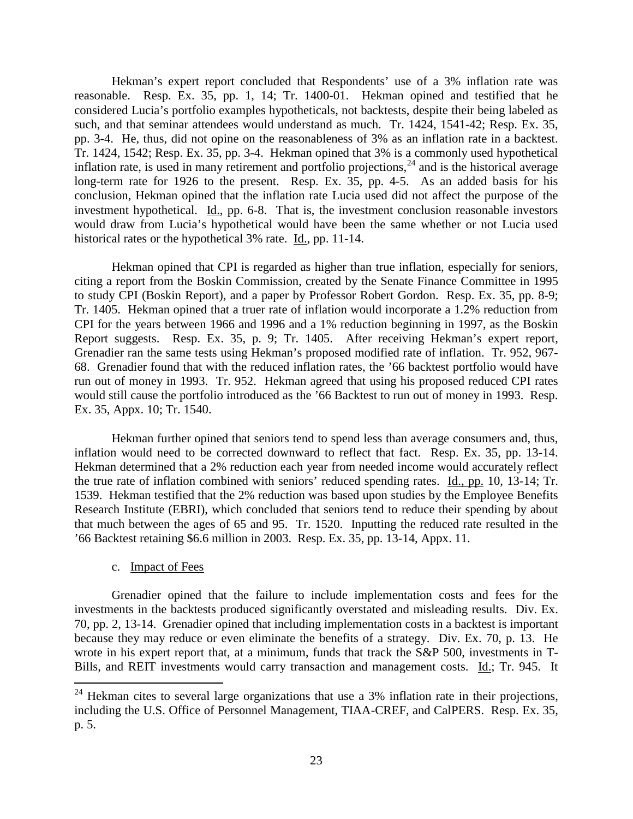Hekman's expert report concluded that Respondents' use of a 3% inflation rate was reasonable. Resp. Ex. 35, pp. 1, 14; Tr. 1400-01. Hekman opined and testified that he considered Lucia's portfolio examples hypotheticals, not backtests, despite their being labeled as such, and that seminar attendees would understand as much. Tr. 1424, 1541-42; Resp. Ex. 35, pp. 3-4. He, thus, did not opine on the reasonableness of 3% as an inflation rate in a backtest. Tr. 1424, 1542; Resp. Ex. 35, pp. 3-4. Hekman opined that 3% is a commonly used hypothetical inflation rate, is used in many retirement and portfolio projections,  $^{24}$  and is the historical average long-term rate for 1926 to the present. Resp. Ex. 35, pp. 4-5. As an added basis for his conclusion, Hekman opined that the inflation rate Lucia used did not affect the purpose of the investment hypothetical. Id., pp. 6-8. That is, the investment conclusion reasonable investors would draw from Lucia's hypothetical would have been the same whether or not Lucia used historical rates or the hypothetical 3% rate. Id., pp. 11-14.

Hekman opined that CPI is regarded as higher than true inflation, especially for seniors, citing a report from the Boskin Commission, created by the Senate Finance Committee in 1995 to study CPI (Boskin Report), and a paper by Professor Robert Gordon. Resp. Ex. 35, pp. 8-9; Tr. 1405. Hekman opined that a truer rate of inflation would incorporate a 1.2% reduction from CPI for the years between 1966 and 1996 and a 1% reduction beginning in 1997, as the Boskin Report suggests. Resp. Ex. 35, p. 9; Tr. 1405. After receiving Hekman's expert report, Grenadier ran the same tests using Hekman's proposed modified rate of inflation. Tr. 952, 967- 68. Grenadier found that with the reduced inflation rates, the '66 backtest portfolio would have run out of money in 1993. Tr. 952. Hekman agreed that using his proposed reduced CPI rates would still cause the portfolio introduced as the '66 Backtest to run out of money in 1993. Resp. Ex. 35, Appx. 10; Tr. 1540.

Hekman further opined that seniors tend to spend less than average consumers and, thus, inflation would need to be corrected downward to reflect that fact. Resp. Ex. 35, pp. 13-14. Hekman determined that a 2% reduction each year from needed income would accurately reflect the true rate of inflation combined with seniors' reduced spending rates. Id., pp. 10, 13-14; Tr. 1539. Hekman testified that the 2% reduction was based upon studies by the Employee Benefits Research Institute (EBRI), which concluded that seniors tend to reduce their spending by about that much between the ages of 65 and 95. Tr. 1520. Inputting the reduced rate resulted in the '66 Backtest retaining \$6.6 million in 2003. Resp. Ex. 35, pp. 13-14, Appx. 11.

c. Impact of Fees

Grenadier opined that the failure to include implementation costs and fees for the investments in the backtests produced significantly overstated and misleading results. Div. Ex. 70, pp. 2, 13-14. Grenadier opined that including implementation costs in a backtest is important because they may reduce or even eliminate the benefits of a strategy. Div. Ex. 70, p. 13. He wrote in his expert report that, at a minimum, funds that track the S&P 500, investments in T-Bills, and REIT investments would carry transaction and management costs. Id.; Tr. 945. It

 $24$  Hekman cites to several large organizations that use a 3% inflation rate in their projections, including the U.S. Office of Personnel Management, TIAA-CREF, and CalPERS. Resp. Ex. 35, p. 5.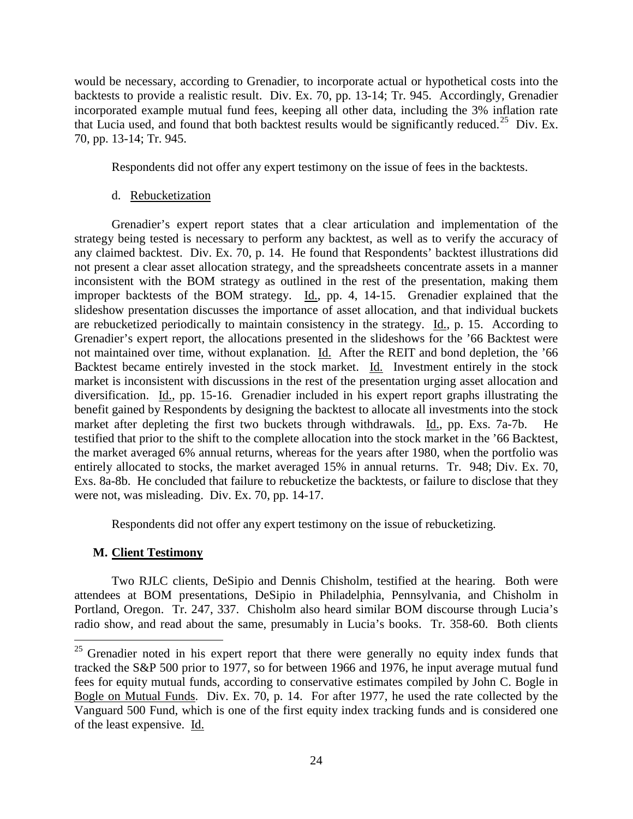would be necessary, according to Grenadier, to incorporate actual or hypothetical costs into the backtests to provide a realistic result. Div. Ex. 70, pp. 13-14; Tr. 945. Accordingly, Grenadier incorporated example mutual fund fees, keeping all other data, including the 3% inflation rate that Lucia used, and found that both backtest results would be significantly reduced.25 Div. Ex. 70, pp. 13-14; Tr. 945.

Respondents did not offer any expert testimony on the issue of fees in the backtests.

# d. Rebucketization

Grenadier's expert report states that a clear articulation and implementation of the strategy being tested is necessary to perform any backtest, as well as to verify the accuracy of any claimed backtest. Div. Ex. 70, p. 14. He found that Respondents' backtest illustrations did not present a clear asset allocation strategy, and the spreadsheets concentrate assets in a manner inconsistent with the BOM strategy as outlined in the rest of the presentation, making them improper backtests of the BOM strategy. Id., pp. 4, 14-15. Grenadier explained that the slideshow presentation discusses the importance of asset allocation, and that individual buckets are rebucketized periodically to maintain consistency in the strategy. Id., p. 15. According to Grenadier's expert report, the allocations presented in the slideshows for the '66 Backtest were not maintained over time, without explanation. Id. After the REIT and bond depletion, the '66 Backtest became entirely invested in the stock market. Id. Investment entirely in the stock market is inconsistent with discussions in the rest of the presentation urging asset allocation and diversification. Id., pp. 15-16. Grenadier included in his expert report graphs illustrating the benefit gained by Respondents by designing the backtest to allocate all investments into the stock market after depleting the first two buckets through withdrawals. Id., pp. Exs. 7a-7b. He testified that prior to the shift to the complete allocation into the stock market in the '66 Backtest, the market averaged 6% annual returns, whereas for the years after 1980, when the portfolio was entirely allocated to stocks, the market averaged 15% in annual returns. Tr. 948; Div. Ex. 70, Exs. 8a-8b. He concluded that failure to rebucketize the backtests, or failure to disclose that they were not, was misleading. Div. Ex. 70, pp. 14-17.

Respondents did not offer any expert testimony on the issue of rebucketizing.

# **M. Client Testimony**

Two RJLC clients, DeSipio and Dennis Chisholm, testified at the hearing. Both were attendees at BOM presentations, DeSipio in Philadelphia, Pennsylvania, and Chisholm in Portland, Oregon. Tr. 247, 337. Chisholm also heard similar BOM discourse through Lucia's radio show, and read about the same, presumably in Lucia's books. Tr. 358-60. Both clients

<sup>&</sup>lt;sup>25</sup> Grenadier noted in his expert report that there were generally no equity index funds that tracked the S&P 500 prior to 1977, so for between 1966 and 1976, he input average mutual fund fees for equity mutual funds, according to conservative estimates compiled by John C. Bogle in Bogle on Mutual Funds. Div. Ex. 70, p. 14. For after 1977, he used the rate collected by the Vanguard 500 Fund, which is one of the first equity index tracking funds and is considered one of the least expensive. Id.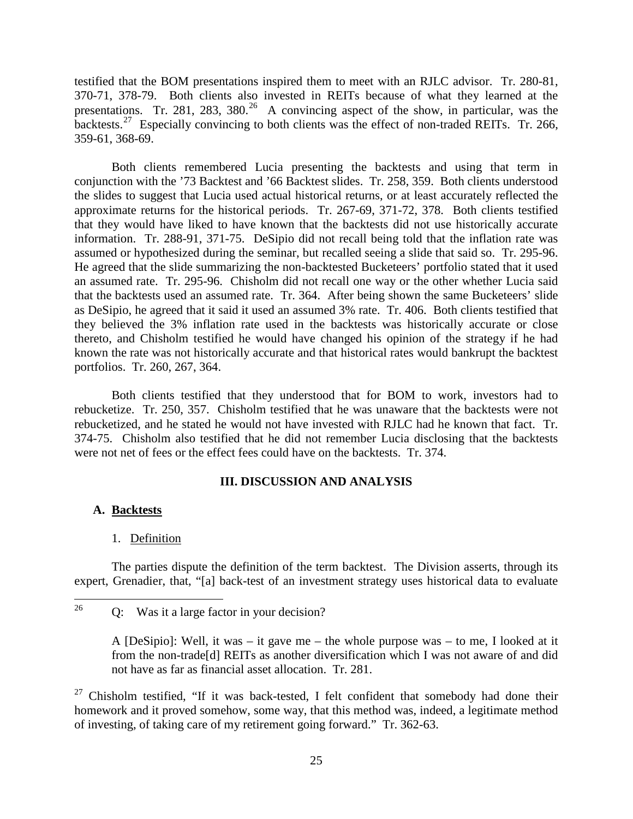testified that the BOM presentations inspired them to meet with an RJLC advisor. Tr. 280-81, 370-71, 378-79. Both clients also invested in REITs because of what they learned at the presentations. Tr. 281, 283, 380.<sup>26</sup> A convincing aspect of the show, in particular, was the backtests.<sup>27</sup> Especially convincing to both clients was the effect of non-traded REITs. Tr. 266, 359-61, 368-69.

Both clients remembered Lucia presenting the backtests and using that term in conjunction with the '73 Backtest and '66 Backtest slides. Tr. 258, 359. Both clients understood the slides to suggest that Lucia used actual historical returns, or at least accurately reflected the approximate returns for the historical periods. Tr. 267-69, 371-72, 378. Both clients testified that they would have liked to have known that the backtests did not use historically accurate information. Tr. 288-91, 371-75. DeSipio did not recall being told that the inflation rate was assumed or hypothesized during the seminar, but recalled seeing a slide that said so. Tr. 295-96. He agreed that the slide summarizing the non-backtested Bucketeers' portfolio stated that it used an assumed rate. Tr. 295-96. Chisholm did not recall one way or the other whether Lucia said that the backtests used an assumed rate. Tr. 364. After being shown the same Bucketeers' slide as DeSipio, he agreed that it said it used an assumed 3% rate. Tr. 406. Both clients testified that they believed the 3% inflation rate used in the backtests was historically accurate or close thereto, and Chisholm testified he would have changed his opinion of the strategy if he had known the rate was not historically accurate and that historical rates would bankrupt the backtest portfolios. Tr. 260, 267, 364.

Both clients testified that they understood that for BOM to work, investors had to rebucketize. Tr. 250, 357. Chisholm testified that he was unaware that the backtests were not rebucketized, and he stated he would not have invested with RJLC had he known that fact. Tr. 374-75. Chisholm also testified that he did not remember Lucia disclosing that the backtests were not net of fees or the effect fees could have on the backtests. Tr. 374.

### **III. DISCUSSION AND ANALYSIS**

### **A. Backtests**

# 1. Definition

The parties dispute the definition of the term backtest. The Division asserts, through its expert, Grenadier, that, "[a] back-test of an investment strategy uses historical data to evaluate

<sup>&</sup>lt;sup>26</sup> Q: Was it a large factor in your decision?

A [DeSipio]: Well, it was – it gave me – the whole purpose was – to me, I looked at it from the non-trade[d] REITs as another diversification which I was not aware of and did not have as far as financial asset allocation. Tr. 281.

 $27$  Chisholm testified, "If it was back-tested, I felt confident that somebody had done their homework and it proved somehow, some way, that this method was, indeed, a legitimate method of investing, of taking care of my retirement going forward." Tr. 362-63.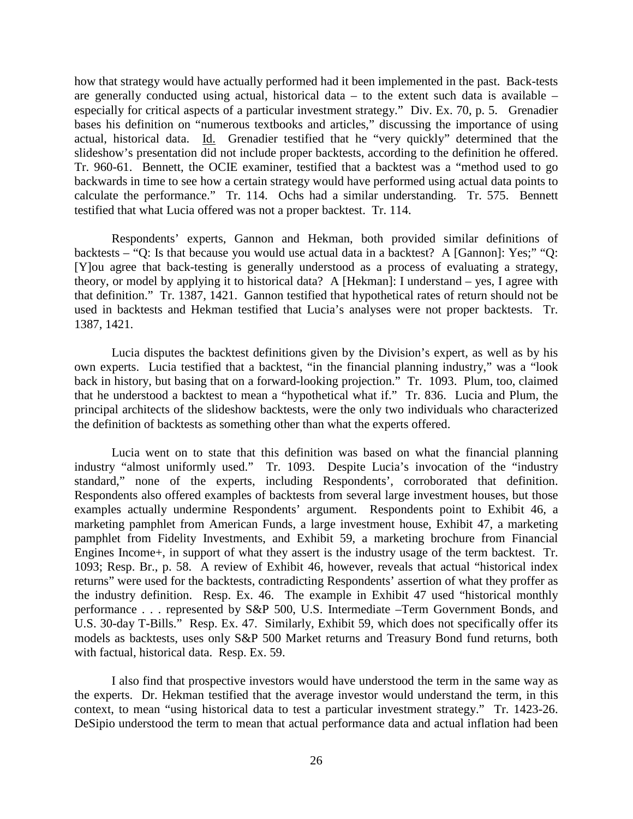how that strategy would have actually performed had it been implemented in the past. Back-tests are generally conducted using actual, historical data – to the extent such data is available – especially for critical aspects of a particular investment strategy." Div. Ex. 70, p. 5. Grenadier bases his definition on "numerous textbooks and articles," discussing the importance of using actual, historical data. Id. Grenadier testified that he "very quickly" determined that the slideshow's presentation did not include proper backtests, according to the definition he offered. Tr. 960-61. Bennett, the OCIE examiner, testified that a backtest was a "method used to go backwards in time to see how a certain strategy would have performed using actual data points to calculate the performance." Tr. 114. Ochs had a similar understanding. Tr. 575. Bennett testified that what Lucia offered was not a proper backtest. Tr. 114.

Respondents' experts, Gannon and Hekman, both provided similar definitions of backtests – "Q: Is that because you would use actual data in a backtest? A [Gannon]: Yes;" "Q: [Y]ou agree that back-testing is generally understood as a process of evaluating a strategy, theory, or model by applying it to historical data? A [Hekman]: I understand – yes, I agree with that definition." Tr. 1387, 1421. Gannon testified that hypothetical rates of return should not be used in backtests and Hekman testified that Lucia's analyses were not proper backtests. Tr. 1387, 1421.

Lucia disputes the backtest definitions given by the Division's expert, as well as by his own experts. Lucia testified that a backtest, "in the financial planning industry," was a "look back in history, but basing that on a forward-looking projection." Tr. 1093. Plum, too, claimed that he understood a backtest to mean a "hypothetical what if." Tr. 836. Lucia and Plum, the principal architects of the slideshow backtests, were the only two individuals who characterized the definition of backtests as something other than what the experts offered.

Lucia went on to state that this definition was based on what the financial planning industry "almost uniformly used." Tr. 1093. Despite Lucia's invocation of the "industry standard," none of the experts, including Respondents', corroborated that definition. Respondents also offered examples of backtests from several large investment houses, but those examples actually undermine Respondents' argument. Respondents point to Exhibit 46, a marketing pamphlet from American Funds, a large investment house, Exhibit 47, a marketing pamphlet from Fidelity Investments, and Exhibit 59, a marketing brochure from Financial Engines Income+, in support of what they assert is the industry usage of the term backtest. Tr. 1093; Resp. Br., p. 58. A review of Exhibit 46, however, reveals that actual "historical index returns" were used for the backtests, contradicting Respondents' assertion of what they proffer as the industry definition. Resp. Ex. 46. The example in Exhibit 47 used "historical monthly performance . . . represented by S&P 500, U.S. Intermediate –Term Government Bonds, and U.S. 30-day T-Bills." Resp. Ex. 47. Similarly, Exhibit 59, which does not specifically offer its models as backtests, uses only S&P 500 Market returns and Treasury Bond fund returns, both with factual, historical data. Resp. Ex. 59.

I also find that prospective investors would have understood the term in the same way as the experts. Dr. Hekman testified that the average investor would understand the term, in this context, to mean "using historical data to test a particular investment strategy." Tr. 1423-26. DeSipio understood the term to mean that actual performance data and actual inflation had been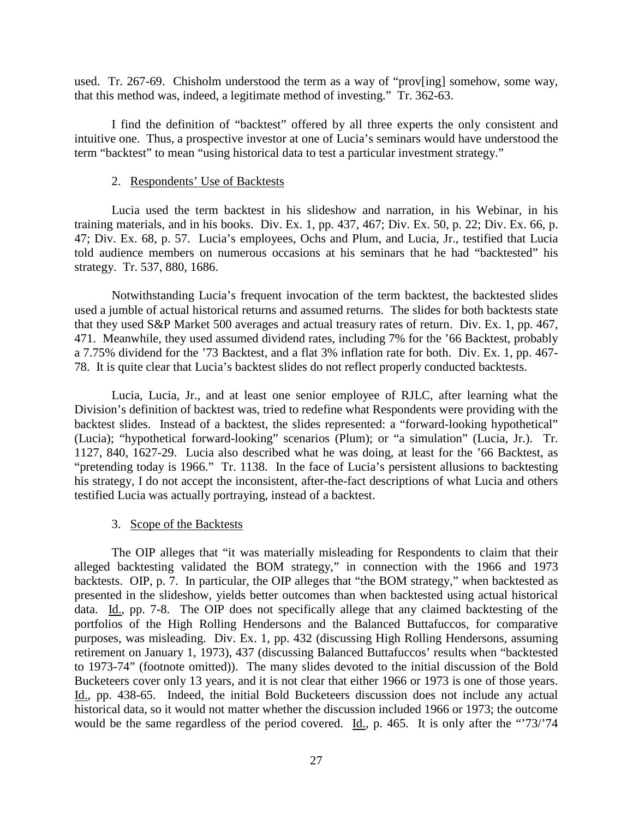used. Tr. 267-69. Chisholm understood the term as a way of "prov[ing] somehow, some way, that this method was, indeed, a legitimate method of investing." Tr. 362-63.

I find the definition of "backtest" offered by all three experts the only consistent and intuitive one. Thus, a prospective investor at one of Lucia's seminars would have understood the term "backtest" to mean "using historical data to test a particular investment strategy."

#### 2. Respondents' Use of Backtests

Lucia used the term backtest in his slideshow and narration, in his Webinar, in his training materials, and in his books. Div. Ex. 1, pp. 437, 467; Div. Ex. 50, p. 22; Div. Ex. 66, p. 47; Div. Ex. 68, p. 57. Lucia's employees, Ochs and Plum, and Lucia, Jr., testified that Lucia told audience members on numerous occasions at his seminars that he had "backtested" his strategy. Tr. 537, 880, 1686.

Notwithstanding Lucia's frequent invocation of the term backtest, the backtested slides used a jumble of actual historical returns and assumed returns. The slides for both backtests state that they used S&P Market 500 averages and actual treasury rates of return. Div. Ex. 1, pp. 467, 471. Meanwhile, they used assumed dividend rates, including 7% for the '66 Backtest, probably a 7.75% dividend for the '73 Backtest, and a flat 3% inflation rate for both. Div. Ex. 1, pp. 467- 78. It is quite clear that Lucia's backtest slides do not reflect properly conducted backtests.

Lucia, Lucia, Jr., and at least one senior employee of RJLC, after learning what the Division's definition of backtest was, tried to redefine what Respondents were providing with the backtest slides. Instead of a backtest, the slides represented: a "forward-looking hypothetical" (Lucia); "hypothetical forward-looking" scenarios (Plum); or "a simulation" (Lucia, Jr.). Tr. 1127, 840, 1627-29. Lucia also described what he was doing, at least for the '66 Backtest, as "pretending today is 1966." Tr. 1138. In the face of Lucia's persistent allusions to backtesting his strategy, I do not accept the inconsistent, after-the-fact descriptions of what Lucia and others testified Lucia was actually portraying, instead of a backtest.

### 3. Scope of the Backtests

The OIP alleges that "it was materially misleading for Respondents to claim that their alleged backtesting validated the BOM strategy," in connection with the 1966 and 1973 backtests. OIP, p. 7. In particular, the OIP alleges that "the BOM strategy," when backtested as presented in the slideshow, yields better outcomes than when backtested using actual historical data. Id., pp. 7-8. The OIP does not specifically allege that any claimed backtesting of the portfolios of the High Rolling Hendersons and the Balanced Buttafuccos, for comparative purposes, was misleading. Div. Ex. 1, pp. 432 (discussing High Rolling Hendersons, assuming retirement on January 1, 1973), 437 (discussing Balanced Buttafuccos' results when "backtested to 1973-74" (footnote omitted)). The many slides devoted to the initial discussion of the Bold Bucketeers cover only 13 years, and it is not clear that either 1966 or 1973 is one of those years. Id., pp. 438-65. Indeed, the initial Bold Bucketeers discussion does not include any actual historical data, so it would not matter whether the discussion included 1966 or 1973; the outcome would be the same regardless of the period covered. Id., p. 465. It is only after the "73/'74"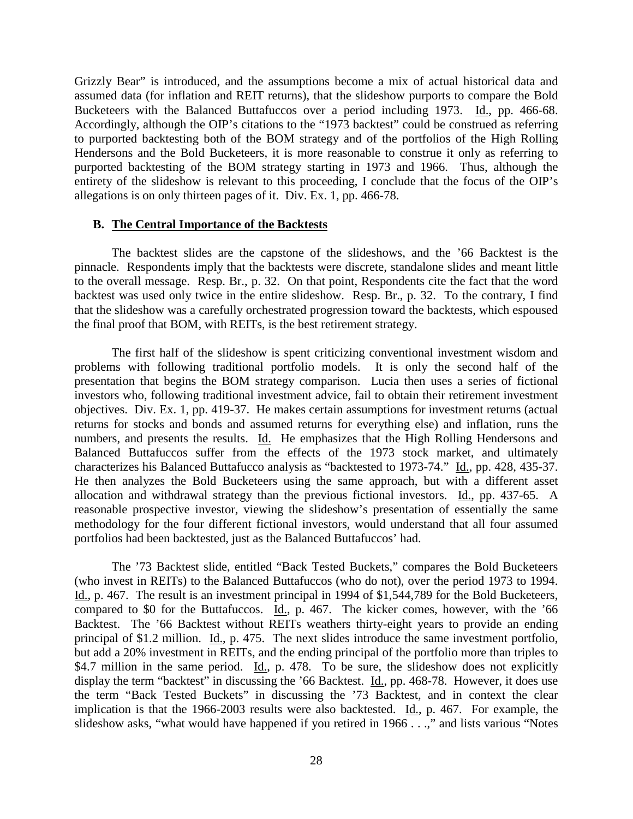Grizzly Bear" is introduced, and the assumptions become a mix of actual historical data and assumed data (for inflation and REIT returns), that the slideshow purports to compare the Bold Bucketeers with the Balanced Buttafuccos over a period including 1973. Id., pp. 466-68. Accordingly, although the OIP's citations to the "1973 backtest" could be construed as referring to purported backtesting both of the BOM strategy and of the portfolios of the High Rolling Hendersons and the Bold Bucketeers, it is more reasonable to construe it only as referring to purported backtesting of the BOM strategy starting in 1973 and 1966. Thus, although the entirety of the slideshow is relevant to this proceeding, I conclude that the focus of the OIP's allegations is on only thirteen pages of it. Div. Ex. 1, pp. 466-78.

### **B. The Central Importance of the Backtests**

The backtest slides are the capstone of the slideshows, and the '66 Backtest is the pinnacle. Respondents imply that the backtests were discrete, standalone slides and meant little to the overall message. Resp. Br., p. 32. On that point, Respondents cite the fact that the word backtest was used only twice in the entire slideshow. Resp. Br., p. 32. To the contrary, I find that the slideshow was a carefully orchestrated progression toward the backtests, which espoused the final proof that BOM, with REITs, is the best retirement strategy.

The first half of the slideshow is spent criticizing conventional investment wisdom and problems with following traditional portfolio models. It is only the second half of the presentation that begins the BOM strategy comparison. Lucia then uses a series of fictional investors who, following traditional investment advice, fail to obtain their retirement investment objectives. Div. Ex. 1, pp. 419-37. He makes certain assumptions for investment returns (actual returns for stocks and bonds and assumed returns for everything else) and inflation, runs the numbers, and presents the results. Id. He emphasizes that the High Rolling Hendersons and Balanced Buttafuccos suffer from the effects of the 1973 stock market, and ultimately characterizes his Balanced Buttafucco analysis as "backtested to 1973-74." Id., pp. 428, 435-37. He then analyzes the Bold Bucketeers using the same approach, but with a different asset allocation and withdrawal strategy than the previous fictional investors. Id., pp. 437-65. A reasonable prospective investor, viewing the slideshow's presentation of essentially the same methodology for the four different fictional investors, would understand that all four assumed portfolios had been backtested, just as the Balanced Buttafuccos' had.

The '73 Backtest slide, entitled "Back Tested Buckets," compares the Bold Bucketeers (who invest in REITs) to the Balanced Buttafuccos (who do not), over the period 1973 to 1994. Id., p. 467. The result is an investment principal in 1994 of \$1,544,789 for the Bold Bucketeers, compared to \$0 for the Buttafuccos. Id., p. 467. The kicker comes, however, with the '66 Backtest. The '66 Backtest without REITs weathers thirty-eight years to provide an ending principal of \$1.2 million. Id., p. 475. The next slides introduce the same investment portfolio, but add a 20% investment in REITs, and the ending principal of the portfolio more than triples to \$4.7 million in the same period. <u>Id.</u>, p. 478. To be sure, the slideshow does not explicitly display the term "backtest" in discussing the '66 Backtest. Id., pp. 468-78. However, it does use the term "Back Tested Buckets" in discussing the '73 Backtest, and in context the clear implication is that the 1966-2003 results were also backtested. Id., p. 467. For example, the slideshow asks, "what would have happened if you retired in  $1966...$ " and lists various "Notes"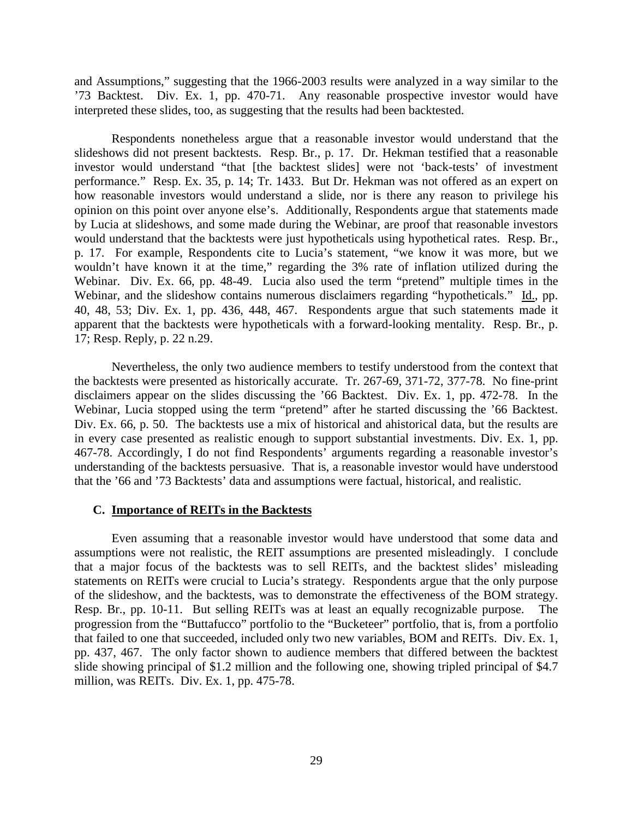and Assumptions," suggesting that the 1966-2003 results were analyzed in a way similar to the '73 Backtest. Div. Ex. 1, pp. 470-71. Any reasonable prospective investor would have interpreted these slides, too, as suggesting that the results had been backtested.

Respondents nonetheless argue that a reasonable investor would understand that the slideshows did not present backtests. Resp. Br., p. 17. Dr. Hekman testified that a reasonable investor would understand "that [the backtest slides] were not 'back-tests' of investment performance." Resp. Ex. 35, p. 14; Tr. 1433. But Dr. Hekman was not offered as an expert on how reasonable investors would understand a slide, nor is there any reason to privilege his opinion on this point over anyone else's. Additionally, Respondents argue that statements made by Lucia at slideshows, and some made during the Webinar, are proof that reasonable investors would understand that the backtests were just hypotheticals using hypothetical rates. Resp. Br., p. 17. For example, Respondents cite to Lucia's statement, "we know it was more, but we wouldn't have known it at the time," regarding the 3% rate of inflation utilized during the Webinar. Div. Ex. 66, pp. 48-49. Lucia also used the term "pretend" multiple times in the Webinar, and the slideshow contains numerous disclaimers regarding "hypotheticals." Id., pp. 40, 48, 53; Div. Ex. 1, pp. 436, 448, 467. Respondents argue that such statements made it apparent that the backtests were hypotheticals with a forward-looking mentality. Resp. Br., p. 17; Resp. Reply, p. 22 n.29.

Nevertheless, the only two audience members to testify understood from the context that the backtests were presented as historically accurate. Tr. 267-69, 371-72, 377-78. No fine-print disclaimers appear on the slides discussing the '66 Backtest. Div. Ex. 1, pp. 472-78. In the Webinar, Lucia stopped using the term "pretend" after he started discussing the '66 Backtest. Div. Ex. 66, p. 50. The backtests use a mix of historical and ahistorical data, but the results are in every case presented as realistic enough to support substantial investments. Div. Ex. 1, pp. 467-78. Accordingly, I do not find Respondents' arguments regarding a reasonable investor's understanding of the backtests persuasive. That is, a reasonable investor would have understood that the '66 and '73 Backtests' data and assumptions were factual, historical, and realistic.

#### **C. Importance of REITs in the Backtests**

Even assuming that a reasonable investor would have understood that some data and assumptions were not realistic, the REIT assumptions are presented misleadingly. I conclude that a major focus of the backtests was to sell REITs, and the backtest slides' misleading statements on REITs were crucial to Lucia's strategy. Respondents argue that the only purpose of the slideshow, and the backtests, was to demonstrate the effectiveness of the BOM strategy. Resp. Br., pp. 10-11. But selling REITs was at least an equally recognizable purpose. The progression from the "Buttafucco" portfolio to the "Bucketeer" portfolio, that is, from a portfolio that failed to one that succeeded, included only two new variables, BOM and REITs. Div. Ex. 1, pp. 437, 467. The only factor shown to audience members that differed between the backtest slide showing principal of \$1.2 million and the following one, showing tripled principal of \$4.7 million, was REITs. Div. Ex. 1, pp. 475-78.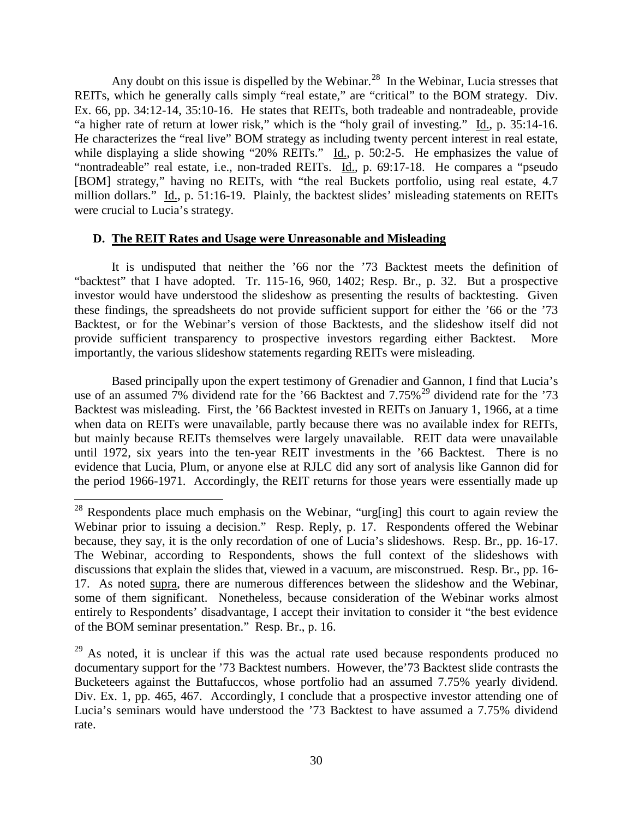Any doubt on this issue is dispelled by the Webinar.<sup>28</sup> In the Webinar, Lucia stresses that REITs, which he generally calls simply "real estate," are "critical" to the BOM strategy. Div. Ex. 66, pp. 34:12-14, 35:10-16. He states that REITs, both tradeable and nontradeable, provide "a higher rate of return at lower risk," which is the "holy grail of investing." Id., p. 35:14-16. He characterizes the "real live" BOM strategy as including twenty percent interest in real estate, while displaying a slide showing "20% REITs." Id., p. 50:2-5. He emphasizes the value of "nontradeable" real estate, i.e., non-traded REITs. Id., p. 69:17-18. He compares a "pseudo" [BOM] strategy," having no REITs, with "the real Buckets portfolio, using real estate, 4.7 million dollars." Id., p. 51:16-19. Plainly, the backtest slides' misleading statements on REITs were crucial to Lucia's strategy.

# **D. The REIT Rates and Usage were Unreasonable and Misleading**

It is undisputed that neither the '66 nor the '73 Backtest meets the definition of "backtest" that I have adopted. Tr. 115-16, 960, 1402; Resp. Br., p. 32. But a prospective investor would have understood the slideshow as presenting the results of backtesting. Given these findings, the spreadsheets do not provide sufficient support for either the '66 or the '73 Backtest, or for the Webinar's version of those Backtests, and the slideshow itself did not provide sufficient transparency to prospective investors regarding either Backtest. More importantly, the various slideshow statements regarding REITs were misleading.

Based principally upon the expert testimony of Grenadier and Gannon, I find that Lucia's use of an assumed  $7\%$  dividend rate for the '66 Backtest and  $7.75\%$ <sup>29</sup> dividend rate for the '73 Backtest was misleading. First, the '66 Backtest invested in REITs on January 1, 1966, at a time when data on REITs were unavailable, partly because there was no available index for REITs, but mainly because REITs themselves were largely unavailable. REIT data were unavailable until 1972, six years into the ten-year REIT investments in the '66 Backtest. There is no evidence that Lucia, Plum, or anyone else at RJLC did any sort of analysis like Gannon did for the period 1966-1971. Accordingly, the REIT returns for those years were essentially made up

<sup>&</sup>lt;sup>28</sup> Respondents place much emphasis on the Webinar, "urg[ing] this court to again review the Webinar prior to issuing a decision." Resp. Reply, p. 17. Respondents offered the Webinar because, they say, it is the only recordation of one of Lucia's slideshows. Resp. Br., pp. 16-17. The Webinar, according to Respondents, shows the full context of the slideshows with discussions that explain the slides that, viewed in a vacuum, are misconstrued. Resp. Br., pp. 16- 17. As noted supra, there are numerous differences between the slideshow and the Webinar, some of them significant. Nonetheless, because consideration of the Webinar works almost entirely to Respondents' disadvantage, I accept their invitation to consider it "the best evidence of the BOM seminar presentation." Resp. Br., p. 16.

 $29$  As noted, it is unclear if this was the actual rate used because respondents produced no documentary support for the '73 Backtest numbers. However, the'73 Backtest slide contrasts the Bucketeers against the Buttafuccos, whose portfolio had an assumed 7.75% yearly dividend. Div. Ex. 1, pp. 465, 467. Accordingly, I conclude that a prospective investor attending one of Lucia's seminars would have understood the '73 Backtest to have assumed a 7.75% dividend rate.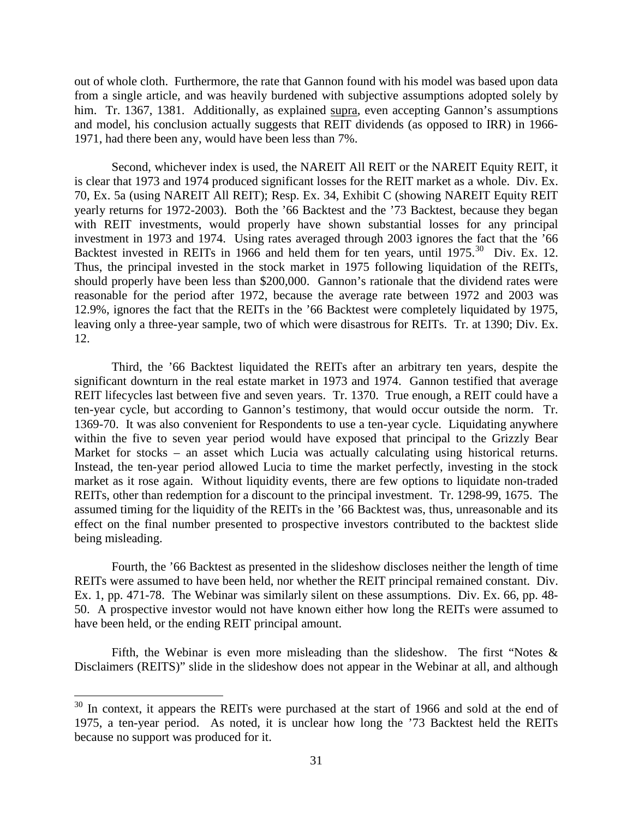out of whole cloth. Furthermore, the rate that Gannon found with his model was based upon data from a single article, and was heavily burdened with subjective assumptions adopted solely by him. Tr. 1367, 1381. Additionally, as explained supra, even accepting Gannon's assumptions and model, his conclusion actually suggests that REIT dividends (as opposed to IRR) in 1966- 1971, had there been any, would have been less than 7%.

Second, whichever index is used, the NAREIT All REIT or the NAREIT Equity REIT, it is clear that 1973 and 1974 produced significant losses for the REIT market as a whole. Div. Ex. 70, Ex. 5a (using NAREIT All REIT); Resp. Ex. 34, Exhibit C (showing NAREIT Equity REIT yearly returns for 1972-2003). Both the '66 Backtest and the '73 Backtest, because they began with REIT investments, would properly have shown substantial losses for any principal investment in 1973 and 1974. Using rates averaged through 2003 ignores the fact that the '66 Backtest invested in REITs in 1966 and held them for ten years, until 1975.<sup>30</sup> Div. Ex. 12. Thus, the principal invested in the stock market in 1975 following liquidation of the REITs, should properly have been less than \$200,000. Gannon's rationale that the dividend rates were reasonable for the period after 1972, because the average rate between 1972 and 2003 was 12.9%, ignores the fact that the REITs in the '66 Backtest were completely liquidated by 1975, leaving only a three-year sample, two of which were disastrous for REITs. Tr. at 1390; Div. Ex. 12.

Third, the '66 Backtest liquidated the REITs after an arbitrary ten years, despite the significant downturn in the real estate market in 1973 and 1974. Gannon testified that average REIT lifecycles last between five and seven years. Tr. 1370. True enough, a REIT could have a ten-year cycle, but according to Gannon's testimony, that would occur outside the norm. Tr. 1369-70. It was also convenient for Respondents to use a ten-year cycle. Liquidating anywhere within the five to seven year period would have exposed that principal to the Grizzly Bear Market for stocks – an asset which Lucia was actually calculating using historical returns. Instead, the ten-year period allowed Lucia to time the market perfectly, investing in the stock market as it rose again. Without liquidity events, there are few options to liquidate non-traded REITs, other than redemption for a discount to the principal investment. Tr. 1298-99, 1675. The assumed timing for the liquidity of the REITs in the '66 Backtest was, thus, unreasonable and its effect on the final number presented to prospective investors contributed to the backtest slide being misleading.

Fourth, the '66 Backtest as presented in the slideshow discloses neither the length of time REITs were assumed to have been held, nor whether the REIT principal remained constant. Div. Ex. 1, pp. 471-78. The Webinar was similarly silent on these assumptions. Div. Ex. 66, pp. 48- 50. A prospective investor would not have known either how long the REITs were assumed to have been held, or the ending REIT principal amount.

Fifth, the Webinar is even more misleading than the slideshow. The first "Notes  $\&$ Disclaimers (REITS)" slide in the slideshow does not appear in the Webinar at all, and although

<sup>&</sup>lt;sup>30</sup> In context, it appears the REITs were purchased at the start of 1966 and sold at the end of 1975, a ten-year period. As noted, it is unclear how long the '73 Backtest held the REITs because no support was produced for it.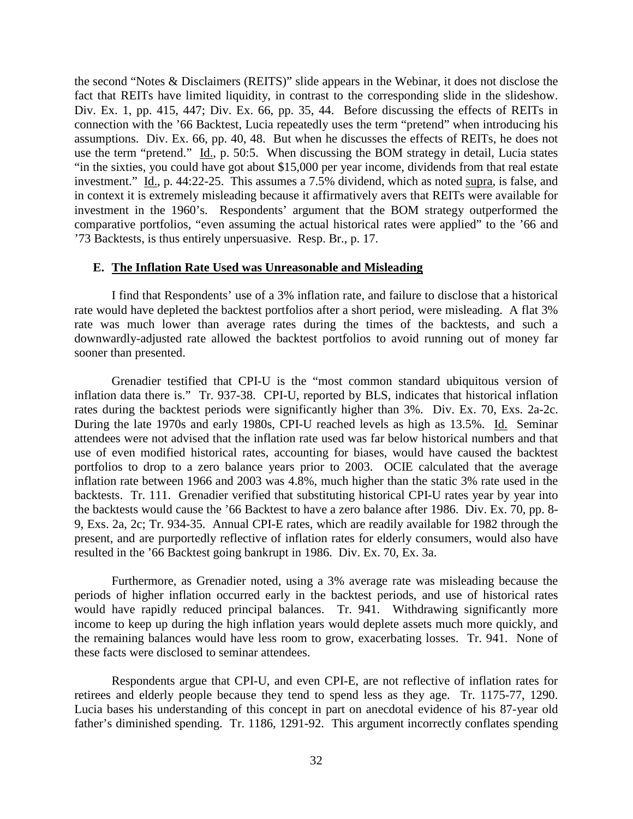the second "Notes & Disclaimers (REITS)" slide appears in the Webinar, it does not disclose the fact that REITs have limited liquidity, in contrast to the corresponding slide in the slideshow. Div. Ex. 1, pp. 415, 447; Div. Ex. 66, pp. 35, 44. Before discussing the effects of REITs in connection with the '66 Backtest, Lucia repeatedly uses the term "pretend" when introducing his assumptions. Div. Ex. 66, pp. 40, 48. But when he discusses the effects of REITs, he does not use the term "pretend." Id., p. 50:5. When discussing the BOM strategy in detail, Lucia states "in the sixties, you could have got about \$15,000 per year income, dividends from that real estate investment." Id., p. 44:22-25. This assumes a 7.5% dividend, which as noted supra, is false, and in context it is extremely misleading because it affirmatively avers that REITs were available for investment in the 1960's. Respondents' argument that the BOM strategy outperformed the comparative portfolios, "even assuming the actual historical rates were applied" to the '66 and '73 Backtests, is thus entirely unpersuasive. Resp. Br., p. 17.

## **E. The Inflation Rate Used was Unreasonable and Misleading**

I find that Respondents' use of a 3% inflation rate, and failure to disclose that a historical rate would have depleted the backtest portfolios after a short period, were misleading. A flat 3% rate was much lower than average rates during the times of the backtests, and such a downwardly-adjusted rate allowed the backtest portfolios to avoid running out of money far sooner than presented.

Grenadier testified that CPI-U is the "most common standard ubiquitous version of inflation data there is." Tr. 937-38. CPI-U, reported by BLS, indicates that historical inflation rates during the backtest periods were significantly higher than 3%. Div. Ex. 70, Exs. 2a-2c. During the late 1970s and early 1980s, CPI-U reached levels as high as 13.5%. Id. Seminar attendees were not advised that the inflation rate used was far below historical numbers and that use of even modified historical rates, accounting for biases, would have caused the backtest portfolios to drop to a zero balance years prior to 2003. OCIE calculated that the average inflation rate between 1966 and 2003 was 4.8%, much higher than the static 3% rate used in the backtests. Tr. 111. Grenadier verified that substituting historical CPI-U rates year by year into the backtests would cause the '66 Backtest to have a zero balance after 1986. Div. Ex. 70, pp. 8- 9, Exs. 2a, 2c; Tr. 934-35. Annual CPI-E rates, which are readily available for 1982 through the present, and are purportedly reflective of inflation rates for elderly consumers, would also have resulted in the '66 Backtest going bankrupt in 1986. Div. Ex. 70, Ex. 3a.

Furthermore, as Grenadier noted, using a 3% average rate was misleading because the periods of higher inflation occurred early in the backtest periods, and use of historical rates would have rapidly reduced principal balances. Tr. 941. Withdrawing significantly more income to keep up during the high inflation years would deplete assets much more quickly, and the remaining balances would have less room to grow, exacerbating losses. Tr. 941. None of these facts were disclosed to seminar attendees.

Respondents argue that CPI-U, and even CPI-E, are not reflective of inflation rates for retirees and elderly people because they tend to spend less as they age. Tr. 1175-77, 1290. Lucia bases his understanding of this concept in part on anecdotal evidence of his 87-year old father's diminished spending. Tr. 1186, 1291-92. This argument incorrectly conflates spending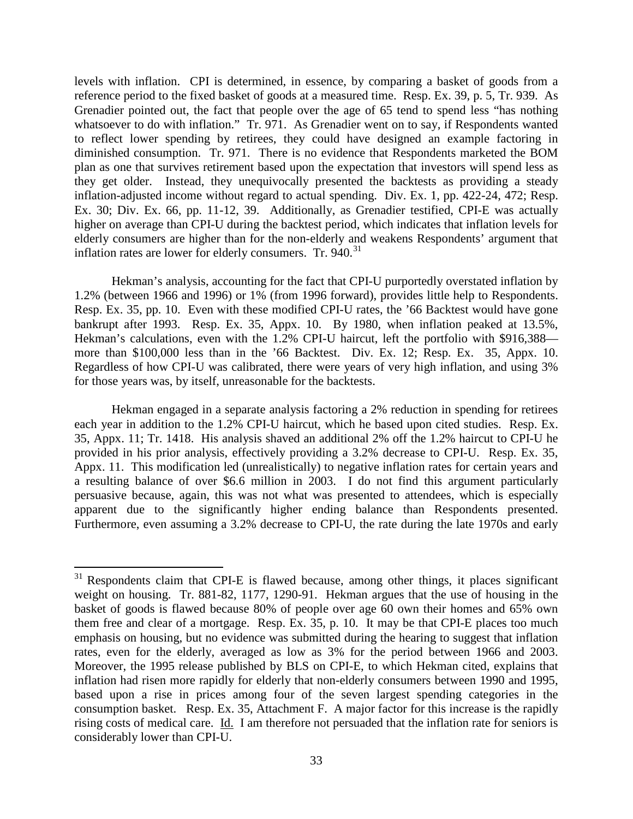levels with inflation. CPI is determined, in essence, by comparing a basket of goods from a reference period to the fixed basket of goods at a measured time. Resp. Ex. 39, p. 5, Tr. 939. As Grenadier pointed out, the fact that people over the age of 65 tend to spend less "has nothing whatsoever to do with inflation." Tr. 971. As Grenadier went on to say, if Respondents wanted to reflect lower spending by retirees, they could have designed an example factoring in diminished consumption. Tr. 971. There is no evidence that Respondents marketed the BOM plan as one that survives retirement based upon the expectation that investors will spend less as they get older. Instead, they unequivocally presented the backtests as providing a steady inflation-adjusted income without regard to actual spending. Div. Ex. 1, pp. 422-24, 472; Resp. Ex. 30; Div. Ex. 66, pp. 11-12, 39. Additionally, as Grenadier testified, CPI-E was actually higher on average than CPI-U during the backtest period, which indicates that inflation levels for elderly consumers are higher than for the non-elderly and weakens Respondents' argument that inflation rates are lower for elderly consumers. Tr.  $940.^{31}$ 

Hekman's analysis, accounting for the fact that CPI-U purportedly overstated inflation by 1.2% (between 1966 and 1996) or 1% (from 1996 forward), provides little help to Respondents. Resp. Ex. 35, pp. 10. Even with these modified CPI-U rates, the '66 Backtest would have gone bankrupt after 1993. Resp. Ex. 35, Appx. 10. By 1980, when inflation peaked at 13.5%, Hekman's calculations, even with the 1.2% CPI-U haircut, left the portfolio with \$916,388 more than \$100,000 less than in the '66 Backtest. Div. Ex. 12; Resp. Ex. 35, Appx. 10. Regardless of how CPI-U was calibrated, there were years of very high inflation, and using 3% for those years was, by itself, unreasonable for the backtests.

Hekman engaged in a separate analysis factoring a 2% reduction in spending for retirees each year in addition to the 1.2% CPI-U haircut, which he based upon cited studies. Resp. Ex. 35, Appx. 11; Tr. 1418. His analysis shaved an additional 2% off the 1.2% haircut to CPI-U he provided in his prior analysis, effectively providing a 3.2% decrease to CPI-U. Resp. Ex. 35, Appx. 11. This modification led (unrealistically) to negative inflation rates for certain years and a resulting balance of over \$6.6 million in 2003. I do not find this argument particularly persuasive because, again, this was not what was presented to attendees, which is especially apparent due to the significantly higher ending balance than Respondents presented. Furthermore, even assuming a 3.2% decrease to CPI-U, the rate during the late 1970s and early

<sup>&</sup>lt;sup>31</sup> Respondents claim that CPI-E is flawed because, among other things, it places significant weight on housing. Tr. 881-82, 1177, 1290-91. Hekman argues that the use of housing in the basket of goods is flawed because 80% of people over age 60 own their homes and 65% own them free and clear of a mortgage. Resp. Ex. 35, p. 10. It may be that CPI-E places too much emphasis on housing, but no evidence was submitted during the hearing to suggest that inflation rates, even for the elderly, averaged as low as 3% for the period between 1966 and 2003. Moreover, the 1995 release published by BLS on CPI-E, to which Hekman cited, explains that inflation had risen more rapidly for elderly that non-elderly consumers between 1990 and 1995, based upon a rise in prices among four of the seven largest spending categories in the consumption basket. Resp. Ex. 35, Attachment F. A major factor for this increase is the rapidly rising costs of medical care. Id. I am therefore not persuaded that the inflation rate for seniors is considerably lower than CPI-U.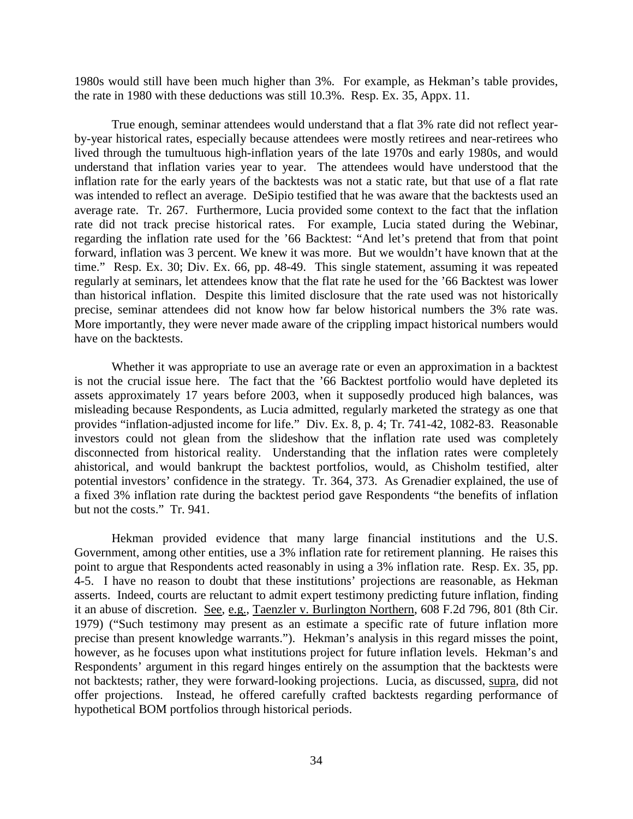1980s would still have been much higher than 3%. For example, as Hekman's table provides, the rate in 1980 with these deductions was still 10.3%. Resp. Ex. 35, Appx. 11.

True enough, seminar attendees would understand that a flat 3% rate did not reflect yearby-year historical rates, especially because attendees were mostly retirees and near-retirees who lived through the tumultuous high-inflation years of the late 1970s and early 1980s, and would understand that inflation varies year to year. The attendees would have understood that the inflation rate for the early years of the backtests was not a static rate, but that use of a flat rate was intended to reflect an average. DeSipio testified that he was aware that the backtests used an average rate. Tr. 267. Furthermore, Lucia provided some context to the fact that the inflation rate did not track precise historical rates. For example, Lucia stated during the Webinar, regarding the inflation rate used for the '66 Backtest: "And let's pretend that from that point forward, inflation was 3 percent. We knew it was more. But we wouldn't have known that at the time." Resp. Ex. 30; Div. Ex. 66, pp. 48-49. This single statement, assuming it was repeated regularly at seminars, let attendees know that the flat rate he used for the '66 Backtest was lower than historical inflation. Despite this limited disclosure that the rate used was not historically precise, seminar attendees did not know how far below historical numbers the 3% rate was. More importantly, they were never made aware of the crippling impact historical numbers would have on the backtests.

Whether it was appropriate to use an average rate or even an approximation in a backtest is not the crucial issue here. The fact that the '66 Backtest portfolio would have depleted its assets approximately 17 years before 2003, when it supposedly produced high balances, was misleading because Respondents, as Lucia admitted, regularly marketed the strategy as one that provides "inflation-adjusted income for life." Div. Ex. 8, p. 4; Tr. 741-42, 1082-83. Reasonable investors could not glean from the slideshow that the inflation rate used was completely disconnected from historical reality. Understanding that the inflation rates were completely ahistorical, and would bankrupt the backtest portfolios, would, as Chisholm testified, alter potential investors' confidence in the strategy. Tr. 364, 373. As Grenadier explained, the use of a fixed 3% inflation rate during the backtest period gave Respondents "the benefits of inflation but not the costs." Tr. 941.

Hekman provided evidence that many large financial institutions and the U.S. Government, among other entities, use a 3% inflation rate for retirement planning. He raises this point to argue that Respondents acted reasonably in using a 3% inflation rate. Resp. Ex. 35, pp. 4-5. I have no reason to doubt that these institutions' projections are reasonable, as Hekman asserts. Indeed, courts are reluctant to admit expert testimony predicting future inflation, finding it an abuse of discretion. See, e.g., Taenzler v. Burlington Northern, 608 F.2d 796, 801 (8th Cir. 1979) ("Such testimony may present as an estimate a specific rate of future inflation more precise than present knowledge warrants."). Hekman's analysis in this regard misses the point, however, as he focuses upon what institutions project for future inflation levels. Hekman's and Respondents' argument in this regard hinges entirely on the assumption that the backtests were not backtests; rather, they were forward-looking projections. Lucia, as discussed, supra, did not offer projections. Instead, he offered carefully crafted backtests regarding performance of hypothetical BOM portfolios through historical periods.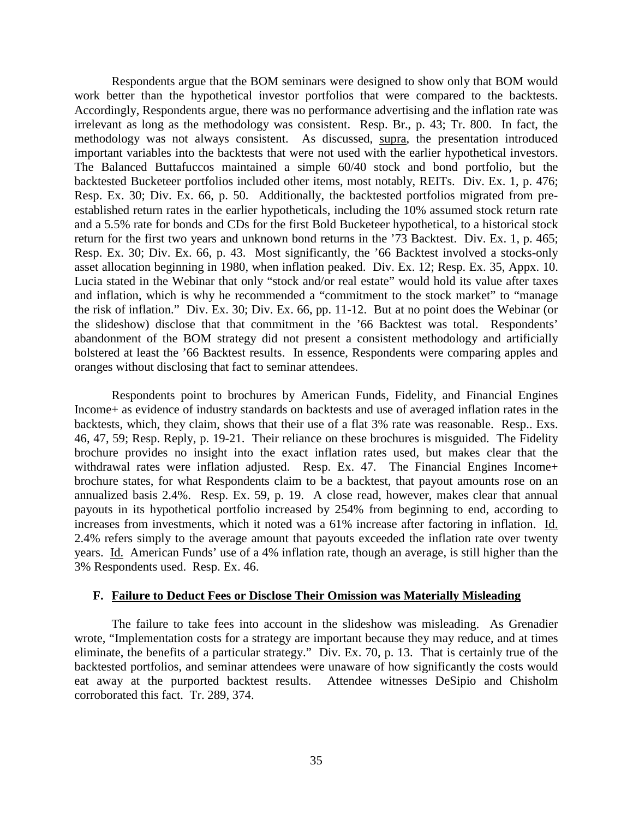Respondents argue that the BOM seminars were designed to show only that BOM would work better than the hypothetical investor portfolios that were compared to the backtests. Accordingly, Respondents argue, there was no performance advertising and the inflation rate was irrelevant as long as the methodology was consistent. Resp. Br., p. 43; Tr. 800. In fact, the methodology was not always consistent. As discussed, supra, the presentation introduced important variables into the backtests that were not used with the earlier hypothetical investors. The Balanced Buttafuccos maintained a simple 60/40 stock and bond portfolio, but the backtested Bucketeer portfolios included other items, most notably, REITs. Div. Ex. 1, p. 476; Resp. Ex. 30; Div. Ex. 66, p. 50. Additionally, the backtested portfolios migrated from preestablished return rates in the earlier hypotheticals, including the 10% assumed stock return rate and a 5.5% rate for bonds and CDs for the first Bold Bucketeer hypothetical, to a historical stock return for the first two years and unknown bond returns in the '73 Backtest. Div. Ex. 1, p. 465; Resp. Ex. 30; Div. Ex. 66, p. 43. Most significantly, the '66 Backtest involved a stocks-only asset allocation beginning in 1980, when inflation peaked. Div. Ex. 12; Resp. Ex. 35, Appx. 10. Lucia stated in the Webinar that only "stock and/or real estate" would hold its value after taxes and inflation, which is why he recommended a "commitment to the stock market" to "manage the risk of inflation." Div. Ex. 30; Div. Ex. 66, pp. 11-12. But at no point does the Webinar (or the slideshow) disclose that that commitment in the '66 Backtest was total. Respondents' abandonment of the BOM strategy did not present a consistent methodology and artificially bolstered at least the '66 Backtest results. In essence, Respondents were comparing apples and oranges without disclosing that fact to seminar attendees.

Respondents point to brochures by American Funds, Fidelity, and Financial Engines Income+ as evidence of industry standards on backtests and use of averaged inflation rates in the backtests, which, they claim, shows that their use of a flat 3% rate was reasonable. Resp.. Exs. 46, 47, 59; Resp. Reply, p. 19-21. Their reliance on these brochures is misguided. The Fidelity brochure provides no insight into the exact inflation rates used, but makes clear that the withdrawal rates were inflation adjusted. Resp. Ex. 47. The Financial Engines Income+ brochure states, for what Respondents claim to be a backtest, that payout amounts rose on an annualized basis 2.4%. Resp. Ex. 59, p. 19. A close read, however, makes clear that annual payouts in its hypothetical portfolio increased by 254% from beginning to end, according to increases from investments, which it noted was a 61% increase after factoring in inflation. Id. 2.4% refers simply to the average amount that payouts exceeded the inflation rate over twenty years. Id. American Funds' use of a 4% inflation rate, though an average, is still higher than the 3% Respondents used. Resp. Ex. 46.

### **F. Failure to Deduct Fees or Disclose Their Omission was Materially Misleading**

The failure to take fees into account in the slideshow was misleading. As Grenadier wrote, "Implementation costs for a strategy are important because they may reduce, and at times eliminate, the benefits of a particular strategy." Div. Ex. 70, p. 13. That is certainly true of the backtested portfolios, and seminar attendees were unaware of how significantly the costs would eat away at the purported backtest results. Attendee witnesses DeSipio and Chisholm corroborated this fact. Tr. 289, 374.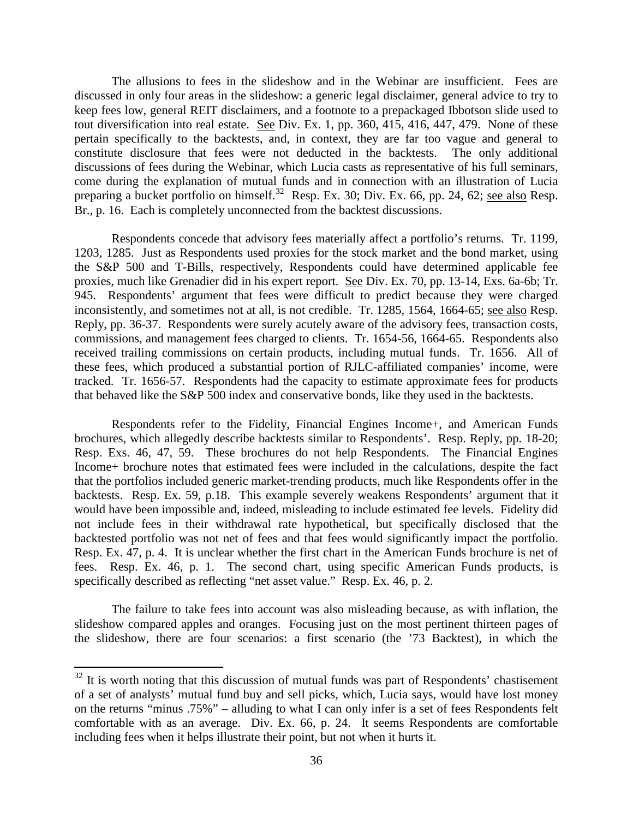The allusions to fees in the slideshow and in the Webinar are insufficient. Fees are discussed in only four areas in the slideshow: a generic legal disclaimer, general advice to try to keep fees low, general REIT disclaimers, and a footnote to a prepackaged Ibbotson slide used to tout diversification into real estate. See Div. Ex. 1, pp. 360, 415, 416, 447, 479. None of these pertain specifically to the backtests, and, in context, they are far too vague and general to constitute disclosure that fees were not deducted in the backtests. The only additional discussions of fees during the Webinar, which Lucia casts as representative of his full seminars, come during the explanation of mutual funds and in connection with an illustration of Lucia preparing a bucket portfolio on himself.<sup>32</sup> Resp. Ex. 30; Div. Ex. 66, pp. 24, 62; <u>see also</u> Resp. Br., p. 16. Each is completely unconnected from the backtest discussions.

Respondents concede that advisory fees materially affect a portfolio's returns. Tr. 1199, 1203, 1285. Just as Respondents used proxies for the stock market and the bond market, using the S&P 500 and T-Bills, respectively, Respondents could have determined applicable fee proxies, much like Grenadier did in his expert report. See Div. Ex. 70, pp. 13-14, Exs. 6a-6b; Tr. 945. Respondents' argument that fees were difficult to predict because they were charged inconsistently, and sometimes not at all, is not credible. Tr. 1285, 1564, 1664-65; see also Resp. Reply, pp. 36-37. Respondents were surely acutely aware of the advisory fees, transaction costs, commissions, and management fees charged to clients. Tr. 1654-56, 1664-65. Respondents also received trailing commissions on certain products, including mutual funds. Tr. 1656. All of these fees, which produced a substantial portion of RJLC-affiliated companies' income, were tracked. Tr. 1656-57. Respondents had the capacity to estimate approximate fees for products that behaved like the S&P 500 index and conservative bonds, like they used in the backtests.

Respondents refer to the Fidelity, Financial Engines Income+, and American Funds brochures, which allegedly describe backtests similar to Respondents'. Resp. Reply, pp. 18-20; Resp. Exs. 46, 47, 59. These brochures do not help Respondents. The Financial Engines Income+ brochure notes that estimated fees were included in the calculations, despite the fact that the portfolios included generic market-trending products, much like Respondents offer in the backtests. Resp. Ex. 59, p.18. This example severely weakens Respondents' argument that it would have been impossible and, indeed, misleading to include estimated fee levels. Fidelity did not include fees in their withdrawal rate hypothetical, but specifically disclosed that the backtested portfolio was not net of fees and that fees would significantly impact the portfolio. Resp. Ex. 47, p. 4. It is unclear whether the first chart in the American Funds brochure is net of fees. Resp. Ex. 46, p. 1. The second chart, using specific American Funds products, is specifically described as reflecting "net asset value." Resp. Ex. 46, p. 2.

The failure to take fees into account was also misleading because, as with inflation, the slideshow compared apples and oranges. Focusing just on the most pertinent thirteen pages of the slideshow, there are four scenarios: a first scenario (the '73 Backtest), in which the

 $32$  It is worth noting that this discussion of mutual funds was part of Respondents' chastisement of a set of analysts' mutual fund buy and sell picks, which, Lucia says, would have lost money on the returns "minus .75%" – alluding to what I can only infer is a set of fees Respondents felt comfortable with as an average. Div. Ex. 66, p. 24. It seems Respondents are comfortable including fees when it helps illustrate their point, but not when it hurts it.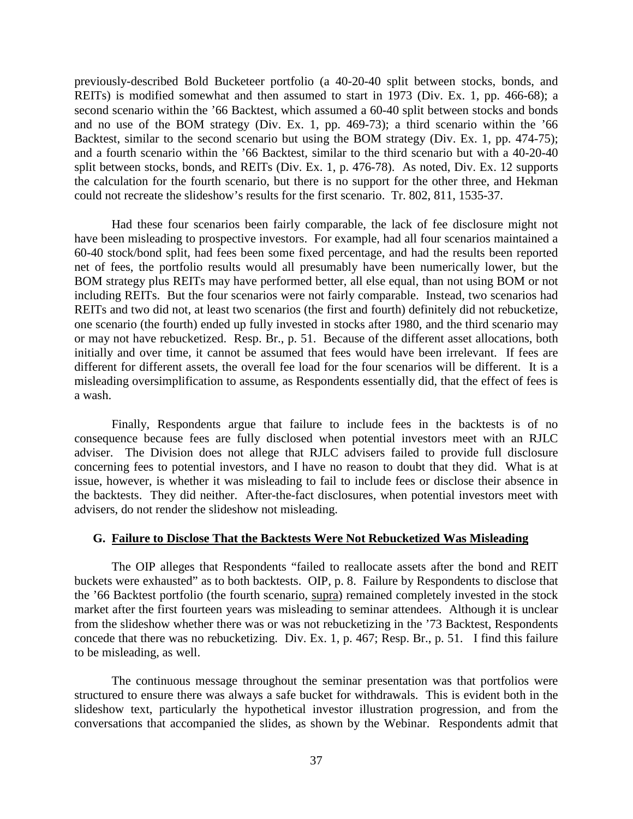previously-described Bold Bucketeer portfolio (a 40-20-40 split between stocks, bonds, and REITs) is modified somewhat and then assumed to start in 1973 (Div. Ex. 1, pp. 466-68); a second scenario within the '66 Backtest, which assumed a 60-40 split between stocks and bonds and no use of the BOM strategy (Div. Ex. 1, pp. 469-73); a third scenario within the '66 Backtest, similar to the second scenario but using the BOM strategy (Div. Ex. 1, pp. 474-75); and a fourth scenario within the '66 Backtest, similar to the third scenario but with a 40-20-40 split between stocks, bonds, and REITs (Div. Ex. 1, p. 476-78). As noted, Div. Ex. 12 supports the calculation for the fourth scenario, but there is no support for the other three, and Hekman could not recreate the slideshow's results for the first scenario. Tr. 802, 811, 1535-37.

Had these four scenarios been fairly comparable, the lack of fee disclosure might not have been misleading to prospective investors. For example, had all four scenarios maintained a 60-40 stock/bond split, had fees been some fixed percentage, and had the results been reported net of fees, the portfolio results would all presumably have been numerically lower, but the BOM strategy plus REITs may have performed better, all else equal, than not using BOM or not including REITs. But the four scenarios were not fairly comparable. Instead, two scenarios had REITs and two did not, at least two scenarios (the first and fourth) definitely did not rebucketize, one scenario (the fourth) ended up fully invested in stocks after 1980, and the third scenario may or may not have rebucketized. Resp. Br., p. 51. Because of the different asset allocations, both initially and over time, it cannot be assumed that fees would have been irrelevant. If fees are different for different assets, the overall fee load for the four scenarios will be different. It is a misleading oversimplification to assume, as Respondents essentially did, that the effect of fees is a wash.

Finally, Respondents argue that failure to include fees in the backtests is of no consequence because fees are fully disclosed when potential investors meet with an RJLC adviser. The Division does not allege that RJLC advisers failed to provide full disclosure concerning fees to potential investors, and I have no reason to doubt that they did. What is at issue, however, is whether it was misleading to fail to include fees or disclose their absence in the backtests. They did neither. After-the-fact disclosures, when potential investors meet with advisers, do not render the slideshow not misleading.

#### **G. Failure to Disclose That the Backtests Were Not Rebucketized Was Misleading**

The OIP alleges that Respondents "failed to reallocate assets after the bond and REIT buckets were exhausted" as to both backtests. OIP, p. 8. Failure by Respondents to disclose that the '66 Backtest portfolio (the fourth scenario, supra) remained completely invested in the stock market after the first fourteen years was misleading to seminar attendees. Although it is unclear from the slideshow whether there was or was not rebucketizing in the '73 Backtest, Respondents concede that there was no rebucketizing. Div. Ex. 1, p. 467; Resp. Br., p. 51. I find this failure to be misleading, as well.

The continuous message throughout the seminar presentation was that portfolios were structured to ensure there was always a safe bucket for withdrawals. This is evident both in the slideshow text, particularly the hypothetical investor illustration progression, and from the conversations that accompanied the slides, as shown by the Webinar. Respondents admit that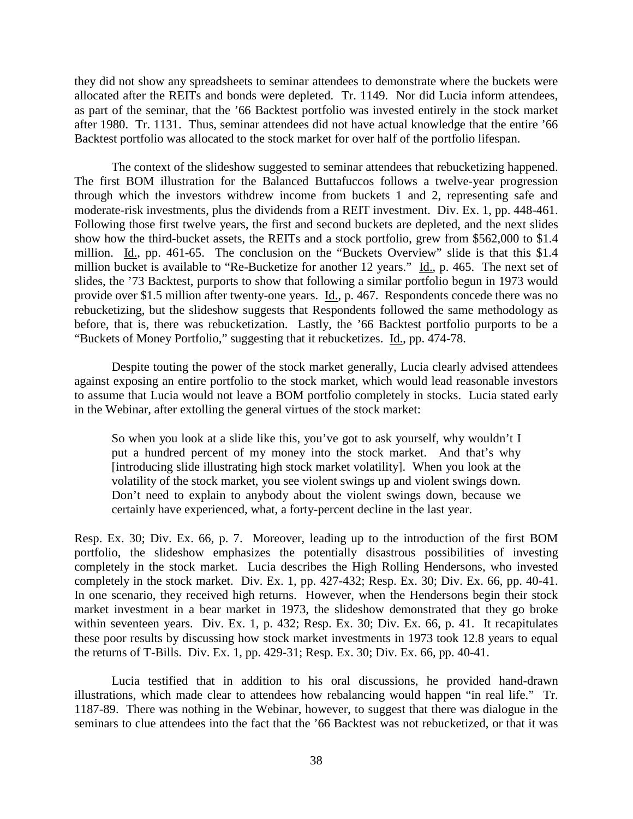they did not show any spreadsheets to seminar attendees to demonstrate where the buckets were allocated after the REITs and bonds were depleted. Tr. 1149. Nor did Lucia inform attendees, as part of the seminar, that the '66 Backtest portfolio was invested entirely in the stock market after 1980. Tr. 1131. Thus, seminar attendees did not have actual knowledge that the entire '66 Backtest portfolio was allocated to the stock market for over half of the portfolio lifespan.

The context of the slideshow suggested to seminar attendees that rebucketizing happened. The first BOM illustration for the Balanced Buttafuccos follows a twelve-year progression through which the investors withdrew income from buckets 1 and 2, representing safe and moderate-risk investments, plus the dividends from a REIT investment. Div. Ex. 1, pp. 448-461. Following those first twelve years, the first and second buckets are depleted, and the next slides show how the third-bucket assets, the REITs and a stock portfolio, grew from \$562,000 to \$1.4 million. Id., pp. 461-65. The conclusion on the "Buckets Overview" slide is that this \$1.4 million bucket is available to "Re-Bucketize for another 12 years." Id., p. 465. The next set of slides, the '73 Backtest, purports to show that following a similar portfolio begun in 1973 would provide over \$1.5 million after twenty-one years. Id., p. 467. Respondents concede there was no rebucketizing, but the slideshow suggests that Respondents followed the same methodology as before, that is, there was rebucketization. Lastly, the '66 Backtest portfolio purports to be a "Buckets of Money Portfolio," suggesting that it rebucketizes. Id., pp. 474-78.

Despite touting the power of the stock market generally, Lucia clearly advised attendees against exposing an entire portfolio to the stock market, which would lead reasonable investors to assume that Lucia would not leave a BOM portfolio completely in stocks. Lucia stated early in the Webinar, after extolling the general virtues of the stock market:

So when you look at a slide like this, you've got to ask yourself, why wouldn't I put a hundred percent of my money into the stock market. And that's why [introducing slide illustrating high stock market volatility]. When you look at the volatility of the stock market, you see violent swings up and violent swings down. Don't need to explain to anybody about the violent swings down, because we certainly have experienced, what, a forty-percent decline in the last year.

Resp. Ex. 30; Div. Ex. 66, p. 7. Moreover, leading up to the introduction of the first BOM portfolio, the slideshow emphasizes the potentially disastrous possibilities of investing completely in the stock market. Lucia describes the High Rolling Hendersons, who invested completely in the stock market. Div. Ex. 1, pp. 427-432; Resp. Ex. 30; Div. Ex. 66, pp. 40-41. In one scenario, they received high returns. However, when the Hendersons begin their stock market investment in a bear market in 1973, the slideshow demonstrated that they go broke within seventeen years. Div. Ex. 1, p. 432; Resp. Ex. 30; Div. Ex. 66, p. 41. It recapitulates these poor results by discussing how stock market investments in 1973 took 12.8 years to equal the returns of T-Bills. Div. Ex. 1, pp. 429-31; Resp. Ex. 30; Div. Ex. 66, pp. 40-41.

Lucia testified that in addition to his oral discussions, he provided hand-drawn illustrations, which made clear to attendees how rebalancing would happen "in real life." Tr. 1187-89. There was nothing in the Webinar, however, to suggest that there was dialogue in the seminars to clue attendees into the fact that the '66 Backtest was not rebucketized, or that it was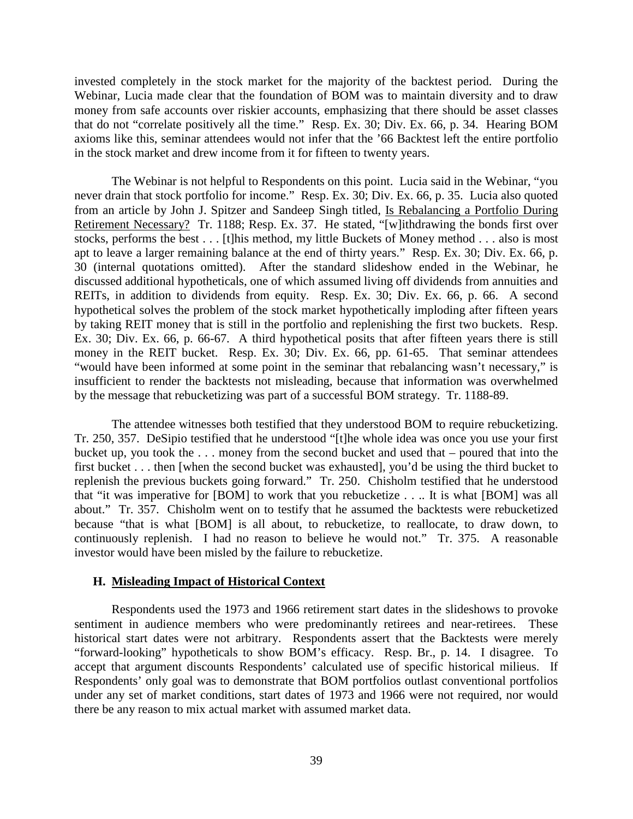invested completely in the stock market for the majority of the backtest period. During the Webinar, Lucia made clear that the foundation of BOM was to maintain diversity and to draw money from safe accounts over riskier accounts, emphasizing that there should be asset classes that do not "correlate positively all the time." Resp. Ex. 30; Div. Ex. 66, p. 34. Hearing BOM axioms like this, seminar attendees would not infer that the '66 Backtest left the entire portfolio in the stock market and drew income from it for fifteen to twenty years.

The Webinar is not helpful to Respondents on this point. Lucia said in the Webinar, "you never drain that stock portfolio for income." Resp. Ex. 30; Div. Ex. 66, p. 35. Lucia also quoted from an article by John J. Spitzer and Sandeep Singh titled, Is Rebalancing a Portfolio During Retirement Necessary? Tr. 1188; Resp. Ex. 37. He stated, "[w]ithdrawing the bonds first over stocks, performs the best . . . [t]his method, my little Buckets of Money method . . . also is most apt to leave a larger remaining balance at the end of thirty years." Resp. Ex. 30; Div. Ex. 66, p. 30 (internal quotations omitted). After the standard slideshow ended in the Webinar, he discussed additional hypotheticals, one of which assumed living off dividends from annuities and REITs, in addition to dividends from equity. Resp. Ex. 30; Div. Ex. 66, p. 66. A second hypothetical solves the problem of the stock market hypothetically imploding after fifteen years by taking REIT money that is still in the portfolio and replenishing the first two buckets. Resp. Ex. 30; Div. Ex. 66, p. 66-67. A third hypothetical posits that after fifteen years there is still money in the REIT bucket. Resp. Ex. 30; Div. Ex. 66, pp. 61-65. That seminar attendees "would have been informed at some point in the seminar that rebalancing wasn't necessary," is insufficient to render the backtests not misleading, because that information was overwhelmed by the message that rebucketizing was part of a successful BOM strategy. Tr. 1188-89.

The attendee witnesses both testified that they understood BOM to require rebucketizing. Tr. 250, 357. DeSipio testified that he understood "[t]he whole idea was once you use your first bucket up, you took the . . . money from the second bucket and used that – poured that into the first bucket . . . then [when the second bucket was exhausted], you'd be using the third bucket to replenish the previous buckets going forward." Tr. 250. Chisholm testified that he understood that "it was imperative for [BOM] to work that you rebucketize . . .. It is what [BOM] was all about." Tr. 357. Chisholm went on to testify that he assumed the backtests were rebucketized because "that is what [BOM] is all about, to rebucketize, to reallocate, to draw down, to continuously replenish. I had no reason to believe he would not." Tr. 375. A reasonable investor would have been misled by the failure to rebucketize.

#### **H. Misleading Impact of Historical Context**

Respondents used the 1973 and 1966 retirement start dates in the slideshows to provoke sentiment in audience members who were predominantly retirees and near-retirees. These historical start dates were not arbitrary. Respondents assert that the Backtests were merely "forward-looking" hypotheticals to show BOM's efficacy. Resp. Br., p. 14. I disagree. To accept that argument discounts Respondents' calculated use of specific historical milieus. If Respondents' only goal was to demonstrate that BOM portfolios outlast conventional portfolios under any set of market conditions, start dates of 1973 and 1966 were not required, nor would there be any reason to mix actual market with assumed market data.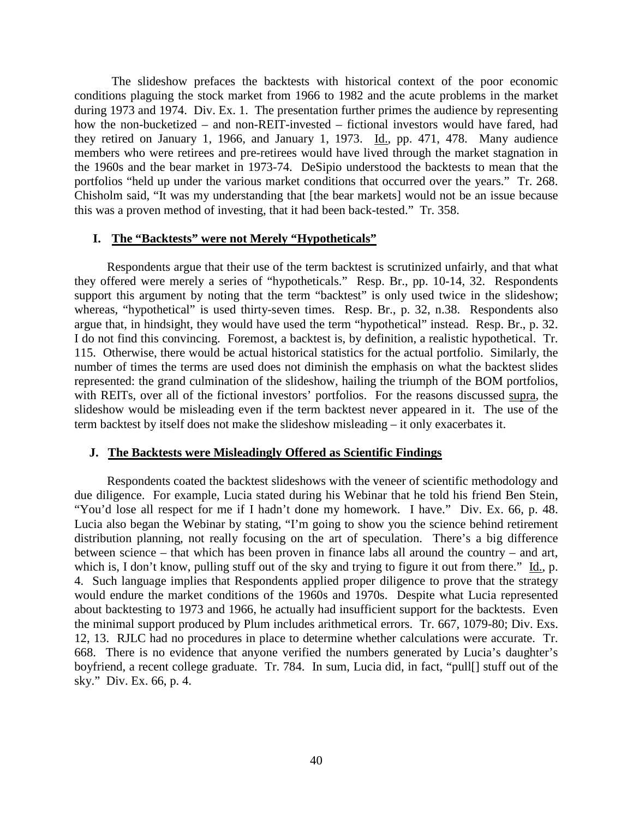The slideshow prefaces the backtests with historical context of the poor economic conditions plaguing the stock market from 1966 to 1982 and the acute problems in the market during 1973 and 1974. Div. Ex. 1. The presentation further primes the audience by representing how the non-bucketized – and non-REIT-invested – fictional investors would have fared, had they retired on January 1, 1966, and January 1, 1973. Id., pp. 471, 478. Many audience members who were retirees and pre-retirees would have lived through the market stagnation in the 1960s and the bear market in 1973-74. DeSipio understood the backtests to mean that the portfolios "held up under the various market conditions that occurred over the years." Tr. 268. Chisholm said, "It was my understanding that [the bear markets] would not be an issue because this was a proven method of investing, that it had been back-tested." Tr. 358.

### **I. The "Backtests" were not Merely "Hypotheticals"**

Respondents argue that their use of the term backtest is scrutinized unfairly, and that what they offered were merely a series of "hypotheticals." Resp. Br., pp. 10-14, 32. Respondents support this argument by noting that the term "backtest" is only used twice in the slideshow; whereas, "hypothetical" is used thirty-seven times. Resp. Br., p. 32, n.38. Respondents also argue that, in hindsight, they would have used the term "hypothetical" instead. Resp. Br., p. 32. I do not find this convincing. Foremost, a backtest is, by definition, a realistic hypothetical. Tr. 115. Otherwise, there would be actual historical statistics for the actual portfolio. Similarly, the number of times the terms are used does not diminish the emphasis on what the backtest slides represented: the grand culmination of the slideshow, hailing the triumph of the BOM portfolios, with REITs, over all of the fictional investors' portfolios. For the reasons discussed supra, the slideshow would be misleading even if the term backtest never appeared in it. The use of the term backtest by itself does not make the slideshow misleading – it only exacerbates it.

#### **J. The Backtests were Misleadingly Offered as Scientific Findings**

Respondents coated the backtest slideshows with the veneer of scientific methodology and due diligence. For example, Lucia stated during his Webinar that he told his friend Ben Stein, "You'd lose all respect for me if I hadn't done my homework. I have." Div. Ex. 66, p. 48. Lucia also began the Webinar by stating, "I'm going to show you the science behind retirement distribution planning, not really focusing on the art of speculation. There's a big difference between science – that which has been proven in finance labs all around the country – and art, which is, I don't know, pulling stuff out of the sky and trying to figure it out from there." Id., p. 4. Such language implies that Respondents applied proper diligence to prove that the strategy would endure the market conditions of the 1960s and 1970s. Despite what Lucia represented about backtesting to 1973 and 1966, he actually had insufficient support for the backtests. Even the minimal support produced by Plum includes arithmetical errors. Tr. 667, 1079-80; Div. Exs. 12, 13. RJLC had no procedures in place to determine whether calculations were accurate. Tr. 668. There is no evidence that anyone verified the numbers generated by Lucia's daughter's boyfriend, a recent college graduate. Tr. 784. In sum, Lucia did, in fact, "pull[] stuff out of the sky." Div. Ex. 66, p. 4.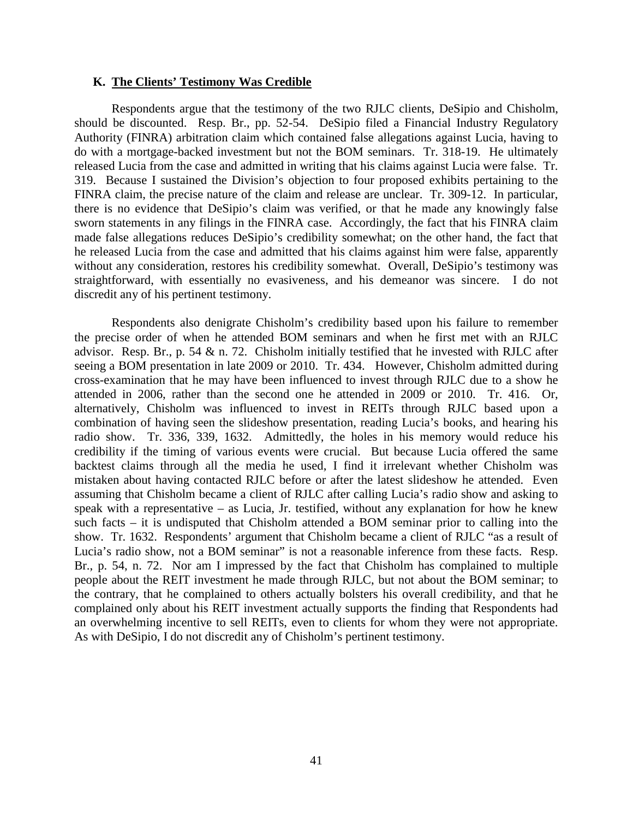## **K. The Clients' Testimony Was Credible**

Respondents argue that the testimony of the two RJLC clients, DeSipio and Chisholm, should be discounted. Resp. Br., pp. 52-54. DeSipio filed a Financial Industry Regulatory Authority (FINRA) arbitration claim which contained false allegations against Lucia, having to do with a mortgage-backed investment but not the BOM seminars. Tr. 318-19. He ultimately released Lucia from the case and admitted in writing that his claims against Lucia were false. Tr. 319. Because I sustained the Division's objection to four proposed exhibits pertaining to the FINRA claim, the precise nature of the claim and release are unclear. Tr. 309-12. In particular, there is no evidence that DeSipio's claim was verified, or that he made any knowingly false sworn statements in any filings in the FINRA case. Accordingly, the fact that his FINRA claim made false allegations reduces DeSipio's credibility somewhat; on the other hand, the fact that he released Lucia from the case and admitted that his claims against him were false, apparently without any consideration, restores his credibility somewhat. Overall, DeSipio's testimony was straightforward, with essentially no evasiveness, and his demeanor was sincere. I do not discredit any of his pertinent testimony.

Respondents also denigrate Chisholm's credibility based upon his failure to remember the precise order of when he attended BOM seminars and when he first met with an RJLC advisor. Resp. Br., p. 54 & n. 72. Chisholm initially testified that he invested with RJLC after seeing a BOM presentation in late 2009 or 2010. Tr. 434. However, Chisholm admitted during cross-examination that he may have been influenced to invest through RJLC due to a show he attended in 2006, rather than the second one he attended in 2009 or 2010. Tr. 416. Or, alternatively, Chisholm was influenced to invest in REITs through RJLC based upon a combination of having seen the slideshow presentation, reading Lucia's books, and hearing his radio show. Tr. 336, 339, 1632. Admittedly, the holes in his memory would reduce his credibility if the timing of various events were crucial. But because Lucia offered the same backtest claims through all the media he used, I find it irrelevant whether Chisholm was mistaken about having contacted RJLC before or after the latest slideshow he attended. Even assuming that Chisholm became a client of RJLC after calling Lucia's radio show and asking to speak with a representative – as Lucia, Jr. testified, without any explanation for how he knew such facts – it is undisputed that Chisholm attended a BOM seminar prior to calling into the show. Tr. 1632. Respondents' argument that Chisholm became a client of RJLC "as a result of Lucia's radio show, not a BOM seminar" is not a reasonable inference from these facts. Resp. Br., p. 54, n. 72. Nor am I impressed by the fact that Chisholm has complained to multiple people about the REIT investment he made through RJLC, but not about the BOM seminar; to the contrary, that he complained to others actually bolsters his overall credibility, and that he complained only about his REIT investment actually supports the finding that Respondents had an overwhelming incentive to sell REITs, even to clients for whom they were not appropriate. As with DeSipio, I do not discredit any of Chisholm's pertinent testimony.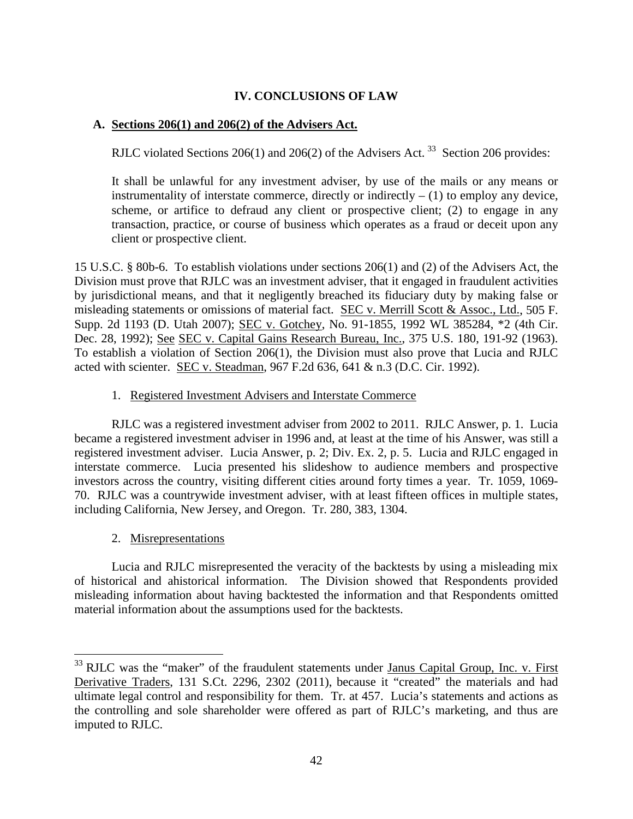# **IV. CONCLUSIONS OF LAW**

# **A. Sections 206(1) and 206(2) of the Advisers Act.**

RJLC violated Sections 206(1) and 206(2) of the Advisers Act.<sup>33</sup> Section 206 provides:

It shall be unlawful for any investment adviser, by use of the mails or any means or instrumentality of interstate commerce, directly or indirectly  $- (1)$  to employ any device, scheme, or artifice to defraud any client or prospective client; (2) to engage in any transaction, practice, or course of business which operates as a fraud or deceit upon any client or prospective client.

15 U.S.C. § 80b-6. To establish violations under sections 206(1) and (2) of the Advisers Act, the Division must prove that RJLC was an investment adviser, that it engaged in fraudulent activities by jurisdictional means, and that it negligently breached its fiduciary duty by making false or misleading statements or omissions of material fact. SEC v. Merrill Scott & Assoc., Ltd., 505 F. Supp. 2d 1193 (D. Utah 2007); SEC v. Gotchey, No. 91-1855, 1992 WL 385284, \*2 (4th Cir. Dec. 28, 1992); See SEC v. Capital Gains Research Bureau, Inc., 375 U.S. 180, 191-92 (1963). To establish a violation of Section 206(1), the Division must also prove that Lucia and RJLC acted with scienter. SEC v. Steadman, 967 F.2d 636, 641 & n.3 (D.C. Cir. 1992).

# 1. Registered Investment Advisers and Interstate Commerce

RJLC was a registered investment adviser from 2002 to 2011. RJLC Answer, p. 1. Lucia became a registered investment adviser in 1996 and, at least at the time of his Answer, was still a registered investment adviser. Lucia Answer, p. 2; Div. Ex. 2, p. 5. Lucia and RJLC engaged in interstate commerce. Lucia presented his slideshow to audience members and prospective investors across the country, visiting different cities around forty times a year. Tr. 1059, 1069- 70. RJLC was a countrywide investment adviser, with at least fifteen offices in multiple states, including California, New Jersey, and Oregon. Tr. 280, 383, 1304.

2. Misrepresentations

Lucia and RJLC misrepresented the veracity of the backtests by using a misleading mix of historical and ahistorical information. The Division showed that Respondents provided misleading information about having backtested the information and that Respondents omitted material information about the assumptions used for the backtests.

 $33$  RJLC was the "maker" of the fraudulent statements under Janus Capital Group, Inc. v. First Derivative Traders, 131 S.Ct. 2296, 2302 (2011), because it "created" the materials and had ultimate legal control and responsibility for them. Tr. at 457. Lucia's statements and actions as the controlling and sole shareholder were offered as part of RJLC's marketing, and thus are imputed to RJLC.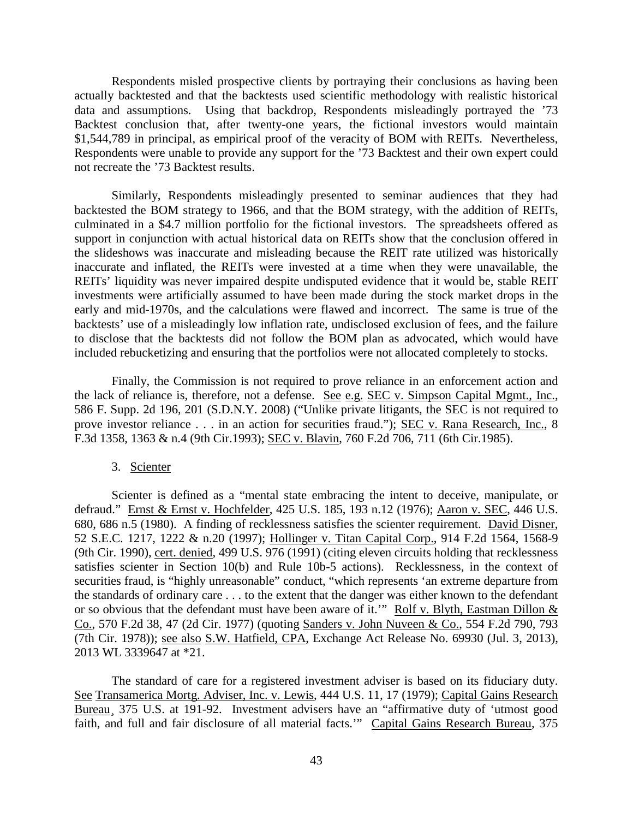Respondents misled prospective clients by portraying their conclusions as having been actually backtested and that the backtests used scientific methodology with realistic historical data and assumptions. Using that backdrop, Respondents misleadingly portrayed the '73 Backtest conclusion that, after twenty-one years, the fictional investors would maintain \$1,544,789 in principal, as empirical proof of the veracity of BOM with REITs. Nevertheless, Respondents were unable to provide any support for the '73 Backtest and their own expert could not recreate the '73 Backtest results.

Similarly, Respondents misleadingly presented to seminar audiences that they had backtested the BOM strategy to 1966, and that the BOM strategy, with the addition of REITs, culminated in a \$4.7 million portfolio for the fictional investors. The spreadsheets offered as support in conjunction with actual historical data on REITs show that the conclusion offered in the slideshows was inaccurate and misleading because the REIT rate utilized was historically inaccurate and inflated, the REITs were invested at a time when they were unavailable, the REITs' liquidity was never impaired despite undisputed evidence that it would be, stable REIT investments were artificially assumed to have been made during the stock market drops in the early and mid-1970s, and the calculations were flawed and incorrect. The same is true of the backtests' use of a misleadingly low inflation rate, undisclosed exclusion of fees, and the failure to disclose that the backtests did not follow the BOM plan as advocated, which would have included rebucketizing and ensuring that the portfolios were not allocated completely to stocks.

Finally, the Commission is not required to prove reliance in an enforcement action and the lack of reliance is, therefore, not a defense. See e.g. SEC v. Simpson Capital Mgmt., Inc., 586 F. Supp. 2d 196, 201 (S.D.N.Y. 2008) ("Unlike private litigants, the SEC is not required to prove investor reliance . . . in an action for securities fraud."); SEC v. Rana Research, Inc., 8 F.3d 1358, 1363 & n.4 (9th Cir.1993); SEC v. Blavin, 760 F.2d 706, 711 (6th Cir.1985).

### 3. Scienter

Scienter is defined as a "mental state embracing the intent to deceive, manipulate, or defraud." Ernst & Ernst v. Hochfelder, 425 U.S. 185, 193 n.12 (1976); Aaron v. SEC, 446 U.S. 680, 686 n.5 (1980). A finding of recklessness satisfies the scienter requirement. David Disner, 52 S.E.C. 1217, 1222 & n.20 (1997); Hollinger v. Titan Capital Corp., 914 F.2d 1564, 1568-9 (9th Cir. 1990), cert. denied, 499 U.S. 976 (1991) (citing eleven circuits holding that recklessness satisfies scienter in Section 10(b) and Rule 10b-5 actions). Recklessness, in the context of securities fraud, is "highly unreasonable" conduct, "which represents 'an extreme departure from the standards of ordinary care . . . to the extent that the danger was either known to the defendant or so obvious that the defendant must have been aware of it." Rolf v. Blyth, Eastman Dillon & Co., 570 F.2d 38, 47 (2d Cir. 1977) (quoting Sanders v. John Nuveen & Co., 554 F.2d 790, 793 (7th Cir. 1978)); see also S.W. Hatfield, CPA, Exchange Act Release No. 69930 (Jul. 3, 2013), 2013 WL 3339647 at \*21.

The standard of care for a registered investment adviser is based on its fiduciary duty. See Transamerica Mortg. Adviser, Inc. v. Lewis, 444 U.S. 11, 17 (1979); Capital Gains Research Bureau, 375 U.S. at 191-92. Investment advisers have an "affirmative duty of 'utmost good faith, and full and fair disclosure of all material facts.'" Capital Gains Research Bureau, 375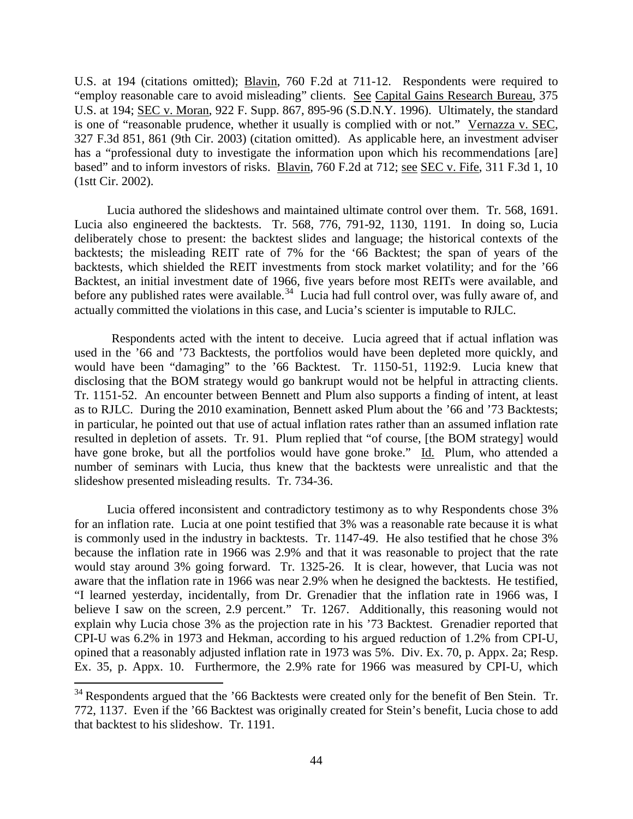U.S. at 194 (citations omitted); Blavin, 760 F.2d at 711-12. Respondents were required to "employ reasonable care to avoid misleading" clients. See Capital Gains Research Bureau, 375 U.S. at 194; SEC v. Moran, 922 F. Supp. 867, 895-96 (S.D.N.Y. 1996). Ultimately, the standard is one of "reasonable prudence, whether it usually is complied with or not." Vernazza v. SEC, 327 F.3d 851, 861 (9th Cir. 2003) (citation omitted). As applicable here, an investment adviser has a "professional duty to investigate the information upon which his recommendations [are] based" and to inform investors of risks. Blavin, 760 F.2d at 712; see SEC v. Fife, 311 F.3d 1, 10 (1stt Cir. 2002).

Lucia authored the slideshows and maintained ultimate control over them. Tr. 568, 1691. Lucia also engineered the backtests. Tr. 568, 776, 791-92, 1130, 1191. In doing so, Lucia deliberately chose to present: the backtest slides and language; the historical contexts of the backtests; the misleading REIT rate of 7% for the '66 Backtest; the span of years of the backtests, which shielded the REIT investments from stock market volatility; and for the '66 Backtest, an initial investment date of 1966, five years before most REITs were available, and before any published rates were available.<sup>34</sup> Lucia had full control over, was fully aware of, and actually committed the violations in this case, and Lucia's scienter is imputable to RJLC.

Respondents acted with the intent to deceive. Lucia agreed that if actual inflation was used in the '66 and '73 Backtests, the portfolios would have been depleted more quickly, and would have been "damaging" to the '66 Backtest. Tr. 1150-51, 1192:9. Lucia knew that disclosing that the BOM strategy would go bankrupt would not be helpful in attracting clients. Tr. 1151-52. An encounter between Bennett and Plum also supports a finding of intent, at least as to RJLC. During the 2010 examination, Bennett asked Plum about the '66 and '73 Backtests; in particular, he pointed out that use of actual inflation rates rather than an assumed inflation rate resulted in depletion of assets. Tr. 91. Plum replied that "of course, [the BOM strategy] would have gone broke, but all the portfolios would have gone broke." Id. Plum, who attended a number of seminars with Lucia, thus knew that the backtests were unrealistic and that the slideshow presented misleading results. Tr. 734-36.

Lucia offered inconsistent and contradictory testimony as to why Respondents chose 3% for an inflation rate. Lucia at one point testified that 3% was a reasonable rate because it is what is commonly used in the industry in backtests. Tr. 1147-49. He also testified that he chose 3% because the inflation rate in 1966 was 2.9% and that it was reasonable to project that the rate would stay around 3% going forward. Tr. 1325-26. It is clear, however, that Lucia was not aware that the inflation rate in 1966 was near 2.9% when he designed the backtests. He testified, "I learned yesterday, incidentally, from Dr. Grenadier that the inflation rate in 1966 was, I believe I saw on the screen, 2.9 percent." Tr. 1267. Additionally, this reasoning would not explain why Lucia chose 3% as the projection rate in his '73 Backtest. Grenadier reported that CPI-U was 6.2% in 1973 and Hekman, according to his argued reduction of 1.2% from CPI-U, opined that a reasonably adjusted inflation rate in 1973 was 5%. Div. Ex. 70, p. Appx. 2a; Resp. Ex. 35, p. Appx. 10. Furthermore, the 2.9% rate for 1966 was measured by CPI-U, which

 $34$  Respondents argued that the '66 Backtests were created only for the benefit of Ben Stein. Tr. 772, 1137. Even if the '66 Backtest was originally created for Stein's benefit, Lucia chose to add that backtest to his slideshow. Tr. 1191.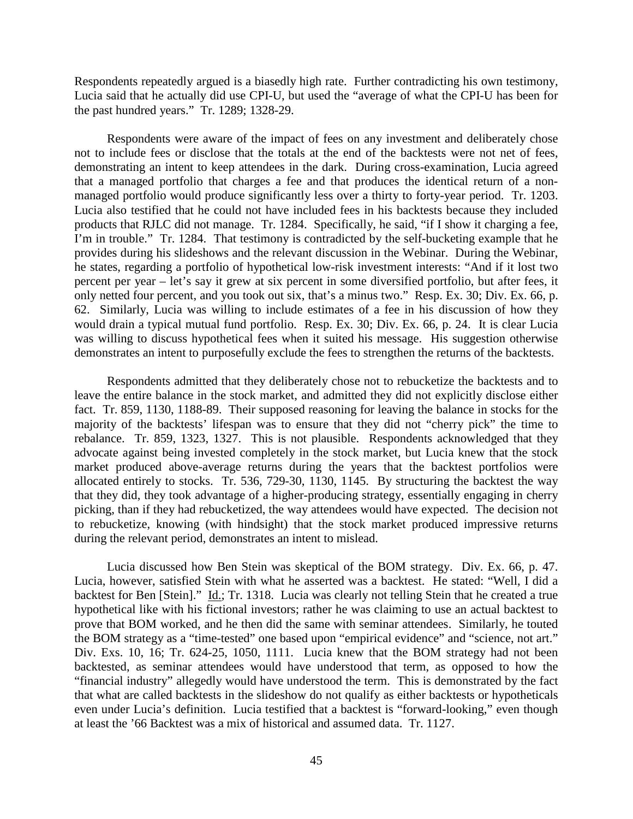Respondents repeatedly argued is a biasedly high rate. Further contradicting his own testimony, Lucia said that he actually did use CPI-U, but used the "average of what the CPI-U has been for the past hundred years." Tr. 1289; 1328-29.

Respondents were aware of the impact of fees on any investment and deliberately chose not to include fees or disclose that the totals at the end of the backtests were not net of fees, demonstrating an intent to keep attendees in the dark. During cross-examination, Lucia agreed that a managed portfolio that charges a fee and that produces the identical return of a nonmanaged portfolio would produce significantly less over a thirty to forty-year period. Tr. 1203. Lucia also testified that he could not have included fees in his backtests because they included products that RJLC did not manage. Tr. 1284. Specifically, he said, "if I show it charging a fee, I'm in trouble." Tr. 1284. That testimony is contradicted by the self-bucketing example that he provides during his slideshows and the relevant discussion in the Webinar. During the Webinar, he states, regarding a portfolio of hypothetical low-risk investment interests: "And if it lost two percent per year – let's say it grew at six percent in some diversified portfolio, but after fees, it only netted four percent, and you took out six, that's a minus two." Resp. Ex. 30; Div. Ex. 66, p. 62. Similarly, Lucia was willing to include estimates of a fee in his discussion of how they would drain a typical mutual fund portfolio. Resp. Ex. 30; Div. Ex. 66, p. 24. It is clear Lucia was willing to discuss hypothetical fees when it suited his message. His suggestion otherwise demonstrates an intent to purposefully exclude the fees to strengthen the returns of the backtests.

Respondents admitted that they deliberately chose not to rebucketize the backtests and to leave the entire balance in the stock market, and admitted they did not explicitly disclose either fact. Tr. 859, 1130, 1188-89. Their supposed reasoning for leaving the balance in stocks for the majority of the backtests' lifespan was to ensure that they did not "cherry pick" the time to rebalance. Tr. 859, 1323, 1327. This is not plausible. Respondents acknowledged that they advocate against being invested completely in the stock market, but Lucia knew that the stock market produced above-average returns during the years that the backtest portfolios were allocated entirely to stocks. Tr. 536, 729-30, 1130, 1145. By structuring the backtest the way that they did, they took advantage of a higher-producing strategy, essentially engaging in cherry picking, than if they had rebucketized, the way attendees would have expected. The decision not to rebucketize, knowing (with hindsight) that the stock market produced impressive returns during the relevant period, demonstrates an intent to mislead.

Lucia discussed how Ben Stein was skeptical of the BOM strategy. Div. Ex. 66, p. 47. Lucia, however, satisfied Stein with what he asserted was a backtest. He stated: "Well, I did a backtest for Ben [Stein]." *Id.*; Tr. 1318. Lucia was clearly not telling Stein that he created a true hypothetical like with his fictional investors; rather he was claiming to use an actual backtest to prove that BOM worked, and he then did the same with seminar attendees. Similarly, he touted the BOM strategy as a "time-tested" one based upon "empirical evidence" and "science, not art." Div. Exs. 10, 16; Tr. 624-25, 1050, 1111. Lucia knew that the BOM strategy had not been backtested, as seminar attendees would have understood that term, as opposed to how the "financial industry" allegedly would have understood the term. This is demonstrated by the fact that what are called backtests in the slideshow do not qualify as either backtests or hypotheticals even under Lucia's definition. Lucia testified that a backtest is "forward-looking," even though at least the '66 Backtest was a mix of historical and assumed data. Tr. 1127.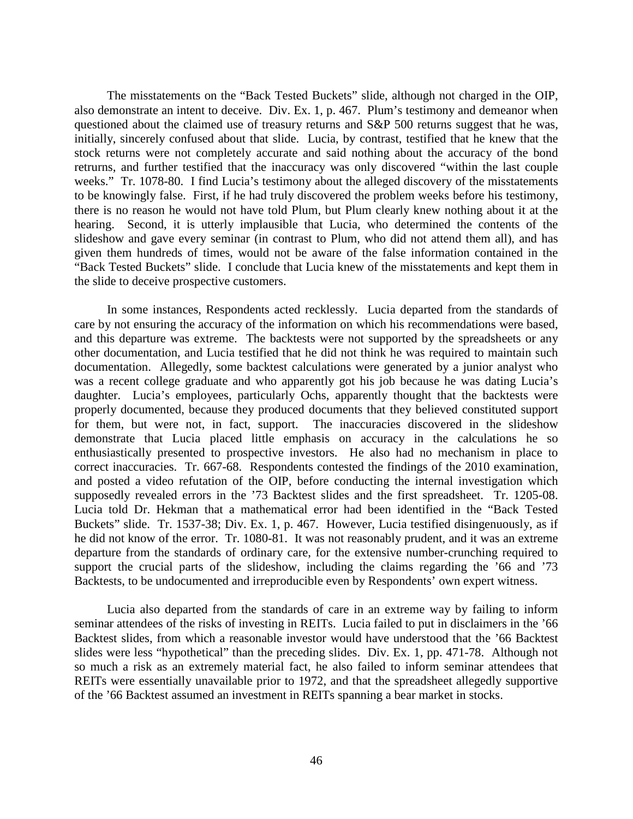The misstatements on the "Back Tested Buckets" slide, although not charged in the OIP, also demonstrate an intent to deceive. Div. Ex. 1, p. 467. Plum's testimony and demeanor when questioned about the claimed use of treasury returns and S&P 500 returns suggest that he was, initially, sincerely confused about that slide. Lucia, by contrast, testified that he knew that the stock returns were not completely accurate and said nothing about the accuracy of the bond retrurns, and further testified that the inaccuracy was only discovered "within the last couple weeks." Tr. 1078-80. I find Lucia's testimony about the alleged discovery of the misstatements to be knowingly false. First, if he had truly discovered the problem weeks before his testimony, there is no reason he would not have told Plum, but Plum clearly knew nothing about it at the hearing. Second, it is utterly implausible that Lucia, who determined the contents of the slideshow and gave every seminar (in contrast to Plum, who did not attend them all), and has given them hundreds of times, would not be aware of the false information contained in the "Back Tested Buckets" slide. I conclude that Lucia knew of the misstatements and kept them in the slide to deceive prospective customers.

In some instances, Respondents acted recklessly. Lucia departed from the standards of care by not ensuring the accuracy of the information on which his recommendations were based, and this departure was extreme. The backtests were not supported by the spreadsheets or any other documentation, and Lucia testified that he did not think he was required to maintain such documentation. Allegedly, some backtest calculations were generated by a junior analyst who was a recent college graduate and who apparently got his job because he was dating Lucia's daughter. Lucia's employees, particularly Ochs, apparently thought that the backtests were properly documented, because they produced documents that they believed constituted support for them, but were not, in fact, support. The inaccuracies discovered in the slideshow demonstrate that Lucia placed little emphasis on accuracy in the calculations he so enthusiastically presented to prospective investors. He also had no mechanism in place to correct inaccuracies. Tr. 667-68. Respondents contested the findings of the 2010 examination, and posted a video refutation of the OIP, before conducting the internal investigation which supposedly revealed errors in the '73 Backtest slides and the first spreadsheet. Tr. 1205-08. Lucia told Dr. Hekman that a mathematical error had been identified in the "Back Tested Buckets" slide. Tr. 1537-38; Div. Ex. 1, p. 467. However, Lucia testified disingenuously, as if he did not know of the error. Tr. 1080-81. It was not reasonably prudent, and it was an extreme departure from the standards of ordinary care, for the extensive number-crunching required to support the crucial parts of the slideshow, including the claims regarding the '66 and '73 Backtests, to be undocumented and irreproducible even by Respondents' own expert witness.

Lucia also departed from the standards of care in an extreme way by failing to inform seminar attendees of the risks of investing in REITs. Lucia failed to put in disclaimers in the '66 Backtest slides, from which a reasonable investor would have understood that the '66 Backtest slides were less "hypothetical" than the preceding slides. Div. Ex. 1, pp. 471-78. Although not so much a risk as an extremely material fact, he also failed to inform seminar attendees that REITs were essentially unavailable prior to 1972, and that the spreadsheet allegedly supportive of the '66 Backtest assumed an investment in REITs spanning a bear market in stocks.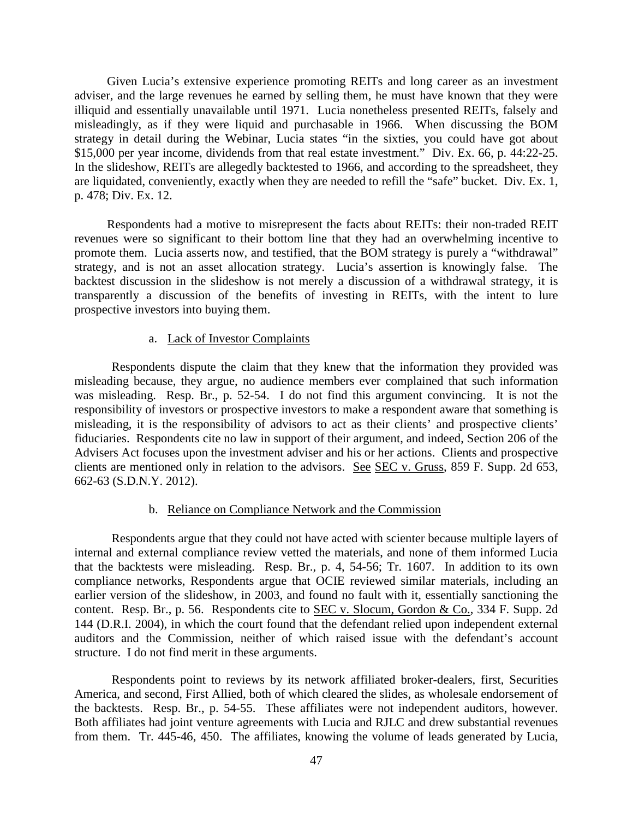Given Lucia's extensive experience promoting REITs and long career as an investment adviser, and the large revenues he earned by selling them, he must have known that they were illiquid and essentially unavailable until 1971. Lucia nonetheless presented REITs, falsely and misleadingly, as if they were liquid and purchasable in 1966. When discussing the BOM strategy in detail during the Webinar, Lucia states "in the sixties, you could have got about \$15,000 per year income, dividends from that real estate investment." Div. Ex. 66, p. 44:22-25. In the slideshow, REITs are allegedly backtested to 1966, and according to the spreadsheet, they are liquidated, conveniently, exactly when they are needed to refill the "safe" bucket. Div. Ex. 1, p. 478; Div. Ex. 12.

Respondents had a motive to misrepresent the facts about REITs: their non-traded REIT revenues were so significant to their bottom line that they had an overwhelming incentive to promote them. Lucia asserts now, and testified, that the BOM strategy is purely a "withdrawal" strategy, and is not an asset allocation strategy. Lucia's assertion is knowingly false. The backtest discussion in the slideshow is not merely a discussion of a withdrawal strategy, it is transparently a discussion of the benefits of investing in REITs, with the intent to lure prospective investors into buying them.

## a. Lack of Investor Complaints

Respondents dispute the claim that they knew that the information they provided was misleading because, they argue, no audience members ever complained that such information was misleading. Resp. Br., p. 52-54. I do not find this argument convincing. It is not the responsibility of investors or prospective investors to make a respondent aware that something is misleading, it is the responsibility of advisors to act as their clients' and prospective clients' fiduciaries. Respondents cite no law in support of their argument, and indeed, Section 206 of the Advisers Act focuses upon the investment adviser and his or her actions. Clients and prospective clients are mentioned only in relation to the advisors. See SEC v. Gruss, 859 F. Supp. 2d 653, 662-63 (S.D.N.Y. 2012).

# b. Reliance on Compliance Network and the Commission

Respondents argue that they could not have acted with scienter because multiple layers of internal and external compliance review vetted the materials, and none of them informed Lucia that the backtests were misleading. Resp. Br., p. 4, 54-56; Tr. 1607. In addition to its own compliance networks, Respondents argue that OCIE reviewed similar materials, including an earlier version of the slideshow, in 2003, and found no fault with it, essentially sanctioning the content. Resp. Br., p. 56. Respondents cite to SEC v. Slocum, Gordon & Co., 334 F. Supp. 2d 144 (D.R.I. 2004), in which the court found that the defendant relied upon independent external auditors and the Commission, neither of which raised issue with the defendant's account structure. I do not find merit in these arguments.

Respondents point to reviews by its network affiliated broker-dealers, first, Securities America, and second, First Allied, both of which cleared the slides, as wholesale endorsement of the backtests. Resp. Br., p. 54-55. These affiliates were not independent auditors, however. Both affiliates had joint venture agreements with Lucia and RJLC and drew substantial revenues from them. Tr. 445-46, 450. The affiliates, knowing the volume of leads generated by Lucia,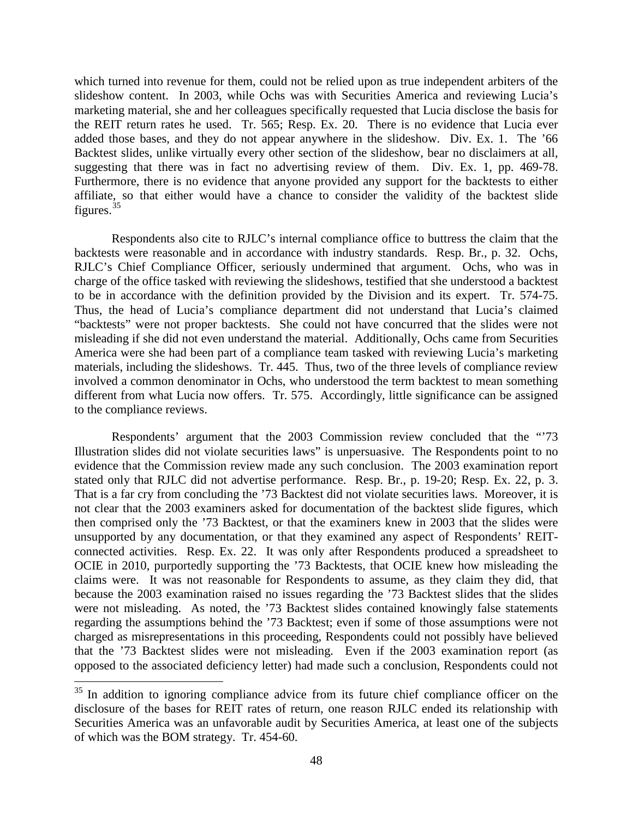which turned into revenue for them, could not be relied upon as true independent arbiters of the slideshow content. In 2003, while Ochs was with Securities America and reviewing Lucia's marketing material, she and her colleagues specifically requested that Lucia disclose the basis for the REIT return rates he used. Tr. 565; Resp. Ex. 20. There is no evidence that Lucia ever added those bases, and they do not appear anywhere in the slideshow. Div. Ex. 1. The '66 Backtest slides, unlike virtually every other section of the slideshow, bear no disclaimers at all, suggesting that there was in fact no advertising review of them. Div. Ex. 1, pp. 469-78. Furthermore, there is no evidence that anyone provided any support for the backtests to either affiliate, so that either would have a chance to consider the validity of the backtest slide figures.  $35$ 

Respondents also cite to RJLC's internal compliance office to buttress the claim that the backtests were reasonable and in accordance with industry standards. Resp. Br., p. 32. Ochs, RJLC's Chief Compliance Officer, seriously undermined that argument. Ochs, who was in charge of the office tasked with reviewing the slideshows, testified that she understood a backtest to be in accordance with the definition provided by the Division and its expert. Tr. 574-75. Thus, the head of Lucia's compliance department did not understand that Lucia's claimed "backtests" were not proper backtests. She could not have concurred that the slides were not misleading if she did not even understand the material. Additionally, Ochs came from Securities America were she had been part of a compliance team tasked with reviewing Lucia's marketing materials, including the slideshows. Tr. 445. Thus, two of the three levels of compliance review involved a common denominator in Ochs, who understood the term backtest to mean something different from what Lucia now offers. Tr. 575. Accordingly, little significance can be assigned to the compliance reviews.

Respondents' argument that the 2003 Commission review concluded that the "'73 Illustration slides did not violate securities laws" is unpersuasive. The Respondents point to no evidence that the Commission review made any such conclusion. The 2003 examination report stated only that RJLC did not advertise performance. Resp. Br., p. 19-20; Resp. Ex. 22, p. 3. That is a far cry from concluding the '73 Backtest did not violate securities laws. Moreover, it is not clear that the 2003 examiners asked for documentation of the backtest slide figures, which then comprised only the '73 Backtest, or that the examiners knew in 2003 that the slides were unsupported by any documentation, or that they examined any aspect of Respondents' REITconnected activities. Resp. Ex. 22. It was only after Respondents produced a spreadsheet to OCIE in 2010, purportedly supporting the '73 Backtests, that OCIE knew how misleading the claims were. It was not reasonable for Respondents to assume, as they claim they did, that because the 2003 examination raised no issues regarding the '73 Backtest slides that the slides were not misleading. As noted, the '73 Backtest slides contained knowingly false statements regarding the assumptions behind the '73 Backtest; even if some of those assumptions were not charged as misrepresentations in this proceeding, Respondents could not possibly have believed that the '73 Backtest slides were not misleading. Even if the 2003 examination report (as opposed to the associated deficiency letter) had made such a conclusion, Respondents could not

<sup>&</sup>lt;sup>35</sup> In addition to ignoring compliance advice from its future chief compliance officer on the disclosure of the bases for REIT rates of return, one reason RJLC ended its relationship with Securities America was an unfavorable audit by Securities America, at least one of the subjects of which was the BOM strategy. Tr. 454-60.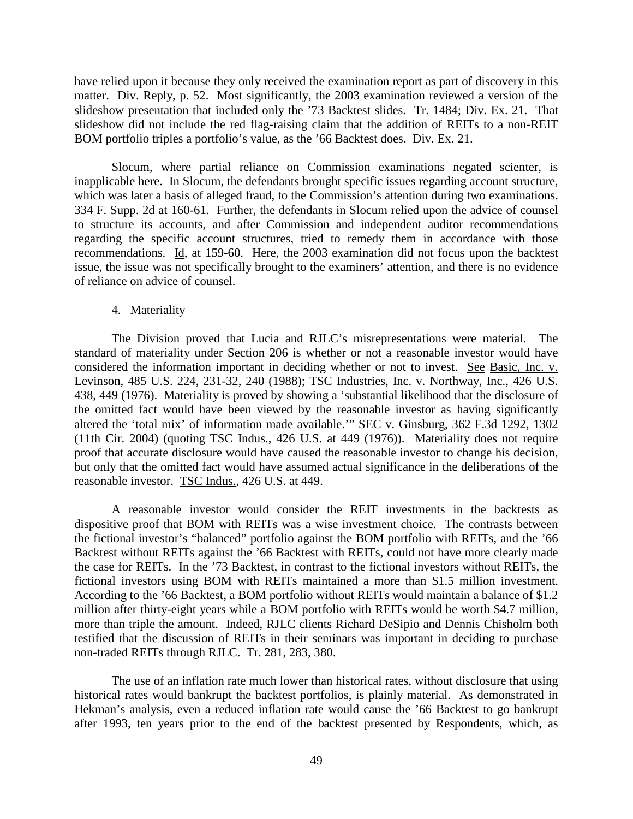have relied upon it because they only received the examination report as part of discovery in this matter. Div. Reply, p. 52. Most significantly, the 2003 examination reviewed a version of the slideshow presentation that included only the '73 Backtest slides. Tr. 1484; Div. Ex. 21. That slideshow did not include the red flag-raising claim that the addition of REITs to a non-REIT BOM portfolio triples a portfolio's value, as the '66 Backtest does. Div. Ex. 21.

Slocum, where partial reliance on Commission examinations negated scienter, is inapplicable here. In Slocum, the defendants brought specific issues regarding account structure, which was later a basis of alleged fraud, to the Commission's attention during two examinations. 334 F. Supp. 2d at 160-61. Further, the defendants in Slocum relied upon the advice of counsel to structure its accounts, and after Commission and independent auditor recommendations regarding the specific account structures, tried to remedy them in accordance with those recommendations. Id, at 159-60. Here, the 2003 examination did not focus upon the backtest issue, the issue was not specifically brought to the examiners' attention, and there is no evidence of reliance on advice of counsel.

#### 4. Materiality

The Division proved that Lucia and RJLC's misrepresentations were material. The standard of materiality under Section 206 is whether or not a reasonable investor would have considered the information important in deciding whether or not to invest. See Basic, Inc. v. Levinson, 485 U.S. 224, 231-32, 240 (1988); TSC Industries, Inc. v. Northway, Inc., 426 U.S. 438, 449 (1976). Materiality is proved by showing a 'substantial likelihood that the disclosure of the omitted fact would have been viewed by the reasonable investor as having significantly altered the 'total mix' of information made available.'" SEC v. Ginsburg, 362 F.3d 1292, 1302 (11th Cir. 2004) (quoting  $TSC$  Indus., 426 U.S. at 449 (1976)). Materiality does not require proof that accurate disclosure would have caused the reasonable investor to change his decision, but only that the omitted fact would have assumed actual significance in the deliberations of the reasonable investor. TSC Indus., 426 U.S. at 449.

A reasonable investor would consider the REIT investments in the backtests as dispositive proof that BOM with REITs was a wise investment choice. The contrasts between the fictional investor's "balanced" portfolio against the BOM portfolio with REITs, and the '66 Backtest without REITs against the '66 Backtest with REITs, could not have more clearly made the case for REITs. In the '73 Backtest, in contrast to the fictional investors without REITs, the fictional investors using BOM with REITs maintained a more than \$1.5 million investment. According to the '66 Backtest, a BOM portfolio without REITs would maintain a balance of \$1.2 million after thirty-eight years while a BOM portfolio with REITs would be worth \$4.7 million, more than triple the amount. Indeed, RJLC clients Richard DeSipio and Dennis Chisholm both testified that the discussion of REITs in their seminars was important in deciding to purchase non-traded REITs through RJLC. Tr. 281, 283, 380.

The use of an inflation rate much lower than historical rates, without disclosure that using historical rates would bankrupt the backtest portfolios, is plainly material. As demonstrated in Hekman's analysis, even a reduced inflation rate would cause the '66 Backtest to go bankrupt after 1993, ten years prior to the end of the backtest presented by Respondents, which, as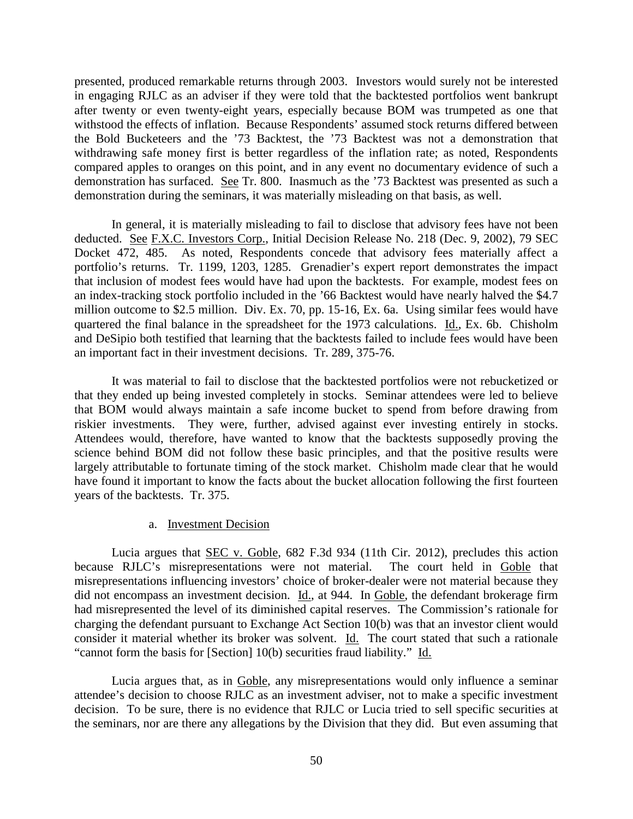presented, produced remarkable returns through 2003. Investors would surely not be interested in engaging RJLC as an adviser if they were told that the backtested portfolios went bankrupt after twenty or even twenty-eight years, especially because BOM was trumpeted as one that withstood the effects of inflation. Because Respondents' assumed stock returns differed between the Bold Bucketeers and the '73 Backtest, the '73 Backtest was not a demonstration that withdrawing safe money first is better regardless of the inflation rate; as noted, Respondents compared apples to oranges on this point, and in any event no documentary evidence of such a demonstration has surfaced. See Tr. 800. Inasmuch as the '73 Backtest was presented as such a demonstration during the seminars, it was materially misleading on that basis, as well.

In general, it is materially misleading to fail to disclose that advisory fees have not been deducted. See F.X.C. Investors Corp., Initial Decision Release No. 218 (Dec. 9, 2002), 79 SEC Docket 472, 485. As noted, Respondents concede that advisory fees materially affect a portfolio's returns. Tr. 1199, 1203, 1285. Grenadier's expert report demonstrates the impact that inclusion of modest fees would have had upon the backtests. For example, modest fees on an index-tracking stock portfolio included in the '66 Backtest would have nearly halved the \$4.7 million outcome to \$2.5 million. Div. Ex. 70, pp. 15-16, Ex. 6a. Using similar fees would have quartered the final balance in the spreadsheet for the 1973 calculations. Id., Ex. 6b. Chisholm and DeSipio both testified that learning that the backtests failed to include fees would have been an important fact in their investment decisions. Tr. 289, 375-76.

It was material to fail to disclose that the backtested portfolios were not rebucketized or that they ended up being invested completely in stocks. Seminar attendees were led to believe that BOM would always maintain a safe income bucket to spend from before drawing from riskier investments. They were, further, advised against ever investing entirely in stocks. Attendees would, therefore, have wanted to know that the backtests supposedly proving the science behind BOM did not follow these basic principles, and that the positive results were largely attributable to fortunate timing of the stock market. Chisholm made clear that he would have found it important to know the facts about the bucket allocation following the first fourteen years of the backtests. Tr. 375.

### a. Investment Decision

Lucia argues that SEC v. Goble, 682 F.3d 934 (11th Cir. 2012), precludes this action because RJLC's misrepresentations were not material. The court held in Goble that misrepresentations influencing investors' choice of broker-dealer were not material because they did not encompass an investment decision. Id., at 944. In Goble, the defendant brokerage firm had misrepresented the level of its diminished capital reserves. The Commission's rationale for charging the defendant pursuant to Exchange Act Section 10(b) was that an investor client would consider it material whether its broker was solvent. Id. The court stated that such a rationale "cannot form the basis for [Section] 10(b) securities fraud liability." Id.

Lucia argues that, as in Goble, any misrepresentations would only influence a seminar attendee's decision to choose RJLC as an investment adviser, not to make a specific investment decision. To be sure, there is no evidence that RJLC or Lucia tried to sell specific securities at the seminars, nor are there any allegations by the Division that they did. But even assuming that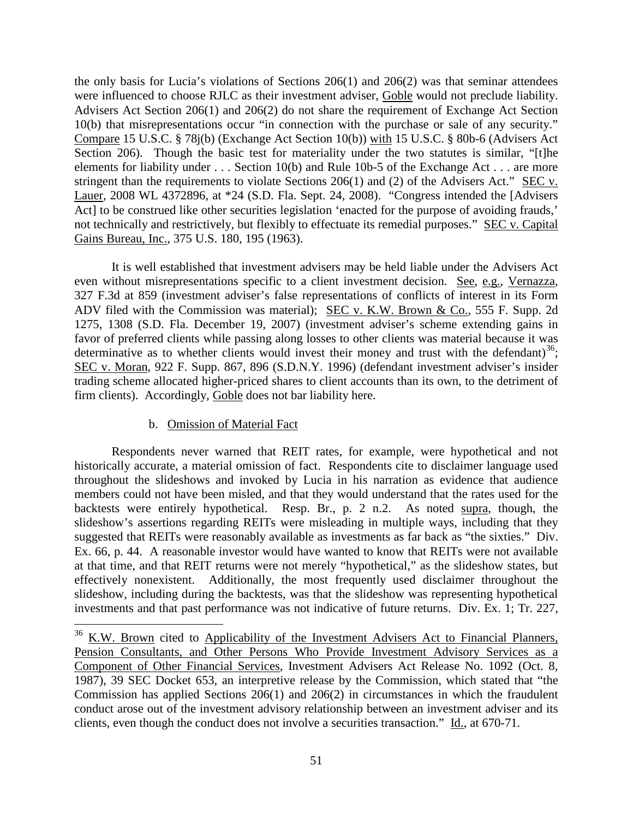the only basis for Lucia's violations of Sections 206(1) and 206(2) was that seminar attendees were influenced to choose RJLC as their investment adviser, Goble would not preclude liability. Advisers Act Section 206(1) and 206(2) do not share the requirement of Exchange Act Section 10(b) that misrepresentations occur "in connection with the purchase or sale of any security." Compare 15 U.S.C. § 78j(b) (Exchange Act Section 10(b)) with 15 U.S.C. § 80b-6 (Advisers Act Section 206). Though the basic test for materiality under the two statutes is similar, "[t]he elements for liability under . . . Section 10(b) and Rule 10b-5 of the Exchange Act . . . are more stringent than the requirements to violate Sections 206(1) and (2) of the Advisers Act." SEC v. Lauer, 2008 WL 4372896, at \*24 (S.D. Fla. Sept. 24, 2008). "Congress intended the [Advisers Act] to be construed like other securities legislation 'enacted for the purpose of avoiding frauds,' not technically and restrictively, but flexibly to effectuate its remedial purposes." SEC v. Capital Gains Bureau, Inc., 375 U.S. 180, 195 (1963).

It is well established that investment advisers may be held liable under the Advisers Act even without misrepresentations specific to a client investment decision. See, e.g., Vernazza, 327 F.3d at 859 (investment adviser's false representations of conflicts of interest in its Form ADV filed with the Commission was material); SEC v. K.W. Brown & Co., 555 F. Supp. 2d 1275, 1308 (S.D. Fla. December 19, 2007) (investment adviser's scheme extending gains in favor of preferred clients while passing along losses to other clients was material because it was determinative as to whether clients would invest their money and trust with the defendant)<sup>36</sup>; SEC v. Moran, 922 F. Supp. 867, 896 (S.D.N.Y. 1996) (defendant investment adviser's insider trading scheme allocated higher-priced shares to client accounts than its own, to the detriment of firm clients). Accordingly, Goble does not bar liability here.

# b. Omission of Material Fact

Respondents never warned that REIT rates, for example, were hypothetical and not historically accurate, a material omission of fact. Respondents cite to disclaimer language used throughout the slideshows and invoked by Lucia in his narration as evidence that audience members could not have been misled, and that they would understand that the rates used for the backtests were entirely hypothetical. Resp. Br., p. 2 n.2. As noted supra, though, the slideshow's assertions regarding REITs were misleading in multiple ways, including that they suggested that REITs were reasonably available as investments as far back as "the sixties." Div. Ex. 66, p. 44. A reasonable investor would have wanted to know that REITs were not available at that time, and that REIT returns were not merely "hypothetical," as the slideshow states, but effectively nonexistent. Additionally, the most frequently used disclaimer throughout the slideshow, including during the backtests, was that the slideshow was representing hypothetical investments and that past performance was not indicative of future returns. Div. Ex. 1; Tr. 227,

<sup>&</sup>lt;sup>36</sup> K.W. Brown cited to Applicability of the Investment Advisers Act to Financial Planners, Pension Consultants, and Other Persons Who Provide Investment Advisory Services as a Component of Other Financial Services, Investment Advisers Act Release No. 1092 (Oct. 8, 1987), 39 SEC Docket 653, an interpretive release by the Commission, which stated that "the Commission has applied Sections 206(1) and 206(2) in circumstances in which the fraudulent conduct arose out of the investment advisory relationship between an investment adviser and its clients, even though the conduct does not involve a securities transaction." Id., at 670-71.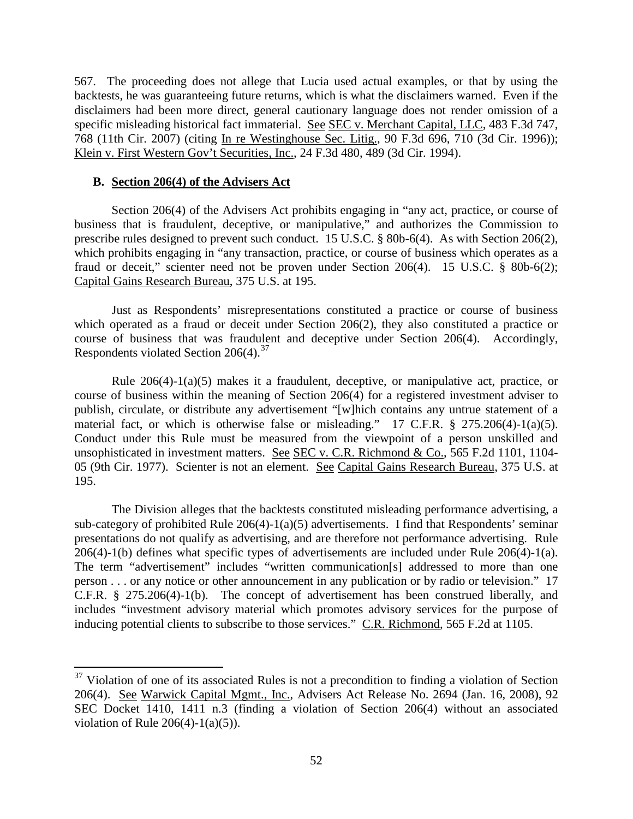567. The proceeding does not allege that Lucia used actual examples, or that by using the backtests, he was guaranteeing future returns, which is what the disclaimers warned. Even if the disclaimers had been more direct, general cautionary language does not render omission of a specific misleading historical fact immaterial. See SEC v. Merchant Capital, LLC, 483 F.3d 747, 768 (11th Cir. 2007) (citing In re Westinghouse Sec. Litig., 90 F.3d 696, 710 (3d Cir. 1996)); Klein v. First Western Gov't Securities, Inc., 24 F.3d 480, 489 (3d Cir. 1994).

### **B. Section 206(4) of the Advisers Act**

Section 206(4) of the Advisers Act prohibits engaging in "any act, practice, or course of business that is fraudulent, deceptive, or manipulative," and authorizes the Commission to prescribe rules designed to prevent such conduct. 15 U.S.C. § 80b-6(4). As with Section 206(2), which prohibits engaging in "any transaction, practice, or course of business which operates as a fraud or deceit," scienter need not be proven under Section 206(4). 15 U.S.C. § 80b-6(2); Capital Gains Research Bureau, 375 U.S. at 195.

Just as Respondents' misrepresentations constituted a practice or course of business which operated as a fraud or deceit under Section 206(2), they also constituted a practice or course of business that was fraudulent and deceptive under Section 206(4). Accordingly, Respondents violated Section  $206(4).^{37}$ 

Rule 206(4)-1(a)(5) makes it a fraudulent, deceptive, or manipulative act, practice, or course of business within the meaning of Section 206(4) for a registered investment adviser to publish, circulate, or distribute any advertisement "[w]hich contains any untrue statement of a material fact, or which is otherwise false or misleading." 17 C.F.R. § 275.206(4)-1(a)(5). Conduct under this Rule must be measured from the viewpoint of a person unskilled and unsophisticated in investment matters. See SEC v. C.R. Richmond & Co., 565 F.2d 1101, 1104- 05 (9th Cir. 1977). Scienter is not an element. See Capital Gains Research Bureau, 375 U.S. at 195.

The Division alleges that the backtests constituted misleading performance advertising, a sub-category of prohibited Rule 206(4)-1(a)(5) advertisements. I find that Respondents' seminar presentations do not qualify as advertising, and are therefore not performance advertising. Rule 206(4)-1(b) defines what specific types of advertisements are included under Rule 206(4)-1(a). The term "advertisement" includes "written communication[s] addressed to more than one person . . . or any notice or other announcement in any publication or by radio or television." 17 C.F.R. § 275.206(4)-1(b). The concept of advertisement has been construed liberally, and includes "investment advisory material which promotes advisory services for the purpose of inducing potential clients to subscribe to those services." C.R. Richmond, 565 F.2d at 1105.

 $37$  Violation of one of its associated Rules is not a precondition to finding a violation of Section 206(4). See Warwick Capital Mgmt., Inc., Advisers Act Release No. 2694 (Jan. 16, 2008), 92 SEC Docket 1410, 1411 n.3 (finding a violation of Section 206(4) without an associated violation of Rule  $206(4)$ -1(a)(5)).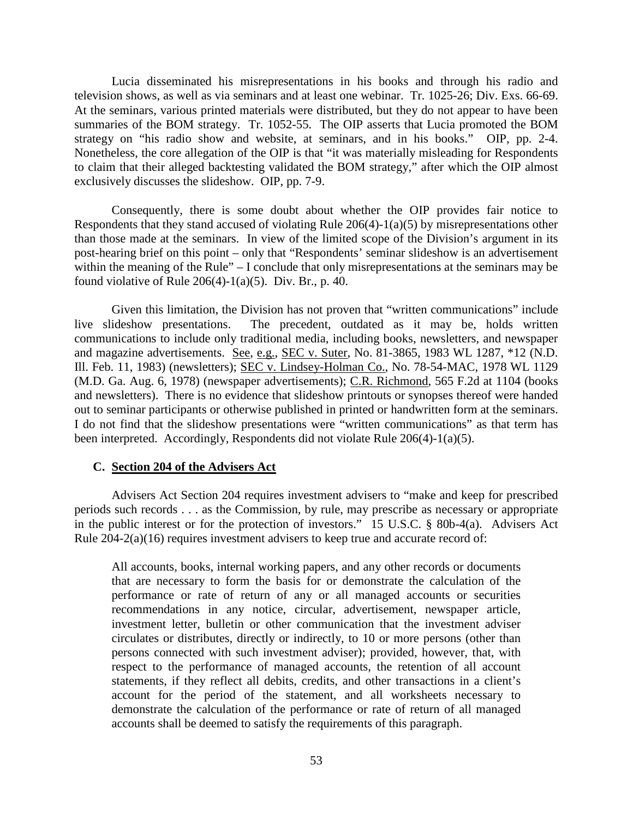Lucia disseminated his misrepresentations in his books and through his radio and television shows, as well as via seminars and at least one webinar. Tr. 1025-26; Div. Exs. 66-69. At the seminars, various printed materials were distributed, but they do not appear to have been summaries of the BOM strategy. Tr. 1052-55. The OIP asserts that Lucia promoted the BOM strategy on "his radio show and website, at seminars, and in his books." OIP, pp. 2-4. Nonetheless, the core allegation of the OIP is that "it was materially misleading for Respondents to claim that their alleged backtesting validated the BOM strategy," after which the OIP almost exclusively discusses the slideshow. OIP, pp. 7-9.

Consequently, there is some doubt about whether the OIP provides fair notice to Respondents that they stand accused of violating Rule  $206(4)$ -1(a)(5) by misrepresentations other than those made at the seminars. In view of the limited scope of the Division's argument in its post-hearing brief on this point – only that "Respondents' seminar slideshow is an advertisement within the meaning of the Rule" – I conclude that only misrepresentations at the seminars may be found violative of Rule  $206(4)-1(a)(5)$ . Div. Br., p. 40.

Given this limitation, the Division has not proven that "written communications" include live slideshow presentations. The precedent, outdated as it may be, holds written communications to include only traditional media, including books, newsletters, and newspaper and magazine advertisements. See, e.g., SEC v. Suter, No. 81-3865, 1983 WL 1287, \*12 (N.D. Ill. Feb. 11, 1983) (newsletters); SEC v. Lindsey-Holman Co., No. 78-54-MAC, 1978 WL 1129 (M.D. Ga. Aug. 6, 1978) (newspaper advertisements); C.R. Richmond, 565 F.2d at 1104 (books and newsletters). There is no evidence that slideshow printouts or synopses thereof were handed out to seminar participants or otherwise published in printed or handwritten form at the seminars. I do not find that the slideshow presentations were "written communications" as that term has been interpreted. Accordingly, Respondents did not violate Rule 206(4)-1(a)(5).

#### **C. Section 204 of the Advisers Act**

Advisers Act Section 204 requires investment advisers to "make and keep for prescribed periods such records . . . as the Commission, by rule, may prescribe as necessary or appropriate in the public interest or for the protection of investors." 15 U.S.C. § 80b-4(a). Advisers Act Rule 204-2(a)(16) requires investment advisers to keep true and accurate record of:

All accounts, books, internal working papers, and any other records or documents that are necessary to form the basis for or demonstrate the calculation of the performance or rate of return of any or all managed accounts or securities recommendations in any notice, circular, advertisement, newspaper article, investment letter, bulletin or other communication that the investment adviser circulates or distributes, directly or indirectly, to 10 or more persons (other than persons connected with such investment adviser); provided, however, that, with respect to the performance of managed accounts, the retention of all account statements, if they reflect all debits, credits, and other transactions in a client's account for the period of the statement, and all worksheets necessary to demonstrate the calculation of the performance or rate of return of all managed accounts shall be deemed to satisfy the requirements of this paragraph.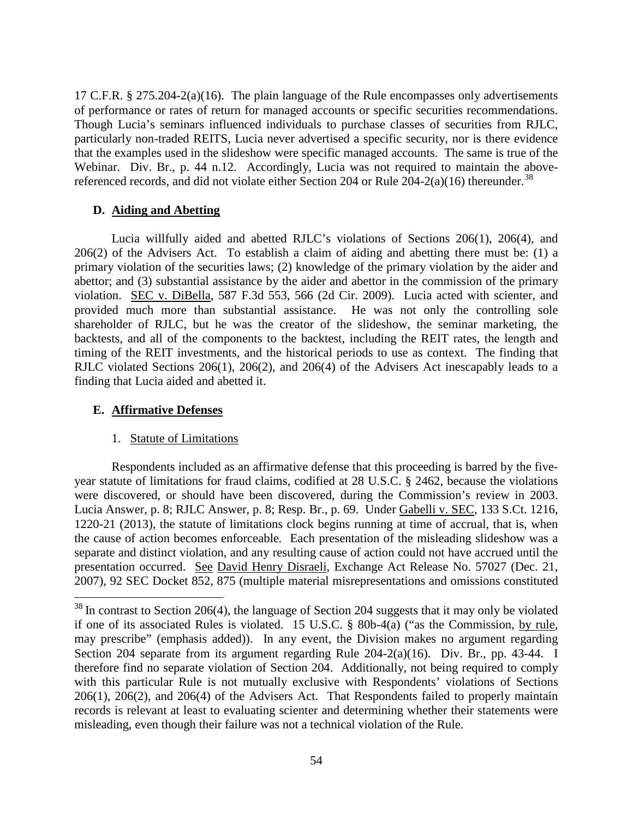17 C.F.R. § 275.204-2(a)(16). The plain language of the Rule encompasses only advertisements of performance or rates of return for managed accounts or specific securities recommendations. Though Lucia's seminars influenced individuals to purchase classes of securities from RJLC, particularly non-traded REITS, Lucia never advertised a specific security, nor is there evidence that the examples used in the slideshow were specific managed accounts. The same is true of the Webinar. Div. Br., p. 44 n.12. Accordingly, Lucia was not required to maintain the abovereferenced records, and did not violate either Section 204 or Rule  $204-2(a)(16)$  thereunder.<sup>38</sup>

# **D. Aiding and Abetting**

Lucia willfully aided and abetted RJLC's violations of Sections 206(1), 206(4), and 206(2) of the Advisers Act. To establish a claim of aiding and abetting there must be: (1) a primary violation of the securities laws; (2) knowledge of the primary violation by the aider and abettor; and (3) substantial assistance by the aider and abettor in the commission of the primary violation. SEC v. DiBella, 587 F.3d 553, 566 (2d Cir. 2009). Lucia acted with scienter, and provided much more than substantial assistance. He was not only the controlling sole shareholder of RJLC, but he was the creator of the slideshow, the seminar marketing, the backtests, and all of the components to the backtest, including the REIT rates, the length and timing of the REIT investments, and the historical periods to use as context. The finding that RJLC violated Sections 206(1), 206(2), and 206(4) of the Advisers Act inescapably leads to a finding that Lucia aided and abetted it.

# **E. Affirmative Defenses**

# 1. Statute of Limitations

Respondents included as an affirmative defense that this proceeding is barred by the fiveyear statute of limitations for fraud claims, codified at 28 U.S.C. § 2462, because the violations were discovered, or should have been discovered, during the Commission's review in 2003. Lucia Answer, p. 8; RJLC Answer, p. 8; Resp. Br., p. 69. Under Gabelli v. SEC, 133 S.Ct. 1216, 1220-21 (2013), the statute of limitations clock begins running at time of accrual, that is, when the cause of action becomes enforceable*.* Each presentation of the misleading slideshow was a separate and distinct violation, and any resulting cause of action could not have accrued until the presentation occurred. See David Henry Disraeli, Exchange Act Release No. 57027 (Dec. 21, 2007), 92 SEC Docket 852, 875 (multiple material misrepresentations and omissions constituted

<sup>&</sup>lt;sup>38</sup> In contrast to Section 206(4), the language of Section 204 suggests that it may only be violated if one of its associated Rules is violated. 15 U.S.C. § 80b-4(a) ("as the Commission, by rule, may prescribe" (emphasis added)). In any event, the Division makes no argument regarding Section 204 separate from its argument regarding Rule 204-2(a)(16). Div. Br., pp. 43-44. I therefore find no separate violation of Section 204. Additionally, not being required to comply with this particular Rule is not mutually exclusive with Respondents' violations of Sections 206(1), 206(2), and 206(4) of the Advisers Act. That Respondents failed to properly maintain records is relevant at least to evaluating scienter and determining whether their statements were misleading, even though their failure was not a technical violation of the Rule.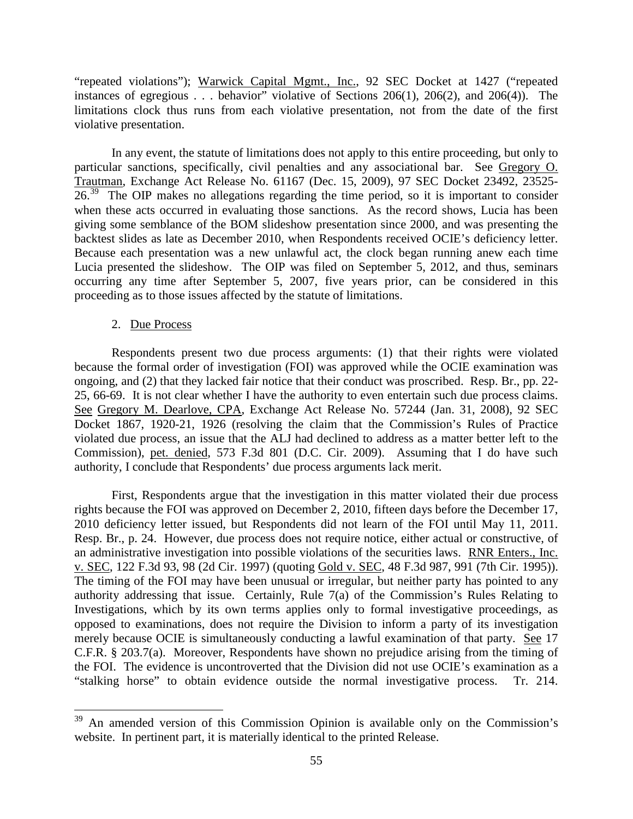"repeated violations"); Warwick Capital Mgmt., Inc., 92 SEC Docket at 1427 ("repeated instances of egregious . . . behavior" violative of Sections 206(1), 206(2), and 206(4)). The limitations clock thus runs from each violative presentation, not from the date of the first violative presentation.

In any event, the statute of limitations does not apply to this entire proceeding, but only to particular sanctions, specifically, civil penalties and any associational bar. See Gregory O. Trautman, Exchange Act Release No. 61167 (Dec. 15, 2009), 97 SEC Docket 23492, 23525-  $26<sup>39</sup>$  The OIP makes no allegations regarding the time period, so it is important to consider when these acts occurred in evaluating those sanctions. As the record shows, Lucia has been giving some semblance of the BOM slideshow presentation since 2000, and was presenting the backtest slides as late as December 2010, when Respondents received OCIE's deficiency letter. Because each presentation was a new unlawful act, the clock began running anew each time Lucia presented the slideshow. The OIP was filed on September 5, 2012, and thus, seminars occurring any time after September 5, 2007, five years prior, can be considered in this proceeding as to those issues affected by the statute of limitations.

## 2. Due Process

Respondents present two due process arguments: (1) that their rights were violated because the formal order of investigation (FOI) was approved while the OCIE examination was ongoing, and (2) that they lacked fair notice that their conduct was proscribed. Resp. Br., pp. 22- 25, 66-69. It is not clear whether I have the authority to even entertain such due process claims. See Gregory M. Dearlove, CPA, Exchange Act Release No. 57244 (Jan. 31, 2008), 92 SEC Docket 1867, 1920-21, 1926 (resolving the claim that the Commission's Rules of Practice violated due process, an issue that the ALJ had declined to address as a matter better left to the Commission), pet. denied, 573 F.3d 801 (D.C. Cir. 2009). Assuming that I do have such authority, I conclude that Respondents' due process arguments lack merit.

First, Respondents argue that the investigation in this matter violated their due process rights because the FOI was approved on December 2, 2010, fifteen days before the December 17, 2010 deficiency letter issued, but Respondents did not learn of the FOI until May 11, 2011. Resp. Br., p. 24. However, due process does not require notice, either actual or constructive, of an administrative investigation into possible violations of the securities laws. RNR Enters., Inc. v. SEC, 122 F.3d 93, 98 (2d Cir. 1997) (quoting Gold v. SEC, 48 F.3d 987, 991 (7th Cir. 1995)). The timing of the FOI may have been unusual or irregular, but neither party has pointed to any authority addressing that issue. Certainly, Rule 7(a) of the Commission's Rules Relating to Investigations, which by its own terms applies only to formal investigative proceedings, as opposed to examinations, does not require the Division to inform a party of its investigation merely because OCIE is simultaneously conducting a lawful examination of that party. See 17 C.F.R. § 203.7(a). Moreover, Respondents have shown no prejudice arising from the timing of the FOI. The evidence is uncontroverted that the Division did not use OCIE's examination as a "stalking horse" to obtain evidence outside the normal investigative process. Tr. 214.

<sup>&</sup>lt;sup>39</sup> An amended version of this Commission Opinion is available only on the Commission's website. In pertinent part, it is materially identical to the printed Release.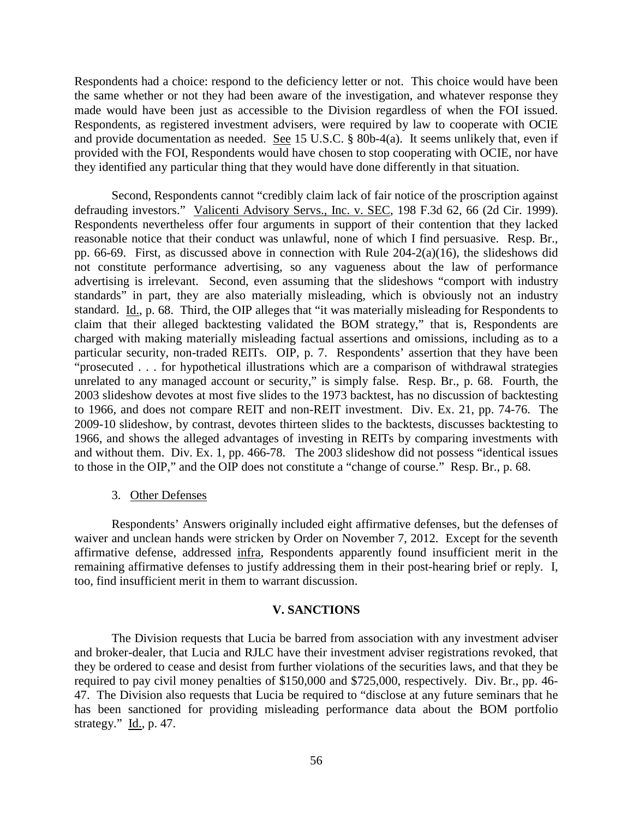Respondents had a choice: respond to the deficiency letter or not. This choice would have been the same whether or not they had been aware of the investigation, and whatever response they made would have been just as accessible to the Division regardless of when the FOI issued. Respondents, as registered investment advisers, were required by law to cooperate with OCIE and provide documentation as needed. See 15 U.S.C. § 80b-4(a). It seems unlikely that, even if provided with the FOI, Respondents would have chosen to stop cooperating with OCIE, nor have they identified any particular thing that they would have done differently in that situation.

Second, Respondents cannot "credibly claim lack of fair notice of the proscription against defrauding investors." Valicenti Advisory Servs., Inc. v. SEC, 198 F.3d 62, 66 (2d Cir. 1999). Respondents nevertheless offer four arguments in support of their contention that they lacked reasonable notice that their conduct was unlawful, none of which I find persuasive. Resp. Br., pp. 66-69. First, as discussed above in connection with Rule 204-2(a)(16), the slideshows did not constitute performance advertising, so any vagueness about the law of performance advertising is irrelevant. Second, even assuming that the slideshows "comport with industry standards" in part, they are also materially misleading, which is obviously not an industry standard. Id., p. 68. Third, the OIP alleges that "it was materially misleading for Respondents to claim that their alleged backtesting validated the BOM strategy," that is, Respondents are charged with making materially misleading factual assertions and omissions, including as to a particular security, non-traded REITs. OIP, p. 7. Respondents' assertion that they have been "prosecuted . . . for hypothetical illustrations which are a comparison of withdrawal strategies unrelated to any managed account or security," is simply false. Resp. Br., p. 68. Fourth, the 2003 slideshow devotes at most five slides to the 1973 backtest, has no discussion of backtesting to 1966, and does not compare REIT and non-REIT investment. Div. Ex. 21, pp. 74-76. The 2009-10 slideshow, by contrast, devotes thirteen slides to the backtests, discusses backtesting to 1966, and shows the alleged advantages of investing in REITs by comparing investments with and without them. Div. Ex. 1, pp. 466-78. The 2003 slideshow did not possess "identical issues to those in the OIP," and the OIP does not constitute a "change of course." Resp. Br., p. 68.

### 3. Other Defenses

Respondents' Answers originally included eight affirmative defenses, but the defenses of waiver and unclean hands were stricken by Order on November 7, 2012. Except for the seventh affirmative defense, addressed infra, Respondents apparently found insufficient merit in the remaining affirmative defenses to justify addressing them in their post-hearing brief or reply. I, too, find insufficient merit in them to warrant discussion.

### **V. SANCTIONS**

The Division requests that Lucia be barred from association with any investment adviser and broker-dealer, that Lucia and RJLC have their investment adviser registrations revoked, that they be ordered to cease and desist from further violations of the securities laws, and that they be required to pay civil money penalties of \$150,000 and \$725,000, respectively. Div. Br., pp. 46- 47. The Division also requests that Lucia be required to "disclose at any future seminars that he has been sanctioned for providing misleading performance data about the BOM portfolio strategy." Id., p. 47.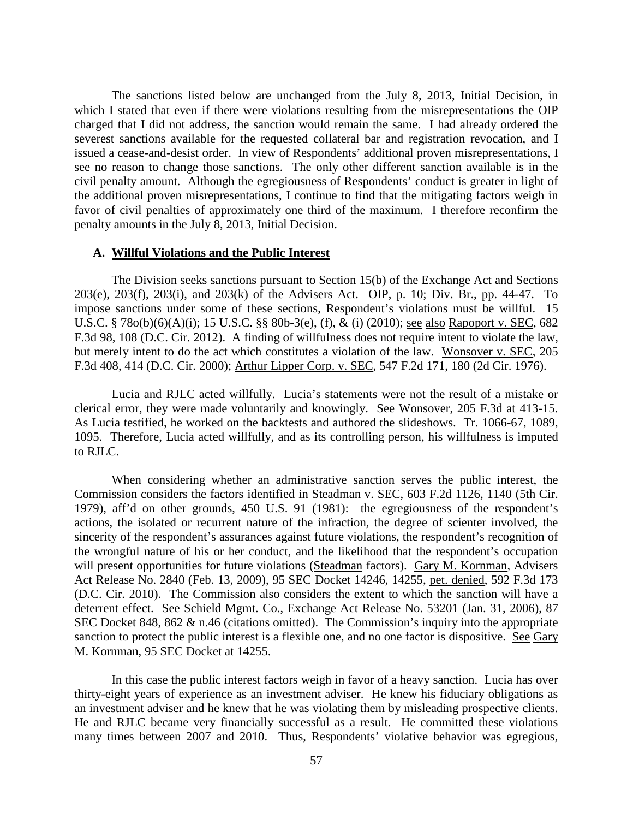The sanctions listed below are unchanged from the July 8, 2013, Initial Decision, in which I stated that even if there were violations resulting from the misrepresentations the OIP charged that I did not address, the sanction would remain the same. I had already ordered the severest sanctions available for the requested collateral bar and registration revocation, and I issued a cease-and-desist order. In view of Respondents' additional proven misrepresentations, I see no reason to change those sanctions. The only other different sanction available is in the civil penalty amount. Although the egregiousness of Respondents' conduct is greater in light of the additional proven misrepresentations, I continue to find that the mitigating factors weigh in favor of civil penalties of approximately one third of the maximum. I therefore reconfirm the penalty amounts in the July 8, 2013, Initial Decision.

#### **A. Willful Violations and the Public Interest**

The Division seeks sanctions pursuant to Section 15(b) of the Exchange Act and Sections 203(e), 203(f), 203(i), and 203(k) of the Advisers Act. OIP, p. 10; Div. Br., pp. 44-47. To impose sanctions under some of these sections, Respondent's violations must be willful. 15 U.S.C. § 78o(b)(6)(A)(i); 15 U.S.C. §§ 80b-3(e), (f), & (i) (2010); see also Rapoport v. SEC, 682 F.3d 98, 108 (D.C. Cir. 2012). A finding of willfulness does not require intent to violate the law, but merely intent to do the act which constitutes a violation of the law. Wonsover v. SEC, 205 F.3d 408, 414 (D.C. Cir. 2000); Arthur Lipper Corp. v. SEC, 547 F.2d 171, 180 (2d Cir. 1976).

Lucia and RJLC acted willfully. Lucia's statements were not the result of a mistake or clerical error, they were made voluntarily and knowingly. See Wonsover, 205 F.3d at 413-15. As Lucia testified, he worked on the backtests and authored the slideshows. Tr. 1066-67, 1089, 1095. Therefore, Lucia acted willfully, and as its controlling person, his willfulness is imputed to RJLC.

When considering whether an administrative sanction serves the public interest, the Commission considers the factors identified in Steadman v. SEC, 603 F.2d 1126, 1140 (5th Cir. 1979), aff'd on other grounds, 450 U.S. 91 (1981): the egregiousness of the respondent's actions, the isolated or recurrent nature of the infraction, the degree of scienter involved, the sincerity of the respondent's assurances against future violations, the respondent's recognition of the wrongful nature of his or her conduct, and the likelihood that the respondent's occupation will present opportunities for future violations (Steadman factors). Gary M. Kornman, Advisers Act Release No. 2840 (Feb. 13, 2009), 95 SEC Docket 14246, 14255, pet. denied, 592 F.3d 173 (D.C. Cir. 2010). The Commission also considers the extent to which the sanction will have a deterrent effect. See Schield Mgmt. Co., Exchange Act Release No. 53201 (Jan. 31, 2006), 87 SEC Docket 848,  $862 \& n.46$  (citations omitted). The Commission's inquiry into the appropriate sanction to protect the public interest is a flexible one, and no one factor is dispositive. See Gary M. Kornman, 95 SEC Docket at 14255.

In this case the public interest factors weigh in favor of a heavy sanction. Lucia has over thirty-eight years of experience as an investment adviser. He knew his fiduciary obligations as an investment adviser and he knew that he was violating them by misleading prospective clients. He and RJLC became very financially successful as a result. He committed these violations many times between 2007 and 2010. Thus, Respondents' violative behavior was egregious,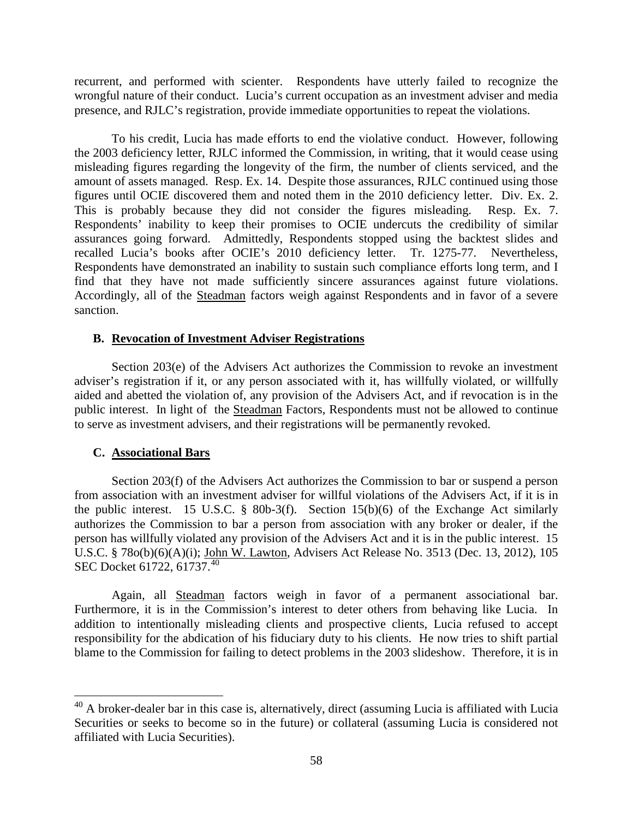recurrent, and performed with scienter. Respondents have utterly failed to recognize the wrongful nature of their conduct. Lucia's current occupation as an investment adviser and media presence, and RJLC's registration, provide immediate opportunities to repeat the violations.

To his credit, Lucia has made efforts to end the violative conduct. However, following the 2003 deficiency letter, RJLC informed the Commission, in writing, that it would cease using misleading figures regarding the longevity of the firm, the number of clients serviced, and the amount of assets managed. Resp. Ex. 14. Despite those assurances, RJLC continued using those figures until OCIE discovered them and noted them in the 2010 deficiency letter. Div. Ex. 2. This is probably because they did not consider the figures misleading. Resp. Ex. 7. Respondents' inability to keep their promises to OCIE undercuts the credibility of similar assurances going forward. Admittedly, Respondents stopped using the backtest slides and recalled Lucia's books after OCIE's 2010 deficiency letter. Tr. 1275-77. Nevertheless, Respondents have demonstrated an inability to sustain such compliance efforts long term, and I find that they have not made sufficiently sincere assurances against future violations. Accordingly, all of the Steadman factors weigh against Respondents and in favor of a severe sanction.

## **B. Revocation of Investment Adviser Registrations**

Section 203(e) of the Advisers Act authorizes the Commission to revoke an investment adviser's registration if it, or any person associated with it, has willfully violated, or willfully aided and abetted the violation of, any provision of the Advisers Act, and if revocation is in the public interest. In light of the Steadman Factors, Respondents must not be allowed to continue to serve as investment advisers, and their registrations will be permanently revoked.

### **C. Associational Bars**

Section 203(f) of the Advisers Act authorizes the Commission to bar or suspend a person from association with an investment adviser for willful violations of the Advisers Act, if it is in the public interest. 15 U.S.C.  $\S$  80b-3(f). Section 15(b)(6) of the Exchange Act similarly authorizes the Commission to bar a person from association with any broker or dealer, if the person has willfully violated any provision of the Advisers Act and it is in the public interest. 15 U.S.C. § 78o(b)(6)(A)(i); John W. Lawton, Advisers Act Release No. 3513 (Dec. 13, 2012), 105 SEC Docket 61722, 61737.<sup>40</sup>

Again, all Steadman factors weigh in favor of a permanent associational bar. Furthermore, it is in the Commission's interest to deter others from behaving like Lucia. In addition to intentionally misleading clients and prospective clients, Lucia refused to accept responsibility for the abdication of his fiduciary duty to his clients. He now tries to shift partial blame to the Commission for failing to detect problems in the 2003 slideshow. Therefore, it is in

<sup>&</sup>lt;sup>40</sup> A broker-dealer bar in this case is, alternatively, direct (assuming Lucia is affiliated with Lucia Securities or seeks to become so in the future) or collateral (assuming Lucia is considered not affiliated with Lucia Securities).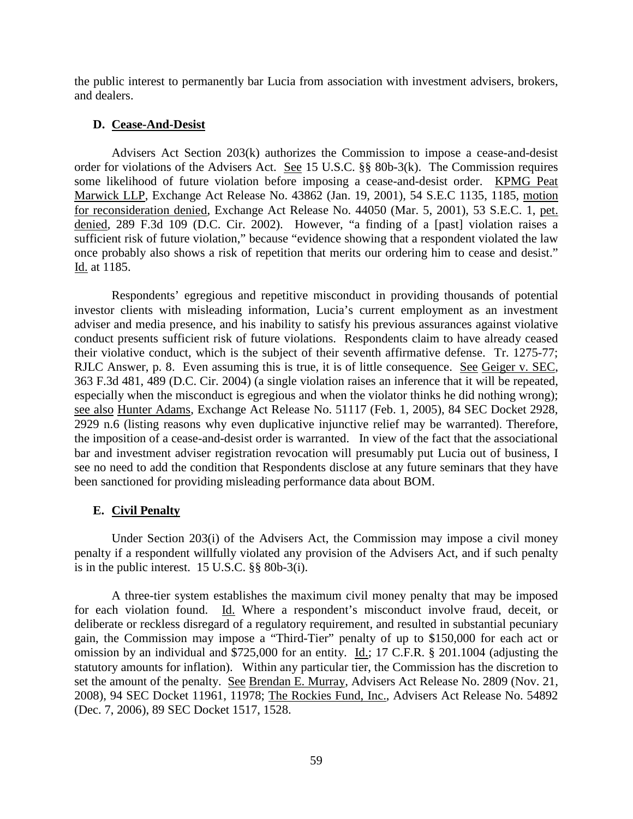the public interest to permanently bar Lucia from association with investment advisers, brokers, and dealers.

### **D. Cease-And-Desist**

Advisers Act Section 203(k) authorizes the Commission to impose a cease-and-desist order for violations of the Advisers Act. See 15 U.S.C. §§ 80b-3(k). The Commission requires some likelihood of future violation before imposing a cease-and-desist order. KPMG Peat Marwick LLP, Exchange Act Release No. 43862 (Jan. 19, 2001), 54 S.E.C 1135, 1185, motion for reconsideration denied, Exchange Act Release No. 44050 (Mar. 5, 2001), 53 S.E.C. 1, pet. denied, 289 F.3d 109 (D.C. Cir. 2002). However, "a finding of a [past] violation raises a sufficient risk of future violation," because "evidence showing that a respondent violated the law once probably also shows a risk of repetition that merits our ordering him to cease and desist." Id. at 1185.

Respondents' egregious and repetitive misconduct in providing thousands of potential investor clients with misleading information, Lucia's current employment as an investment adviser and media presence, and his inability to satisfy his previous assurances against violative conduct presents sufficient risk of future violations. Respondents claim to have already ceased their violative conduct, which is the subject of their seventh affirmative defense. Tr. 1275-77; RJLC Answer, p. 8. Even assuming this is true, it is of little consequence. See Geiger v. SEC, 363 F.3d 481, 489 (D.C. Cir. 2004) (a single violation raises an inference that it will be repeated, especially when the misconduct is egregious and when the violator thinks he did nothing wrong); see also Hunter Adams, Exchange Act Release No. 51117 (Feb. 1, 2005), 84 SEC Docket 2928, 2929 n.6 (listing reasons why even duplicative injunctive relief may be warranted). Therefore, the imposition of a cease-and-desist order is warranted. In view of the fact that the associational bar and investment adviser registration revocation will presumably put Lucia out of business, I see no need to add the condition that Respondents disclose at any future seminars that they have been sanctioned for providing misleading performance data about BOM.

### **E. Civil Penalty**

Under Section 203(i) of the Advisers Act, the Commission may impose a civil money penalty if a respondent willfully violated any provision of the Advisers Act, and if such penalty is in the public interest. 15 U.S.C. §§ 80b-3(i).

A three-tier system establishes the maximum civil money penalty that may be imposed for each violation found. Id. Where a respondent's misconduct involve fraud, deceit, or deliberate or reckless disregard of a regulatory requirement, and resulted in substantial pecuniary gain, the Commission may impose a "Third-Tier" penalty of up to \$150,000 for each act or omission by an individual and \$725,000 for an entity. Id.; 17 C.F.R. § 201.1004 (adjusting the statutory amounts for inflation). Within any particular tier, the Commission has the discretion to set the amount of the penalty. See Brendan E. Murray, Advisers Act Release No. 2809 (Nov. 21, 2008), 94 SEC Docket 11961, 11978; The Rockies Fund, Inc., Advisers Act Release No. 54892 (Dec. 7, 2006), 89 SEC Docket 1517, 1528.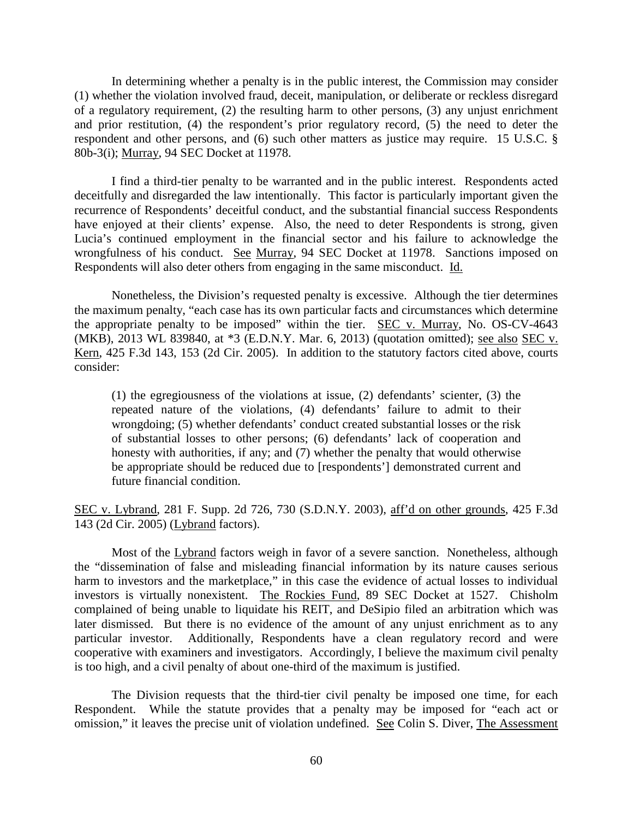In determining whether a penalty is in the public interest, the Commission may consider (1) whether the violation involved fraud, deceit, manipulation, or deliberate or reckless disregard of a regulatory requirement, (2) the resulting harm to other persons, (3) any unjust enrichment and prior restitution, (4) the respondent's prior regulatory record, (5) the need to deter the respondent and other persons, and (6) such other matters as justice may require. 15 U.S.C. § 80b-3(i); Murray, 94 SEC Docket at 11978.

I find a third-tier penalty to be warranted and in the public interest. Respondents acted deceitfully and disregarded the law intentionally. This factor is particularly important given the recurrence of Respondents' deceitful conduct, and the substantial financial success Respondents have enjoyed at their clients' expense. Also, the need to deter Respondents is strong, given Lucia's continued employment in the financial sector and his failure to acknowledge the wrongfulness of his conduct. See Murray, 94 SEC Docket at 11978. Sanctions imposed on Respondents will also deter others from engaging in the same misconduct. Id.

Nonetheless, the Division's requested penalty is excessive. Although the tier determines the maximum penalty, "each case has its own particular facts and circumstances which determine the appropriate penalty to be imposed" within the tier. SEC v. Murray, No. OS-CV-4643 (MKB), 2013 WL 839840, at \*3 (E.D.N.Y. Mar. 6, 2013) (quotation omitted); see also SEC v. Kern, 425 F.3d 143, 153 (2d Cir. 2005). In addition to the statutory factors cited above, courts consider:

(1) the egregiousness of the violations at issue, (2) defendants' scienter, (3) the repeated nature of the violations, (4) defendants' failure to admit to their wrongdoing; (5) whether defendants' conduct created substantial losses or the risk of substantial losses to other persons; (6) defendants' lack of cooperation and honesty with authorities, if any; and (7) whether the penalty that would otherwise be appropriate should be reduced due to [respondents'] demonstrated current and future financial condition.

SEC v. Lybrand, 281 F. Supp. 2d 726, 730 (S.D.N.Y. 2003), aff'd on other grounds, 425 F.3d 143 (2d Cir. 2005) (Lybrand factors).

Most of the Lybrand factors weigh in favor of a severe sanction. Nonetheless, although the "dissemination of false and misleading financial information by its nature causes serious harm to investors and the marketplace," in this case the evidence of actual losses to individual investors is virtually nonexistent. The Rockies Fund, 89 SEC Docket at 1527. Chisholm complained of being unable to liquidate his REIT, and DeSipio filed an arbitration which was later dismissed. But there is no evidence of the amount of any unjust enrichment as to any particular investor. Additionally, Respondents have a clean regulatory record and were cooperative with examiners and investigators. Accordingly, I believe the maximum civil penalty is too high, and a civil penalty of about one-third of the maximum is justified.

The Division requests that the third-tier civil penalty be imposed one time, for each Respondent. While the statute provides that a penalty may be imposed for "each act or omission," it leaves the precise unit of violation undefined. See Colin S. Diver, The Assessment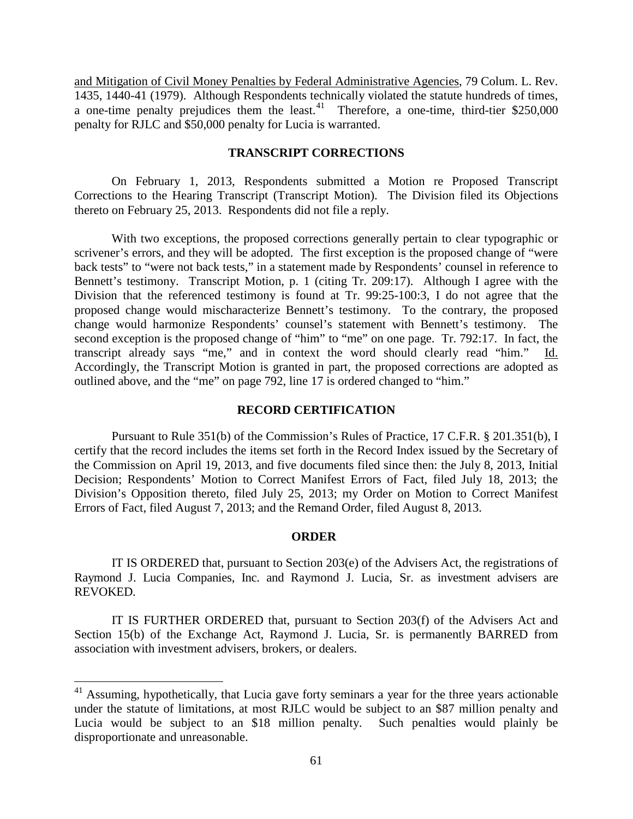and Mitigation of Civil Money Penalties by Federal Administrative Agencies, 79 Colum. L. Rev. 1435, 1440-41 (1979). Although Respondents technically violated the statute hundreds of times, a one-time penalty prejudices them the least.<sup>41</sup> Therefore, a one-time, third-tier \$250,000 penalty for RJLC and \$50,000 penalty for Lucia is warranted.

# **TRANSCRIPT CORRECTIONS**

On February 1, 2013, Respondents submitted a Motion re Proposed Transcript Corrections to the Hearing Transcript (Transcript Motion). The Division filed its Objections thereto on February 25, 2013. Respondents did not file a reply.

With two exceptions, the proposed corrections generally pertain to clear typographic or scrivener's errors, and they will be adopted. The first exception is the proposed change of "were back tests" to "were not back tests," in a statement made by Respondents' counsel in reference to Bennett's testimony. Transcript Motion, p. 1 (citing Tr. 209:17). Although I agree with the Division that the referenced testimony is found at Tr. 99:25-100:3, I do not agree that the proposed change would mischaracterize Bennett's testimony. To the contrary, the proposed change would harmonize Respondents' counsel's statement with Bennett's testimony. The second exception is the proposed change of "him" to "me" on one page. Tr. 792:17. In fact, the transcript already says "me," and in context the word should clearly read "him." Id. Accordingly, the Transcript Motion is granted in part, the proposed corrections are adopted as outlined above, and the "me" on page 792, line 17 is ordered changed to "him."

### **RECORD CERTIFICATION**

 Pursuant to Rule 351(b) of the Commission's Rules of Practice, 17 C.F.R. § 201.351(b), I certify that the record includes the items set forth in the Record Index issued by the Secretary of the Commission on April 19, 2013, and five documents filed since then: the July 8, 2013, Initial Decision; Respondents' Motion to Correct Manifest Errors of Fact, filed July 18, 2013; the Division's Opposition thereto, filed July 25, 2013; my Order on Motion to Correct Manifest Errors of Fact, filed August 7, 2013; and the Remand Order, filed August 8, 2013.

#### **ORDER**

IT IS ORDERED that, pursuant to Section 203(e) of the Advisers Act, the registrations of Raymond J. Lucia Companies, Inc. and Raymond J. Lucia, Sr. as investment advisers are REVOKED.

IT IS FURTHER ORDERED that, pursuant to Section 203(f) of the Advisers Act and Section 15(b) of the Exchange Act, Raymond J. Lucia, Sr. is permanently BARRED from association with investment advisers, brokers, or dealers.

<sup>&</sup>lt;sup>41</sup> Assuming, hypothetically, that Lucia gave forty seminars a year for the three years actionable under the statute of limitations, at most RJLC would be subject to an \$87 million penalty and Lucia would be subject to an \$18 million penalty. Such penalties would plainly be disproportionate and unreasonable.